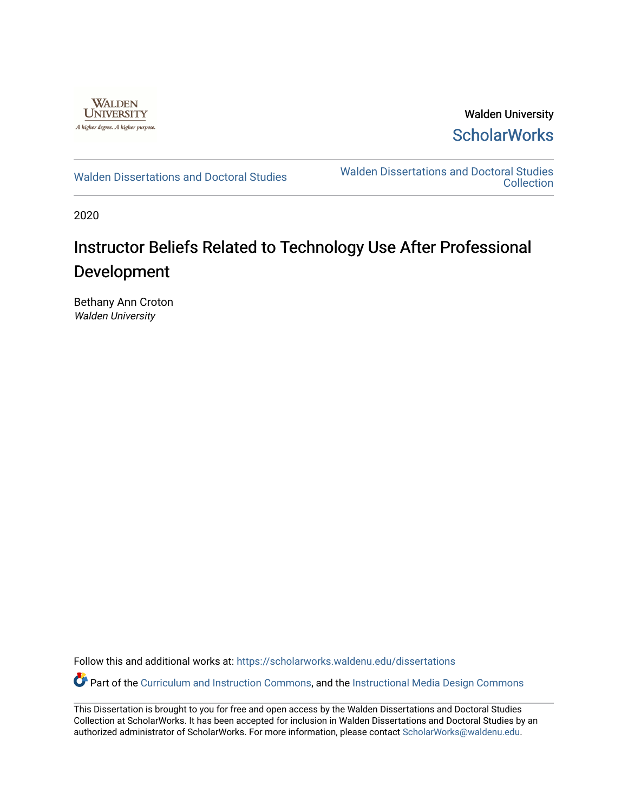

Walden University **ScholarWorks** 

[Walden Dissertations and Doctoral Studies](https://scholarworks.waldenu.edu/dissertations) Walden Dissertations and Doctoral Studies **Collection** 

2020

# Instructor Beliefs Related to Technology Use After Professional Development

Bethany Ann Croton Walden University

Follow this and additional works at: [https://scholarworks.waldenu.edu/dissertations](https://scholarworks.waldenu.edu/dissertations?utm_source=scholarworks.waldenu.edu%2Fdissertations%2F9344&utm_medium=PDF&utm_campaign=PDFCoverPages)

Part of the [Curriculum and Instruction Commons,](http://network.bepress.com/hgg/discipline/786?utm_source=scholarworks.waldenu.edu%2Fdissertations%2F9344&utm_medium=PDF&utm_campaign=PDFCoverPages) and the Instructional Media Design Commons

This Dissertation is brought to you for free and open access by the Walden Dissertations and Doctoral Studies Collection at ScholarWorks. It has been accepted for inclusion in Walden Dissertations and Doctoral Studies by an authorized administrator of ScholarWorks. For more information, please contact [ScholarWorks@waldenu.edu](mailto:ScholarWorks@waldenu.edu).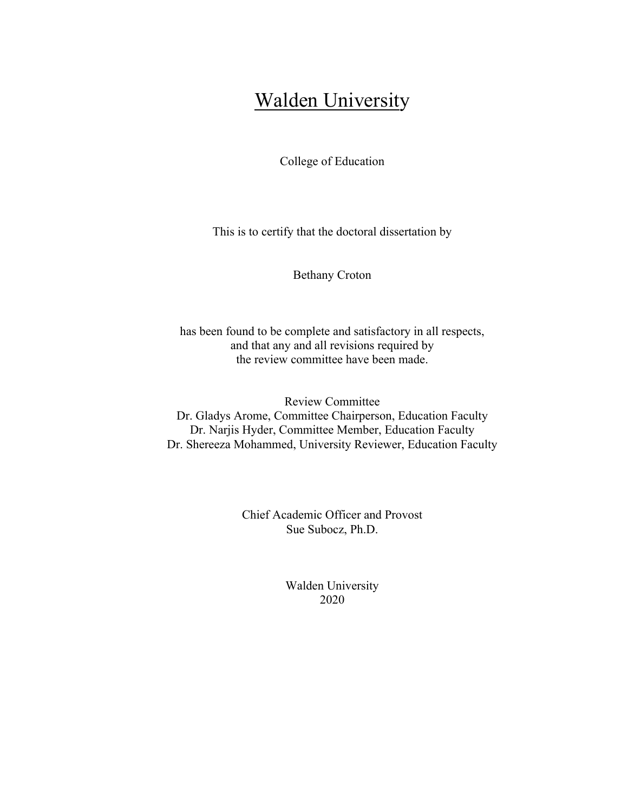# Walden University

College of Education

This is to certify that the doctoral dissertation by

Bethany Croton

has been found to be complete and satisfactory in all respects, and that any and all revisions required by the review committee have been made.

Review Committee Dr. Gladys Arome, Committee Chairperson, Education Faculty Dr. Narjis Hyder, Committee Member, Education Faculty Dr. Shereeza Mohammed, University Reviewer, Education Faculty

> Chief Academic Officer and Provost Sue Subocz, Ph.D.

> > Walden University 2020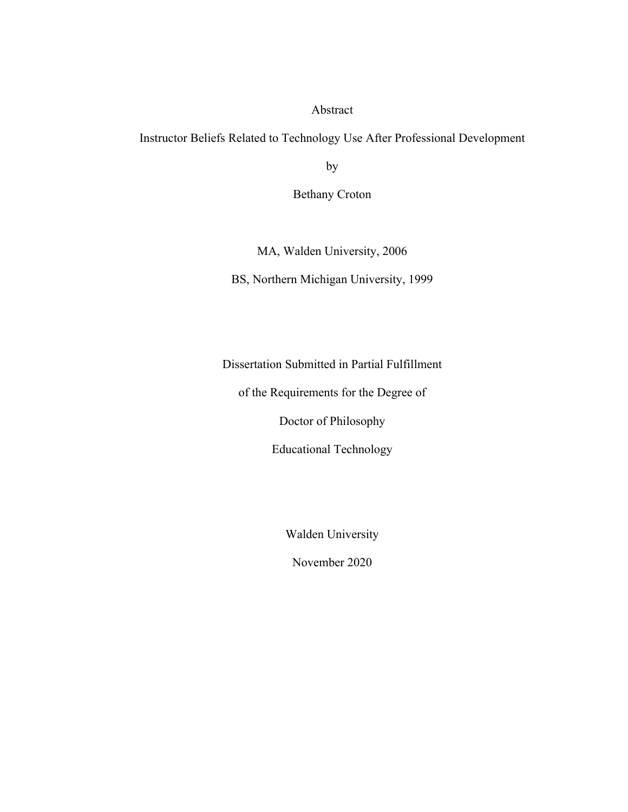### Abstract

Instructor Beliefs Related to Technology Use After Professional Development

by

Bethany Croton

MA, Walden University, 2006

BS, Northern Michigan University, 1999

Dissertation Submitted in Partial Fulfillment

of the Requirements for the Degree of

Doctor of Philosophy

Educational Technology

Walden University

November 2020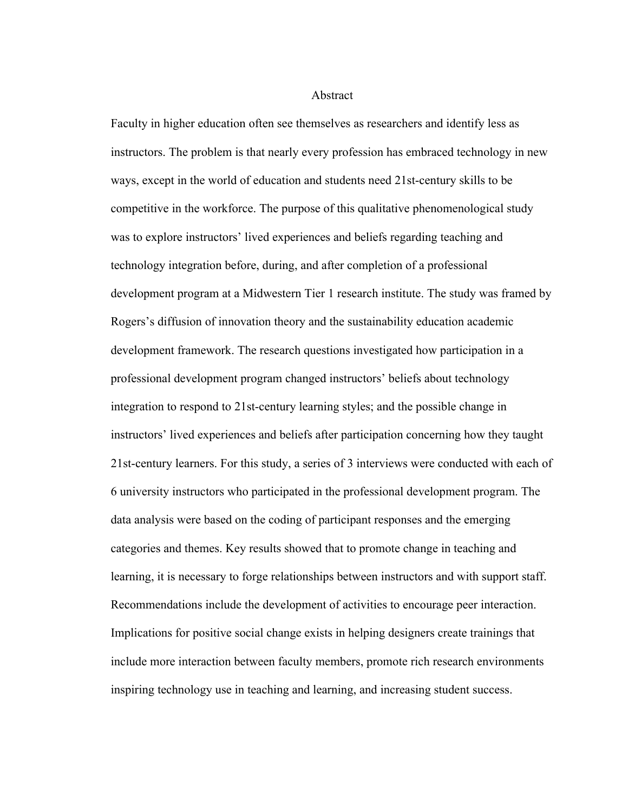#### Abstract

Faculty in higher education often see themselves as researchers and identify less as instructors. The problem is that nearly every profession has embraced technology in new ways, except in the world of education and students need 21st-century skills to be competitive in the workforce. The purpose of this qualitative phenomenological study was to explore instructors' lived experiences and beliefs regarding teaching and technology integration before, during, and after completion of a professional development program at a Midwestern Tier 1 research institute. The study was framed by Rogers's diffusion of innovation theory and the sustainability education academic development framework. The research questions investigated how participation in a professional development program changed instructors' beliefs about technology integration to respond to 21st-century learning styles; and the possible change in instructors' lived experiences and beliefs after participation concerning how they taught 21st-century learners. For this study, a series of 3 interviews were conducted with each of 6 university instructors who participated in the professional development program. The data analysis were based on the coding of participant responses and the emerging categories and themes. Key results showed that to promote change in teaching and learning, it is necessary to forge relationships between instructors and with support staff. Recommendations include the development of activities to encourage peer interaction. Implications for positive social change exists in helping designers create trainings that include more interaction between faculty members, promote rich research environments inspiring technology use in teaching and learning, and increasing student success.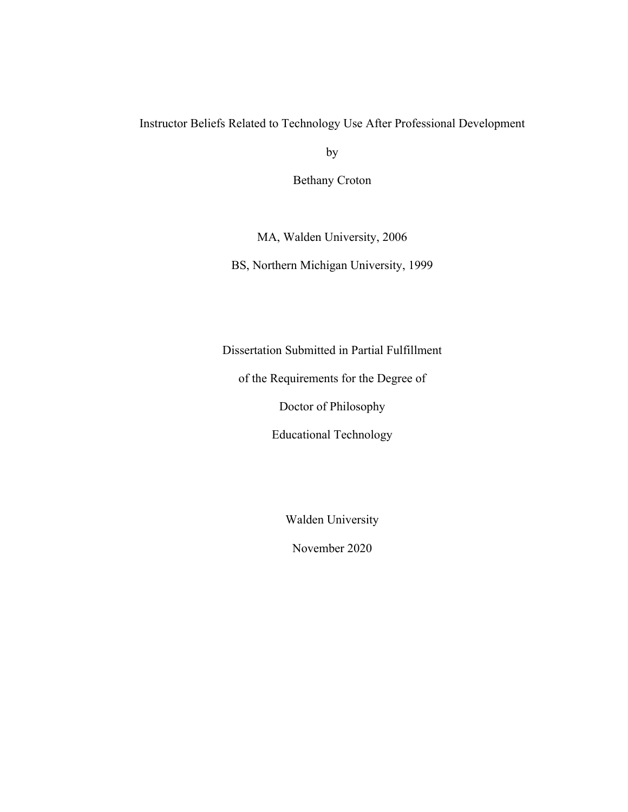## Instructor Beliefs Related to Technology Use After Professional Development

by

Bethany Croton

MA, Walden University, 2006

BS, Northern Michigan University, 1999

Dissertation Submitted in Partial Fulfillment

of the Requirements for the Degree of

Doctor of Philosophy

Educational Technology

Walden University

November 2020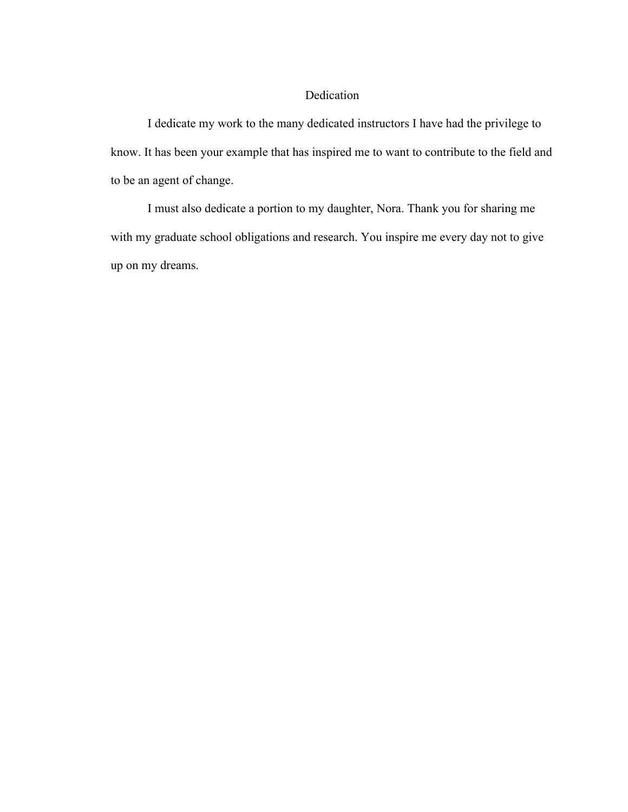## Dedication

I dedicate my work to the many dedicated instructors I have had the privilege to know. It has been your example that has inspired me to want to contribute to the field and to be an agent of change.

I must also dedicate a portion to my daughter, Nora. Thank you for sharing me with my graduate school obligations and research. You inspire me every day not to give up on my dreams.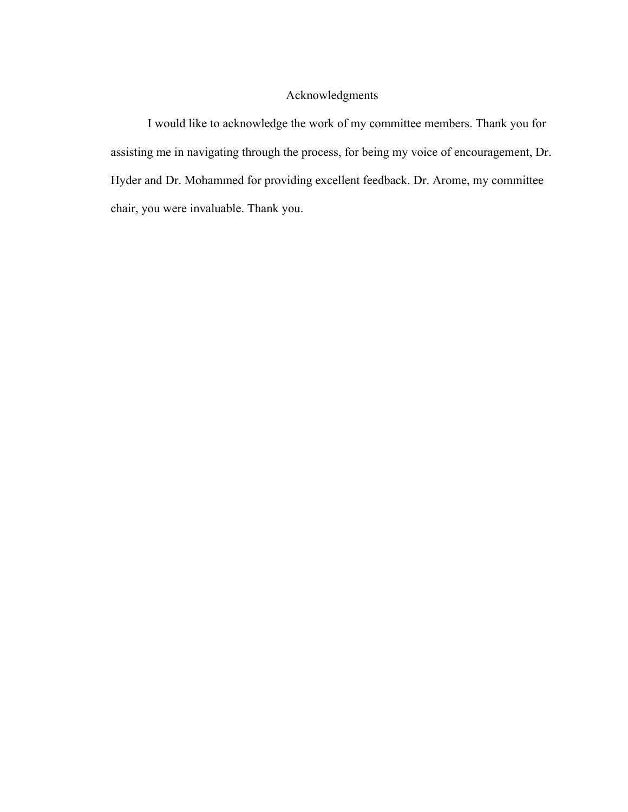### Acknowledgments

I would like to acknowledge the work of my committee members. Thank you for assisting me in navigating through the process, for being my voice of encouragement, Dr. Hyder and Dr. Mohammed for providing excellent feedback. Dr. Arome, my committee chair, you were invaluable. Thank you.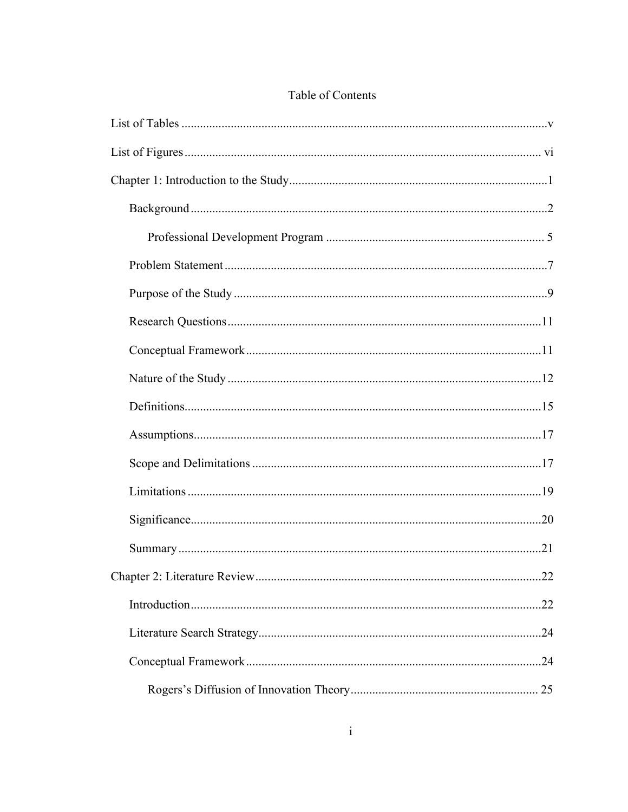# Table of Contents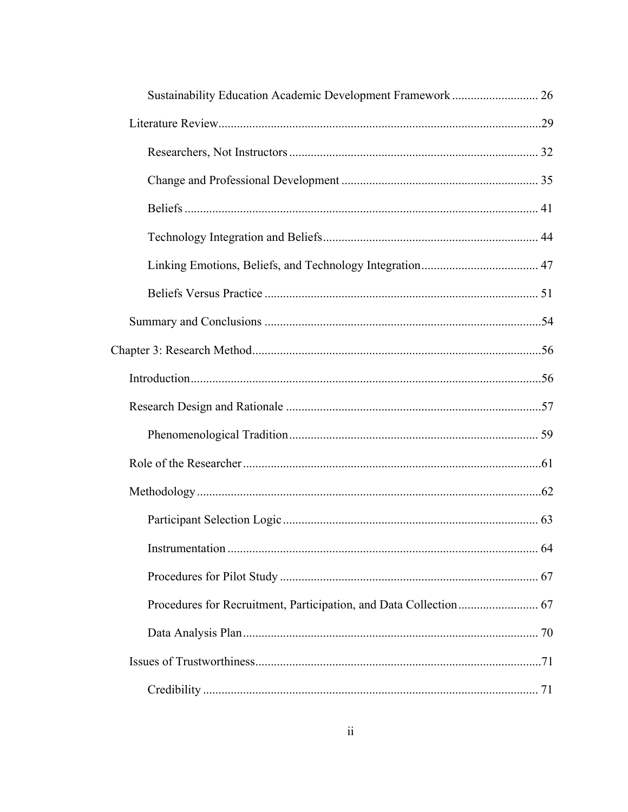| Sustainability Education Academic Development Framework  26 |     |
|-------------------------------------------------------------|-----|
|                                                             |     |
|                                                             |     |
|                                                             |     |
|                                                             |     |
|                                                             |     |
|                                                             |     |
|                                                             |     |
|                                                             |     |
|                                                             |     |
|                                                             |     |
|                                                             |     |
|                                                             |     |
|                                                             |     |
|                                                             |     |
|                                                             |     |
|                                                             | .64 |
|                                                             |     |
|                                                             |     |
|                                                             |     |
|                                                             |     |
|                                                             |     |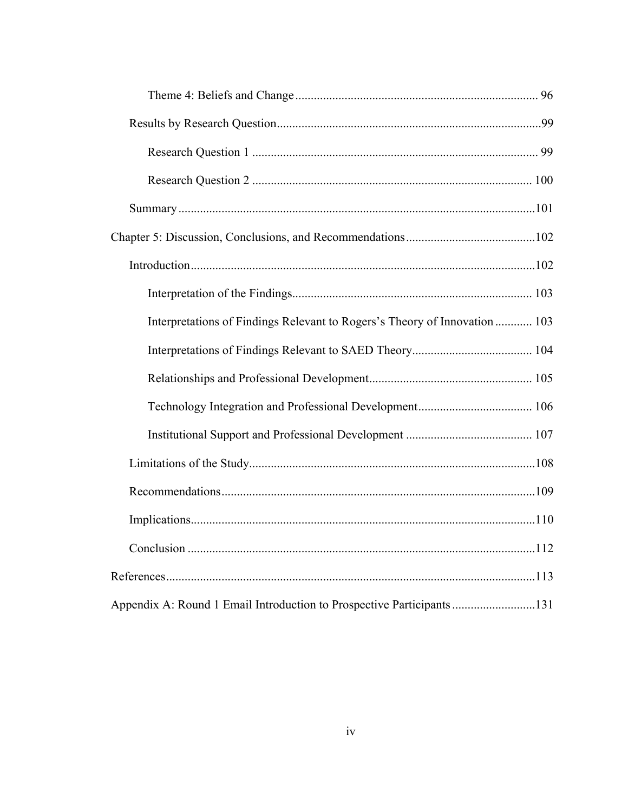| Interpretations of Findings Relevant to Rogers's Theory of Innovation  103 |  |
|----------------------------------------------------------------------------|--|
|                                                                            |  |
|                                                                            |  |
|                                                                            |  |
|                                                                            |  |
|                                                                            |  |
|                                                                            |  |
|                                                                            |  |
|                                                                            |  |
|                                                                            |  |
| Appendix A: Round 1 Email Introduction to Prospective Participants 131     |  |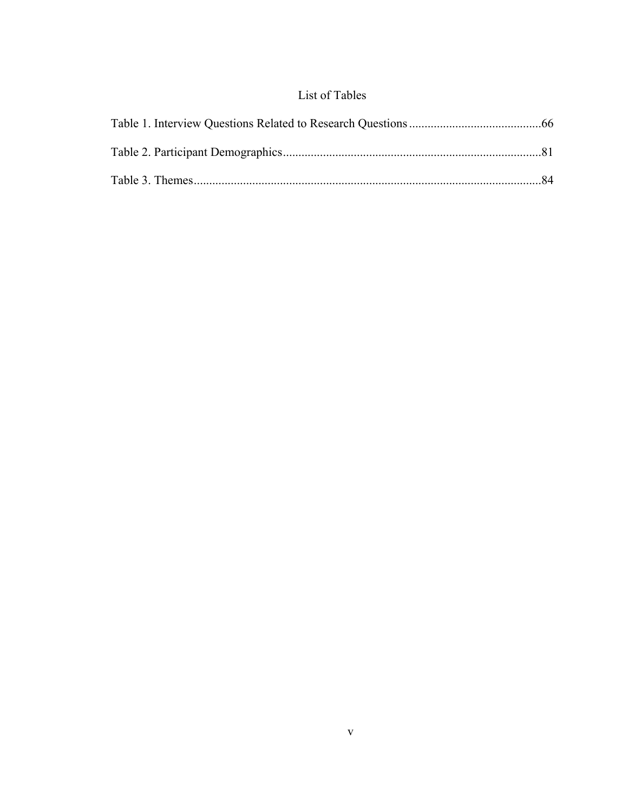# List of Tables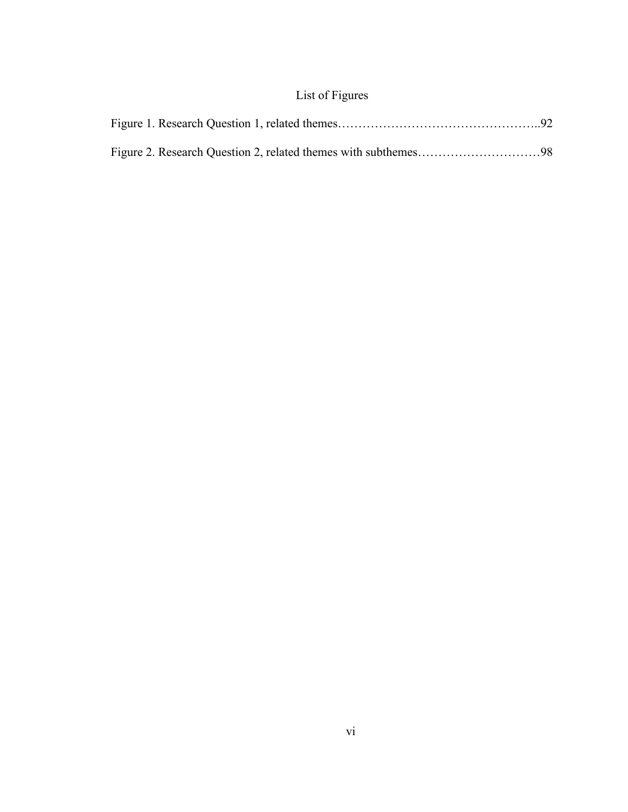# List of Figures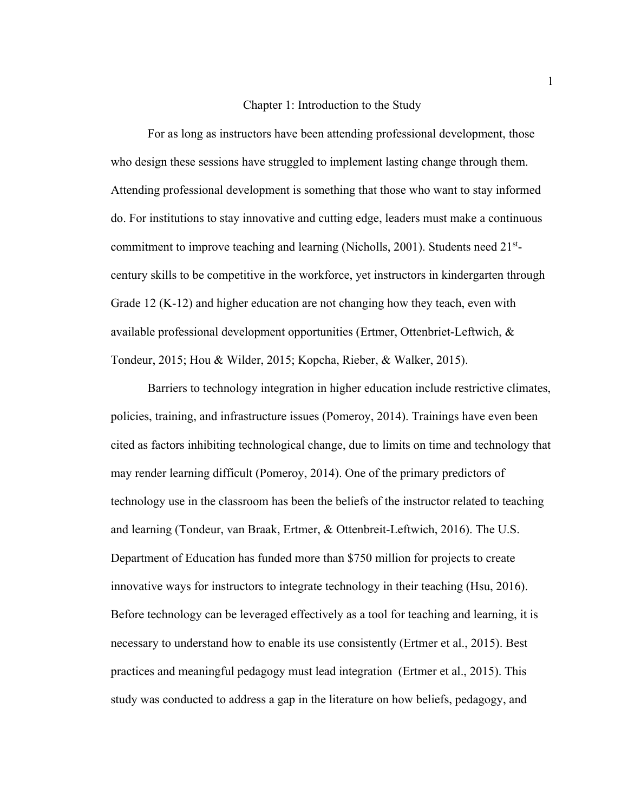#### Chapter 1: Introduction to the Study

For as long as instructors have been attending professional development, those who design these sessions have struggled to implement lasting change through them. Attending professional development is something that those who want to stay informed do. For institutions to stay innovative and cutting edge, leaders must make a continuous commitment to improve teaching and learning (Nicholls, 2001). Students need 21<sup>st</sup>century skills to be competitive in the workforce, yet instructors in kindergarten through Grade 12 (K-12) and higher education are not changing how they teach, even with available professional development opportunities (Ertmer, Ottenbriet-Leftwich, & Tondeur, 2015; Hou & Wilder, 2015; Kopcha, Rieber, & Walker, 2015).

Barriers to technology integration in higher education include restrictive climates, policies, training, and infrastructure issues (Pomeroy, 2014). Trainings have even been cited as factors inhibiting technological change, due to limits on time and technology that may render learning difficult (Pomeroy, 2014). One of the primary predictors of technology use in the classroom has been the beliefs of the instructor related to teaching and learning (Tondeur, van Braak, Ertmer, & Ottenbreit-Leftwich, 2016). The U.S. Department of Education has funded more than \$750 million for projects to create innovative ways for instructors to integrate technology in their teaching (Hsu, 2016). Before technology can be leveraged effectively as a tool for teaching and learning, it is necessary to understand how to enable its use consistently (Ertmer et al., 2015). Best practices and meaningful pedagogy must lead integration (Ertmer et al., 2015). This study was conducted to address a gap in the literature on how beliefs, pedagogy, and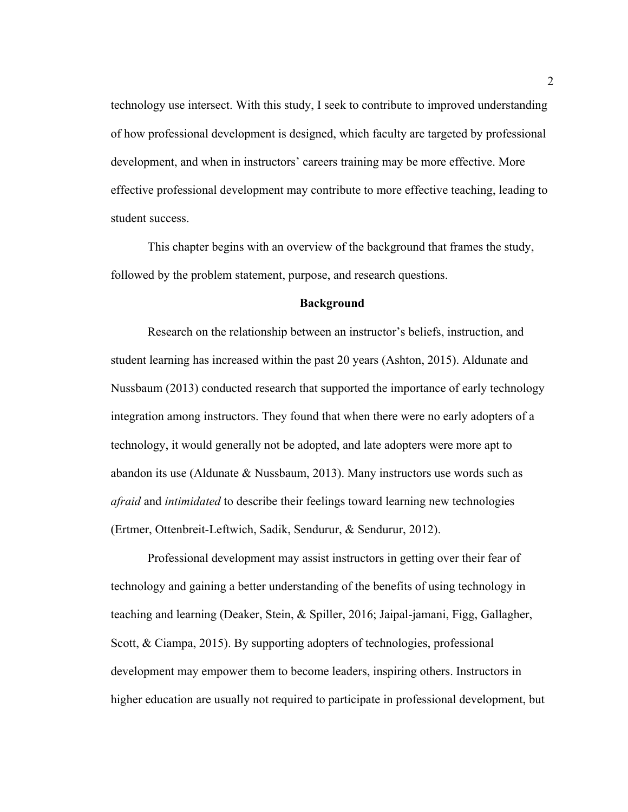technology use intersect. With this study, I seek to contribute to improved understanding of how professional development is designed, which faculty are targeted by professional development, and when in instructors' careers training may be more effective. More effective professional development may contribute to more effective teaching, leading to student success.

This chapter begins with an overview of the background that frames the study, followed by the problem statement, purpose, and research questions.

#### **Background**

Research on the relationship between an instructor's beliefs, instruction, and student learning has increased within the past 20 years (Ashton, 2015). Aldunate and Nussbaum (2013) conducted research that supported the importance of early technology integration among instructors. They found that when there were no early adopters of a technology, it would generally not be adopted, and late adopters were more apt to abandon its use (Aldunate  $\&$  Nussbaum, 2013). Many instructors use words such as *afraid* and *intimidated* to describe their feelings toward learning new technologies (Ertmer, Ottenbreit-Leftwich, Sadik, Sendurur, & Sendurur, 2012).

Professional development may assist instructors in getting over their fear of technology and gaining a better understanding of the benefits of using technology in teaching and learning (Deaker, Stein, & Spiller, 2016; Jaipal-jamani, Figg, Gallagher, Scott, & Ciampa, 2015). By supporting adopters of technologies, professional development may empower them to become leaders, inspiring others. Instructors in higher education are usually not required to participate in professional development, but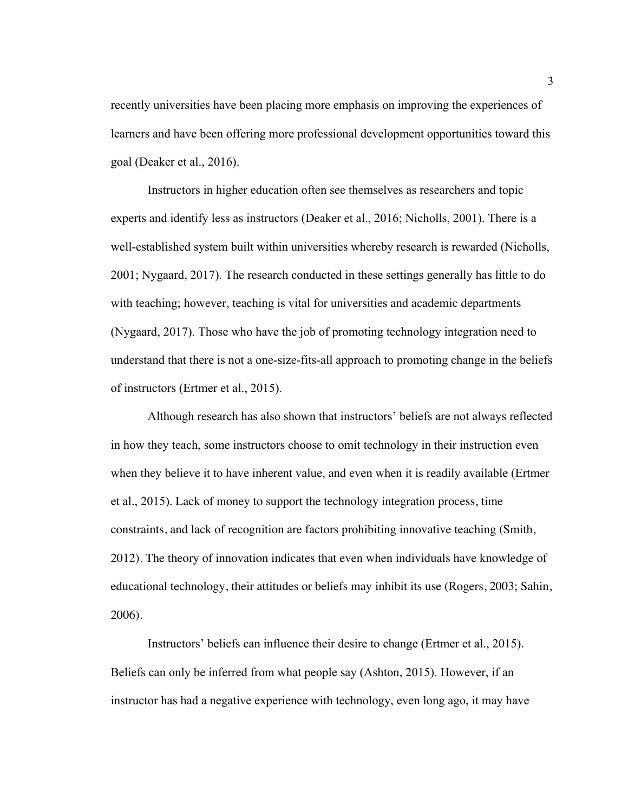recently universities have been placing more emphasis on improving the experiences of learners and have been offering more professional development opportunities toward this goal (Deaker et al., 2016).

Instructors in higher education often see themselves as researchers and topic experts and identify less as instructors (Deaker et al., 2016; Nicholls, 2001). There is a well-established system built within universities whereby research is rewarded (Nicholls, 2001; Nygaard, 2017). The research conducted in these settings generally has little to do with teaching; however, teaching is vital for universities and academic departments (Nygaard, 2017). Those who have the job of promoting technology integration need to understand that there is not a one-size-fits-all approach to promoting change in the beliefs of instructors (Ertmer et al., 2015).

Although research has also shown that instructors' beliefs are not always reflected in how they teach, some instructors choose to omit technology in their instruction even when they believe it to have inherent value, and even when it is readily available (Ertmer et al., 2015). Lack of money to support the technology integration process, time constraints, and lack of recognition are factors prohibiting innovative teaching (Smith, 2012). The theory of innovation indicates that even when individuals have knowledge of educational technology, their attitudes or beliefs may inhibit its use (Rogers, 2003; Sahin, 2006).

Instructors' beliefs can influence their desire to change (Ertmer et al., 2015). Beliefs can only be inferred from what people say (Ashton, 2015). However, if an instructor has had a negative experience with technology, even long ago, it may have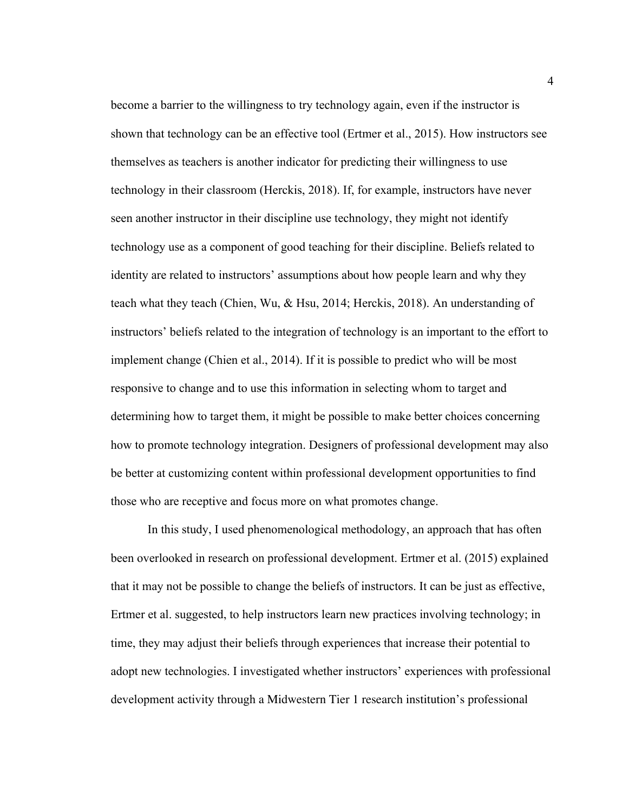become a barrier to the willingness to try technology again, even if the instructor is shown that technology can be an effective tool (Ertmer et al., 2015). How instructors see themselves as teachers is another indicator for predicting their willingness to use technology in their classroom (Herckis, 2018). If, for example, instructors have never seen another instructor in their discipline use technology, they might not identify technology use as a component of good teaching for their discipline. Beliefs related to identity are related to instructors' assumptions about how people learn and why they teach what they teach (Chien, Wu, & Hsu, 2014; Herckis, 2018). An understanding of instructors' beliefs related to the integration of technology is an important to the effort to implement change (Chien et al., 2014). If it is possible to predict who will be most responsive to change and to use this information in selecting whom to target and determining how to target them, it might be possible to make better choices concerning how to promote technology integration. Designers of professional development may also be better at customizing content within professional development opportunities to find those who are receptive and focus more on what promotes change.

In this study, I used phenomenological methodology, an approach that has often been overlooked in research on professional development. Ertmer et al. (2015) explained that it may not be possible to change the beliefs of instructors. It can be just as effective, Ertmer et al. suggested, to help instructors learn new practices involving technology; in time, they may adjust their beliefs through experiences that increase their potential to adopt new technologies. I investigated whether instructors' experiences with professional development activity through a Midwestern Tier 1 research institution's professional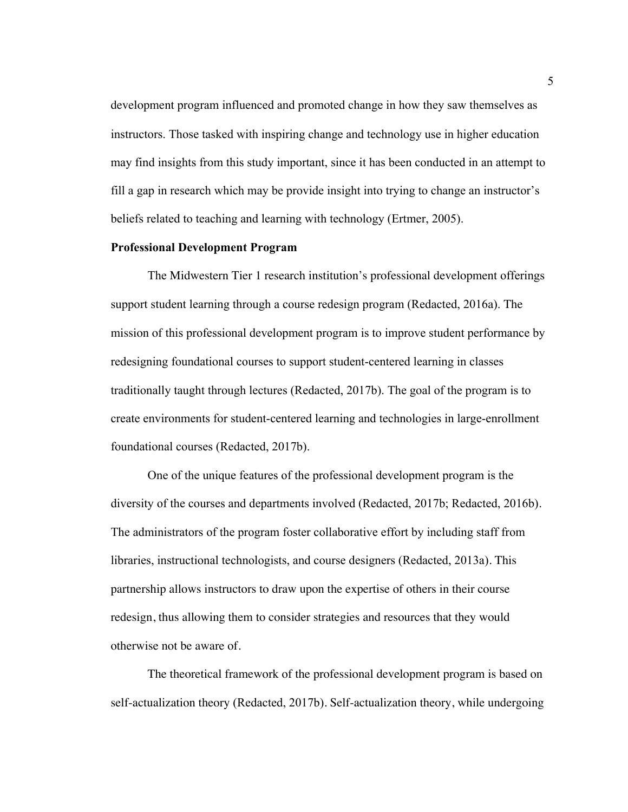development program influenced and promoted change in how they saw themselves as instructors. Those tasked with inspiring change and technology use in higher education may find insights from this study important, since it has been conducted in an attempt to fill a gap in research which may be provide insight into trying to change an instructor's beliefs related to teaching and learning with technology (Ertmer, 2005).

#### **Professional Development Program**

The Midwestern Tier 1 research institution's professional development offerings support student learning through a course redesign program (Redacted, 2016a). The mission of this professional development program is to improve student performance by redesigning foundational courses to support student-centered learning in classes traditionally taught through lectures (Redacted, 2017b). The goal of the program is to create environments for student-centered learning and technologies in large-enrollment foundational courses (Redacted, 2017b).

One of the unique features of the professional development program is the diversity of the courses and departments involved (Redacted, 2017b; Redacted, 2016b). The administrators of the program foster collaborative effort by including staff from libraries, instructional technologists, and course designers (Redacted, 2013a). This partnership allows instructors to draw upon the expertise of others in their course redesign, thus allowing them to consider strategies and resources that they would otherwise not be aware of.

The theoretical framework of the professional development program is based on self-actualization theory (Redacted, 2017b). Self-actualization theory, while undergoing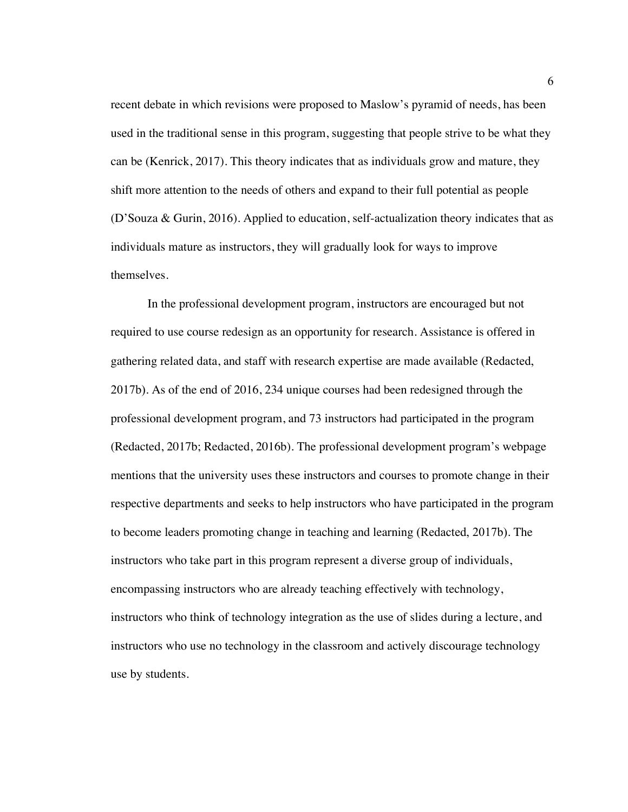recent debate in which revisions were proposed to Maslow's pyramid of needs, has been used in the traditional sense in this program, suggesting that people strive to be what they can be (Kenrick, 2017). This theory indicates that as individuals grow and mature, they shift more attention to the needs of others and expand to their full potential as people (D'Souza & Gurin, 2016). Applied to education, self-actualization theory indicates that as individuals mature as instructors, they will gradually look for ways to improve themselves.

In the professional development program, instructors are encouraged but not required to use course redesign as an opportunity for research. Assistance is offered in gathering related data, and staff with research expertise are made available (Redacted, 2017b). As of the end of 2016, 234 unique courses had been redesigned through the professional development program, and 73 instructors had participated in the program (Redacted, 2017b; Redacted, 2016b). The professional development program's webpage mentions that the university uses these instructors and courses to promote change in their respective departments and seeks to help instructors who have participated in the program to become leaders promoting change in teaching and learning (Redacted, 2017b). The instructors who take part in this program represent a diverse group of individuals, encompassing instructors who are already teaching effectively with technology, instructors who think of technology integration as the use of slides during a lecture, and instructors who use no technology in the classroom and actively discourage technology use by students.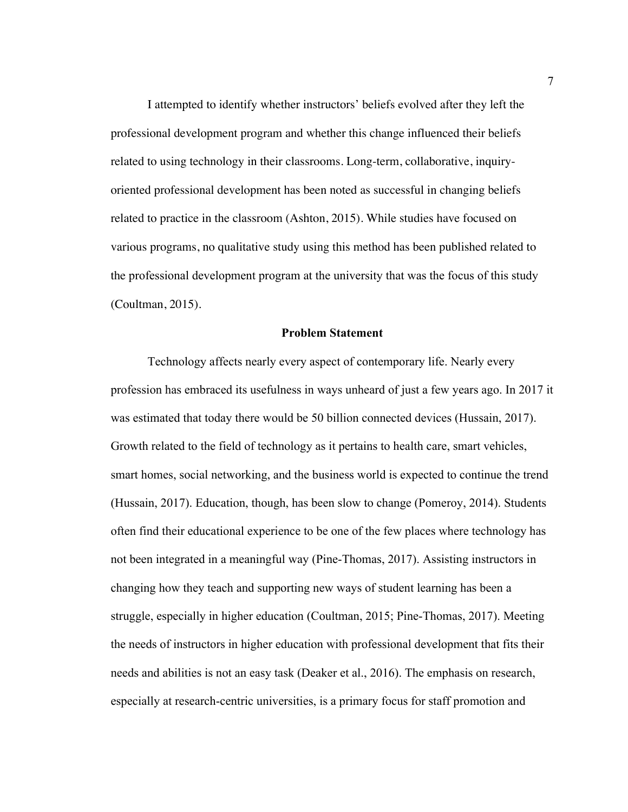I attempted to identify whether instructors' beliefs evolved after they left the professional development program and whether this change influenced their beliefs related to using technology in their classrooms. Long-term, collaborative, inquiryoriented professional development has been noted as successful in changing beliefs related to practice in the classroom (Ashton, 2015). While studies have focused on various programs, no qualitative study using this method has been published related to the professional development program at the university that was the focus of this study (Coultman, 2015).

#### **Problem Statement**

Technology affects nearly every aspect of contemporary life. Nearly every profession has embraced its usefulness in ways unheard of just a few years ago. In 2017 it was estimated that today there would be 50 billion connected devices (Hussain, 2017). Growth related to the field of technology as it pertains to health care, smart vehicles, smart homes, social networking, and the business world is expected to continue the trend (Hussain, 2017). Education, though, has been slow to change (Pomeroy, 2014). Students often find their educational experience to be one of the few places where technology has not been integrated in a meaningful way (Pine-Thomas, 2017). Assisting instructors in changing how they teach and supporting new ways of student learning has been a struggle, especially in higher education (Coultman, 2015; Pine-Thomas, 2017). Meeting the needs of instructors in higher education with professional development that fits their needs and abilities is not an easy task (Deaker et al., 2016). The emphasis on research, especially at research-centric universities, is a primary focus for staff promotion and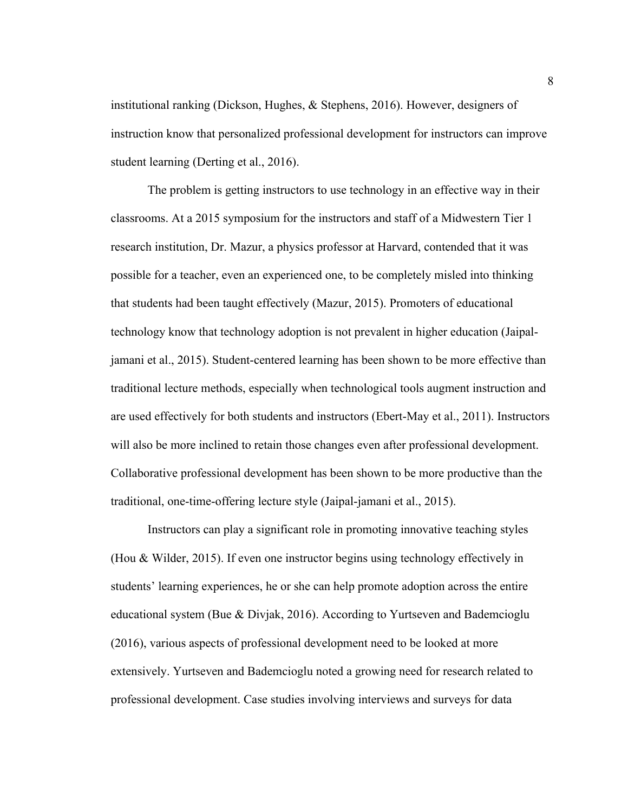institutional ranking (Dickson, Hughes, & Stephens, 2016). However, designers of instruction know that personalized professional development for instructors can improve student learning (Derting et al., 2016).

The problem is getting instructors to use technology in an effective way in their classrooms. At a 2015 symposium for the instructors and staff of a Midwestern Tier 1 research institution, Dr. Mazur, a physics professor at Harvard, contended that it was possible for a teacher, even an experienced one, to be completely misled into thinking that students had been taught effectively (Mazur, 2015). Promoters of educational technology know that technology adoption is not prevalent in higher education (Jaipaljamani et al., 2015). Student-centered learning has been shown to be more effective than traditional lecture methods, especially when technological tools augment instruction and are used effectively for both students and instructors (Ebert-May et al., 2011). Instructors will also be more inclined to retain those changes even after professional development. Collaborative professional development has been shown to be more productive than the traditional, one-time-offering lecture style (Jaipal-jamani et al., 2015).

Instructors can play a significant role in promoting innovative teaching styles (Hou & Wilder, 2015). If even one instructor begins using technology effectively in students' learning experiences, he or she can help promote adoption across the entire educational system (Bue & Divjak, 2016). According to Yurtseven and Bademcioglu (2016), various aspects of professional development need to be looked at more extensively. Yurtseven and Bademcioglu noted a growing need for research related to professional development. Case studies involving interviews and surveys for data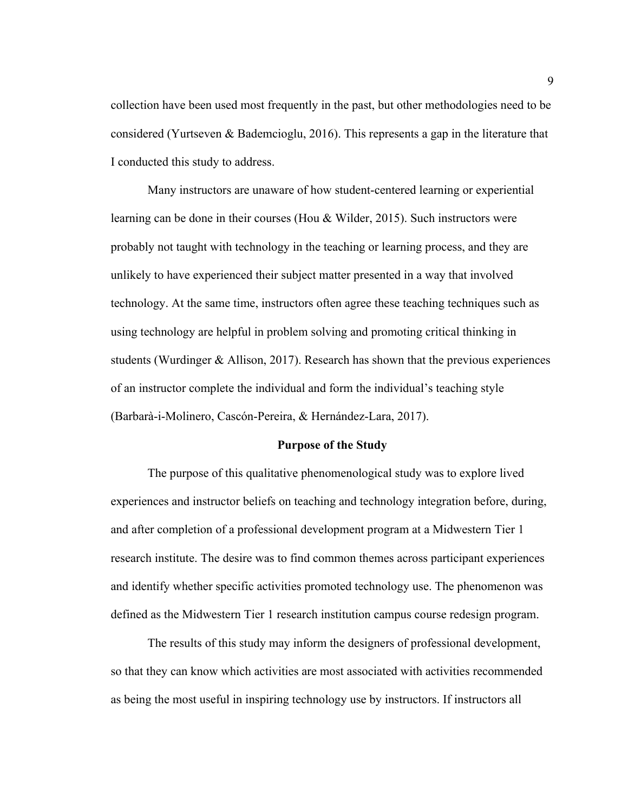collection have been used most frequently in the past, but other methodologies need to be considered (Yurtseven & Bademcioglu, 2016). This represents a gap in the literature that I conducted this study to address.

Many instructors are unaware of how student-centered learning or experiential learning can be done in their courses (Hou & Wilder, 2015). Such instructors were probably not taught with technology in the teaching or learning process, and they are unlikely to have experienced their subject matter presented in a way that involved technology. At the same time, instructors often agree these teaching techniques such as using technology are helpful in problem solving and promoting critical thinking in students (Wurdinger & Allison, 2017). Research has shown that the previous experiences of an instructor complete the individual and form the individual's teaching style (Barbarà-i-Molinero, Cascón-Pereira, & Hernández-Lara, 2017).

#### **Purpose of the Study**

The purpose of this qualitative phenomenological study was to explore lived experiences and instructor beliefs on teaching and technology integration before, during, and after completion of a professional development program at a Midwestern Tier 1 research institute. The desire was to find common themes across participant experiences and identify whether specific activities promoted technology use. The phenomenon was defined as the Midwestern Tier 1 research institution campus course redesign program.

The results of this study may inform the designers of professional development, so that they can know which activities are most associated with activities recommended as being the most useful in inspiring technology use by instructors. If instructors all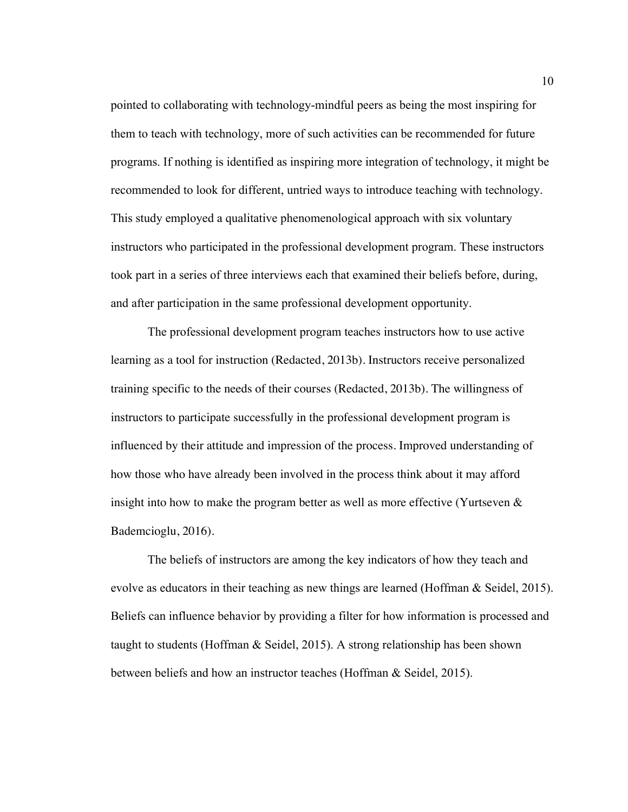pointed to collaborating with technology-mindful peers as being the most inspiring for them to teach with technology, more of such activities can be recommended for future programs. If nothing is identified as inspiring more integration of technology, it might be recommended to look for different, untried ways to introduce teaching with technology. This study employed a qualitative phenomenological approach with six voluntary instructors who participated in the professional development program. These instructors took part in a series of three interviews each that examined their beliefs before, during, and after participation in the same professional development opportunity.

The professional development program teaches instructors how to use active learning as a tool for instruction (Redacted, 2013b). Instructors receive personalized training specific to the needs of their courses (Redacted, 2013b). The willingness of instructors to participate successfully in the professional development program is influenced by their attitude and impression of the process. Improved understanding of how those who have already been involved in the process think about it may afford insight into how to make the program better as well as more effective (Yurtseven  $\&$ Bademcioglu, 2016).

The beliefs of instructors are among the key indicators of how they teach and evolve as educators in their teaching as new things are learned (Hoffman & Seidel, 2015). Beliefs can influence behavior by providing a filter for how information is processed and taught to students (Hoffman & Seidel, 2015). A strong relationship has been shown between beliefs and how an instructor teaches (Hoffman & Seidel, 2015).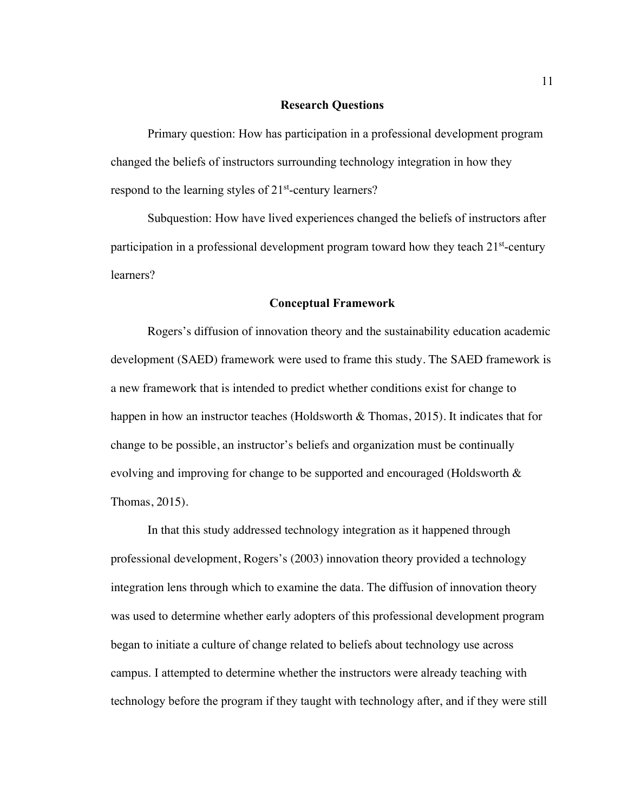#### **Research Questions**

Primary question: How has participation in a professional development program changed the beliefs of instructors surrounding technology integration in how they respond to the learning styles of 21<sup>st</sup>-century learners?

Subquestion: How have lived experiences changed the beliefs of instructors after participation in a professional development program toward how they teach  $21<sup>st</sup>$ -century learners?

#### **Conceptual Framework**

Rogers's diffusion of innovation theory and the sustainability education academic development (SAED) framework were used to frame this study. The SAED framework is a new framework that is intended to predict whether conditions exist for change to happen in how an instructor teaches (Holdsworth & Thomas, 2015). It indicates that for change to be possible, an instructor's beliefs and organization must be continually evolving and improving for change to be supported and encouraged (Holdsworth & Thomas, 2015).

In that this study addressed technology integration as it happened through professional development, Rogers's (2003) innovation theory provided a technology integration lens through which to examine the data. The diffusion of innovation theory was used to determine whether early adopters of this professional development program began to initiate a culture of change related to beliefs about technology use across campus. I attempted to determine whether the instructors were already teaching with technology before the program if they taught with technology after, and if they were still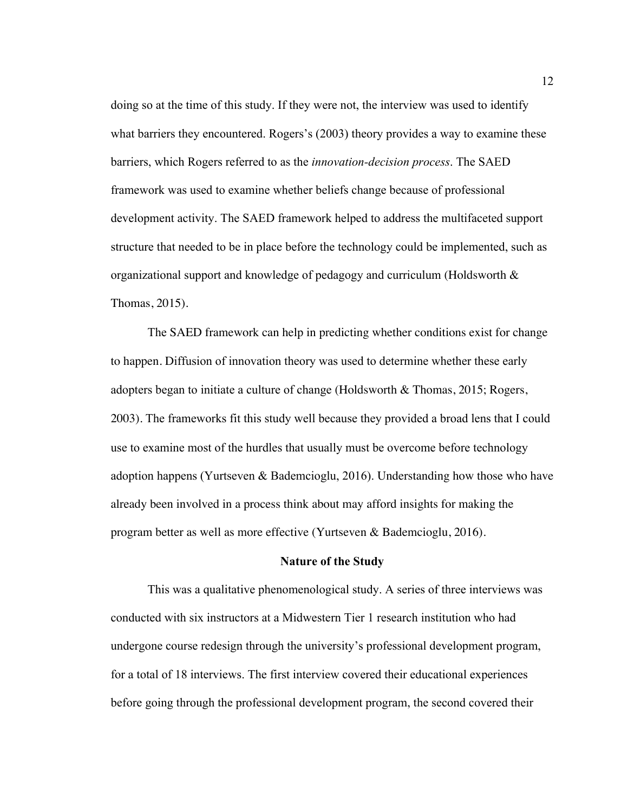doing so at the time of this study. If they were not, the interview was used to identify what barriers they encountered. Rogers's (2003) theory provides a way to examine these barriers, which Rogers referred to as the *innovation-decision process*. The SAED framework was used to examine whether beliefs change because of professional development activity. The SAED framework helped to address the multifaceted support structure that needed to be in place before the technology could be implemented, such as organizational support and knowledge of pedagogy and curriculum (Holdsworth & Thomas, 2015).

The SAED framework can help in predicting whether conditions exist for change to happen. Diffusion of innovation theory was used to determine whether these early adopters began to initiate a culture of change (Holdsworth & Thomas, 2015; Rogers, 2003). The frameworks fit this study well because they provided a broad lens that I could use to examine most of the hurdles that usually must be overcome before technology adoption happens (Yurtseven & Bademcioglu, 2016). Understanding how those who have already been involved in a process think about may afford insights for making the program better as well as more effective (Yurtseven & Bademcioglu, 2016).

#### **Nature of the Study**

This was a qualitative phenomenological study. A series of three interviews was conducted with six instructors at a Midwestern Tier 1 research institution who had undergone course redesign through the university's professional development program, for a total of 18 interviews. The first interview covered their educational experiences before going through the professional development program, the second covered their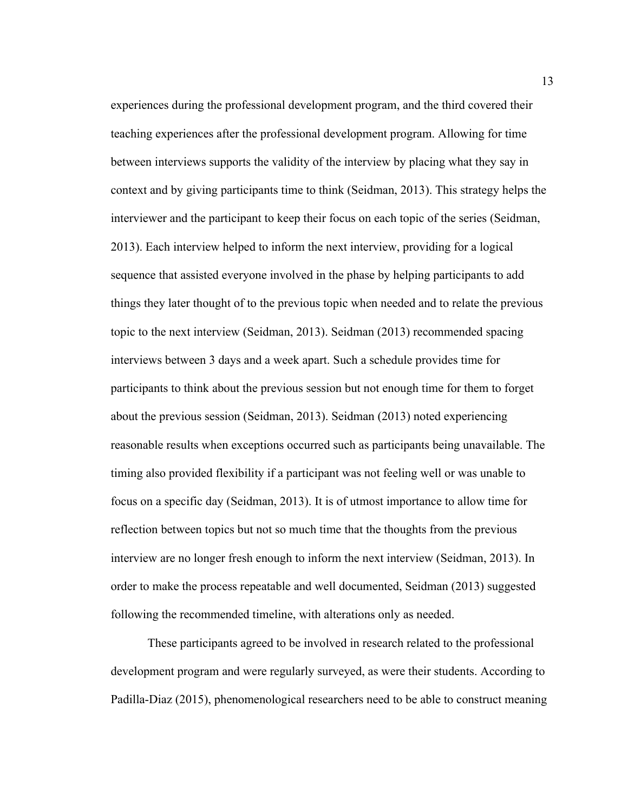experiences during the professional development program, and the third covered their teaching experiences after the professional development program. Allowing for time between interviews supports the validity of the interview by placing what they say in context and by giving participants time to think (Seidman, 2013). This strategy helps the interviewer and the participant to keep their focus on each topic of the series (Seidman, 2013). Each interview helped to inform the next interview, providing for a logical sequence that assisted everyone involved in the phase by helping participants to add things they later thought of to the previous topic when needed and to relate the previous topic to the next interview (Seidman, 2013). Seidman (2013) recommended spacing interviews between 3 days and a week apart. Such a schedule provides time for participants to think about the previous session but not enough time for them to forget about the previous session (Seidman, 2013). Seidman (2013) noted experiencing reasonable results when exceptions occurred such as participants being unavailable. The timing also provided flexibility if a participant was not feeling well or was unable to focus on a specific day (Seidman, 2013). It is of utmost importance to allow time for reflection between topics but not so much time that the thoughts from the previous interview are no longer fresh enough to inform the next interview (Seidman, 2013). In order to make the process repeatable and well documented, Seidman (2013) suggested following the recommended timeline, with alterations only as needed.

These participants agreed to be involved in research related to the professional development program and were regularly surveyed, as were their students. According to Padilla-Diaz (2015), phenomenological researchers need to be able to construct meaning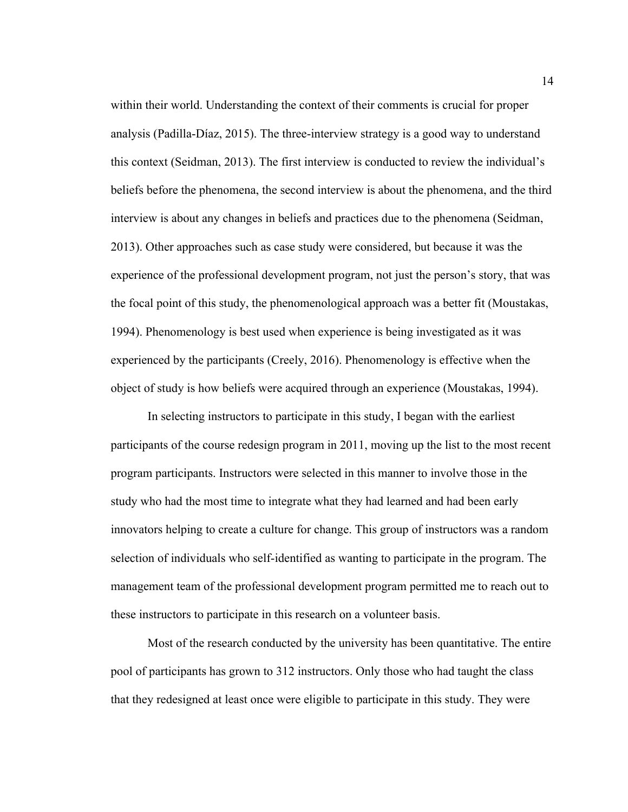within their world. Understanding the context of their comments is crucial for proper analysis (Padilla-Díaz, 2015). The three-interview strategy is a good way to understand this context (Seidman, 2013). The first interview is conducted to review the individual's beliefs before the phenomena, the second interview is about the phenomena, and the third interview is about any changes in beliefs and practices due to the phenomena (Seidman, 2013). Other approaches such as case study were considered, but because it was the experience of the professional development program, not just the person's story, that was the focal point of this study, the phenomenological approach was a better fit (Moustakas, 1994). Phenomenology is best used when experience is being investigated as it was experienced by the participants (Creely, 2016). Phenomenology is effective when the object of study is how beliefs were acquired through an experience (Moustakas, 1994).

In selecting instructors to participate in this study, I began with the earliest participants of the course redesign program in 2011, moving up the list to the most recent program participants. Instructors were selected in this manner to involve those in the study who had the most time to integrate what they had learned and had been early innovators helping to create a culture for change. This group of instructors was a random selection of individuals who self-identified as wanting to participate in the program. The management team of the professional development program permitted me to reach out to these instructors to participate in this research on a volunteer basis.

Most of the research conducted by the university has been quantitative. The entire pool of participants has grown to 312 instructors. Only those who had taught the class that they redesigned at least once were eligible to participate in this study. They were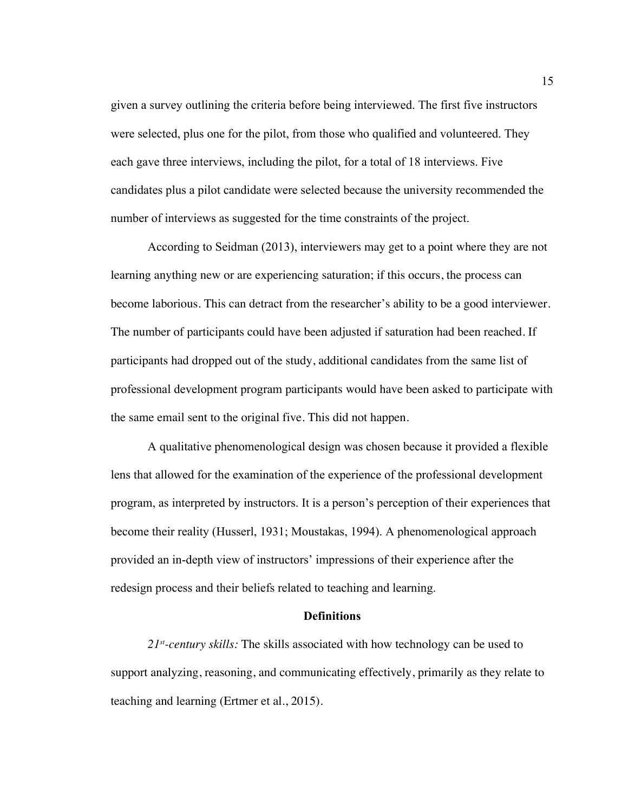given a survey outlining the criteria before being interviewed. The first five instructors were selected, plus one for the pilot, from those who qualified and volunteered. They each gave three interviews, including the pilot, for a total of 18 interviews. Five candidates plus a pilot candidate were selected because the university recommended the number of interviews as suggested for the time constraints of the project.

According to Seidman (2013), interviewers may get to a point where they are not learning anything new or are experiencing saturation; if this occurs, the process can become laborious. This can detract from the researcher's ability to be a good interviewer. The number of participants could have been adjusted if saturation had been reached. If participants had dropped out of the study, additional candidates from the same list of professional development program participants would have been asked to participate with the same email sent to the original five. This did not happen.

A qualitative phenomenological design was chosen because it provided a flexible lens that allowed for the examination of the experience of the professional development program, as interpreted by instructors. It is a person's perception of their experiences that become their reality (Husserl, 1931; Moustakas, 1994). A phenomenological approach provided an in-depth view of instructors' impressions of their experience after the redesign process and their beliefs related to teaching and learning.

#### **Definitions**

*21st-century skills:* The skills associated with how technology can be used to support analyzing, reasoning, and communicating effectively, primarily as they relate to teaching and learning (Ertmer et al., 2015).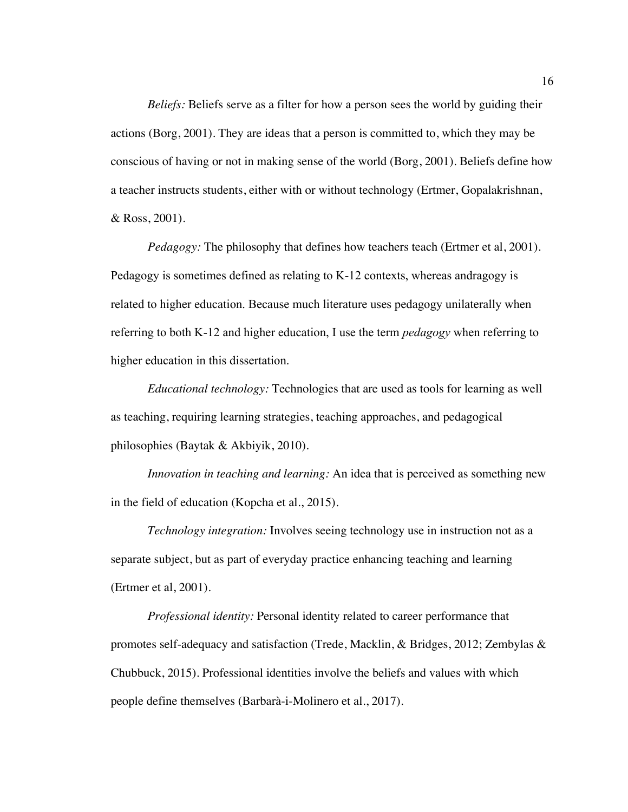*Beliefs:* Beliefs serve as a filter for how a person sees the world by guiding their actions (Borg, 2001). They are ideas that a person is committed to, which they may be conscious of having or not in making sense of the world (Borg, 2001). Beliefs define how a teacher instructs students, either with or without technology (Ertmer, Gopalakrishnan, & Ross, 2001).

*Pedagogy:* The philosophy that defines how teachers teach (Ertmer et al, 2001). Pedagogy is sometimes defined as relating to K-12 contexts, whereas andragogy is related to higher education. Because much literature uses pedagogy unilaterally when referring to both K-12 and higher education, I use the term *pedagogy* when referring to higher education in this dissertation.

*Educational technology:* Technologies that are used as tools for learning as well as teaching, requiring learning strategies, teaching approaches, and pedagogical philosophies (Baytak & Akbiyik, 2010).

*Innovation in teaching and learning:* An idea that is perceived as something new in the field of education (Kopcha et al., 2015).

*Technology integration:* Involves seeing technology use in instruction not as a separate subject, but as part of everyday practice enhancing teaching and learning (Ertmer et al, 2001).

*Professional identity:* Personal identity related to career performance that promotes self-adequacy and satisfaction (Trede, Macklin, & Bridges, 2012; Zembylas & Chubbuck, 2015). Professional identities involve the beliefs and values with which people define themselves (Barbarà-i-Molinero et al., 2017).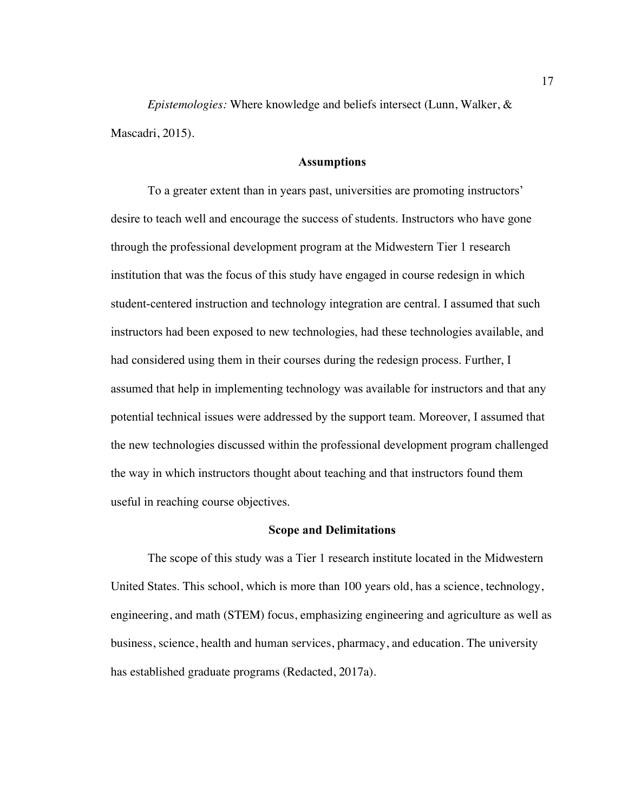*Epistemologies:* Where knowledge and beliefs intersect (Lunn, Walker, & Mascadri, 2015).

#### **Assumptions**

To a greater extent than in years past, universities are promoting instructors' desire to teach well and encourage the success of students. Instructors who have gone through the professional development program at the Midwestern Tier 1 research institution that was the focus of this study have engaged in course redesign in which student-centered instruction and technology integration are central. I assumed that such instructors had been exposed to new technologies, had these technologies available, and had considered using them in their courses during the redesign process. Further, I assumed that help in implementing technology was available for instructors and that any potential technical issues were addressed by the support team. Moreover, I assumed that the new technologies discussed within the professional development program challenged the way in which instructors thought about teaching and that instructors found them useful in reaching course objectives.

#### **Scope and Delimitations**

The scope of this study was a Tier 1 research institute located in the Midwestern United States. This school, which is more than 100 years old, has a science, technology, engineering, and math (STEM) focus, emphasizing engineering and agriculture as well as business, science, health and human services, pharmacy, and education. The university has established graduate programs (Redacted, 2017a).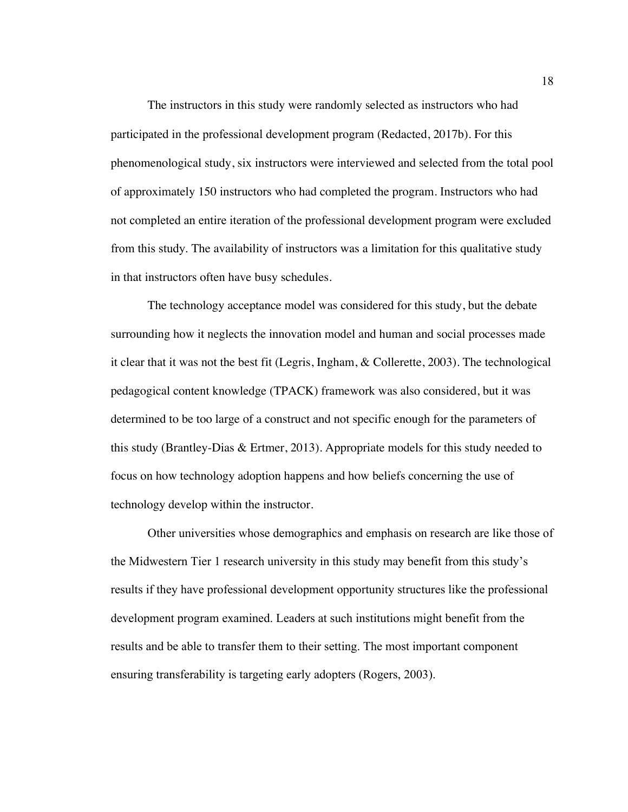The instructors in this study were randomly selected as instructors who had participated in the professional development program (Redacted, 2017b). For this phenomenological study, six instructors were interviewed and selected from the total pool of approximately 150 instructors who had completed the program. Instructors who had not completed an entire iteration of the professional development program were excluded from this study. The availability of instructors was a limitation for this qualitative study in that instructors often have busy schedules.

The technology acceptance model was considered for this study, but the debate surrounding how it neglects the innovation model and human and social processes made it clear that it was not the best fit (Legris, Ingham, & Collerette, 2003). The technological pedagogical content knowledge (TPACK) framework was also considered, but it was determined to be too large of a construct and not specific enough for the parameters of this study (Brantley-Dias & Ertmer, 2013). Appropriate models for this study needed to focus on how technology adoption happens and how beliefs concerning the use of technology develop within the instructor.

Other universities whose demographics and emphasis on research are like those of the Midwestern Tier 1 research university in this study may benefit from this study's results if they have professional development opportunity structures like the professional development program examined. Leaders at such institutions might benefit from the results and be able to transfer them to their setting. The most important component ensuring transferability is targeting early adopters (Rogers, 2003).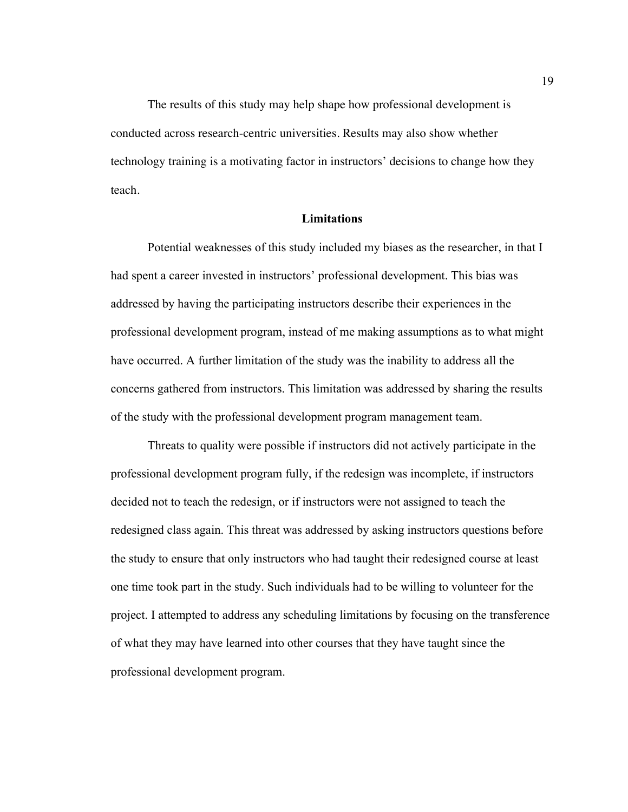The results of this study may help shape how professional development is conducted across research-centric universities. Results may also show whether technology training is a motivating factor in instructors' decisions to change how they teach.

#### **Limitations**

Potential weaknesses of this study included my biases as the researcher, in that I had spent a career invested in instructors' professional development. This bias was addressed by having the participating instructors describe their experiences in the professional development program, instead of me making assumptions as to what might have occurred. A further limitation of the study was the inability to address all the concerns gathered from instructors. This limitation was addressed by sharing the results of the study with the professional development program management team.

Threats to quality were possible if instructors did not actively participate in the professional development program fully, if the redesign was incomplete, if instructors decided not to teach the redesign, or if instructors were not assigned to teach the redesigned class again. This threat was addressed by asking instructors questions before the study to ensure that only instructors who had taught their redesigned course at least one time took part in the study. Such individuals had to be willing to volunteer for the project. I attempted to address any scheduling limitations by focusing on the transference of what they may have learned into other courses that they have taught since the professional development program.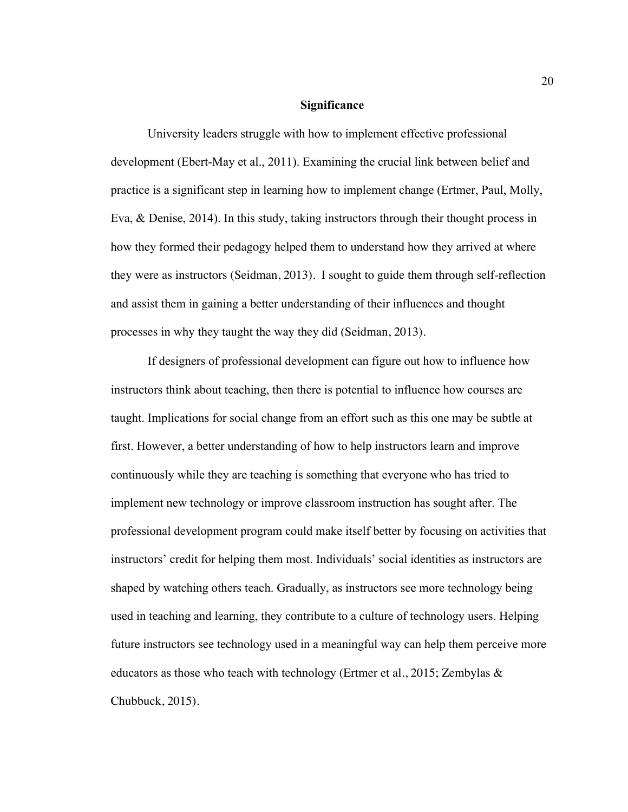#### **Significance**

University leaders struggle with how to implement effective professional development (Ebert-May et al., 2011). Examining the crucial link between belief and practice is a significant step in learning how to implement change (Ertmer, Paul, Molly, Eva, & Denise, 2014). In this study, taking instructors through their thought process in how they formed their pedagogy helped them to understand how they arrived at where they were as instructors (Seidman, 2013). I sought to guide them through self-reflection and assist them in gaining a better understanding of their influences and thought processes in why they taught the way they did (Seidman, 2013).

If designers of professional development can figure out how to influence how instructors think about teaching, then there is potential to influence how courses are taught. Implications for social change from an effort such as this one may be subtle at first. However, a better understanding of how to help instructors learn and improve continuously while they are teaching is something that everyone who has tried to implement new technology or improve classroom instruction has sought after. The professional development program could make itself better by focusing on activities that instructors' credit for helping them most. Individuals' social identities as instructors are shaped by watching others teach. Gradually, as instructors see more technology being used in teaching and learning, they contribute to a culture of technology users. Helping future instructors see technology used in a meaningful way can help them perceive more educators as those who teach with technology (Ertmer et al., 2015; Zembylas & Chubbuck, 2015).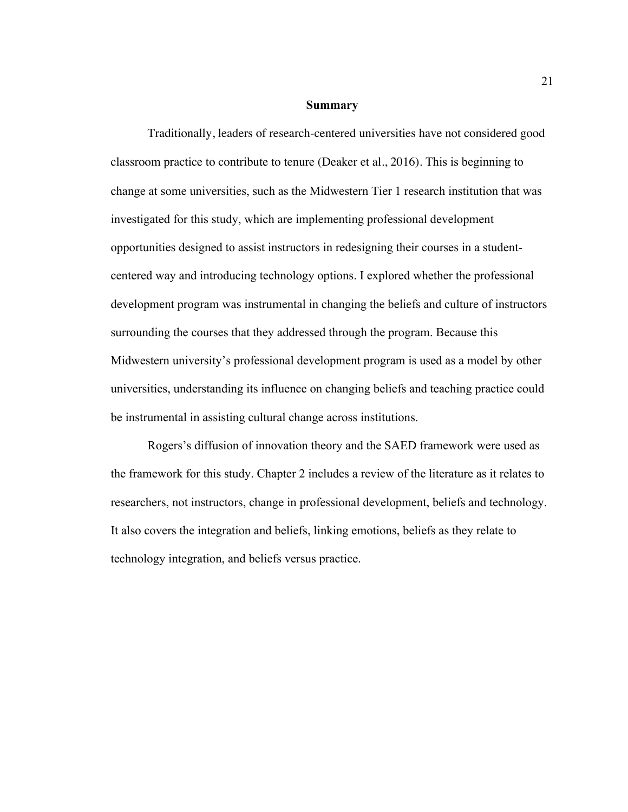#### **Summary**

Traditionally, leaders of research-centered universities have not considered good classroom practice to contribute to tenure (Deaker et al., 2016). This is beginning to change at some universities, such as the Midwestern Tier 1 research institution that was investigated for this study, which are implementing professional development opportunities designed to assist instructors in redesigning their courses in a studentcentered way and introducing technology options. I explored whether the professional development program was instrumental in changing the beliefs and culture of instructors surrounding the courses that they addressed through the program. Because this Midwestern university's professional development program is used as a model by other universities, understanding its influence on changing beliefs and teaching practice could be instrumental in assisting cultural change across institutions.

Rogers's diffusion of innovation theory and the SAED framework were used as the framework for this study. Chapter 2 includes a review of the literature as it relates to researchers, not instructors, change in professional development, beliefs and technology. It also covers the integration and beliefs, linking emotions, beliefs as they relate to technology integration, and beliefs versus practice.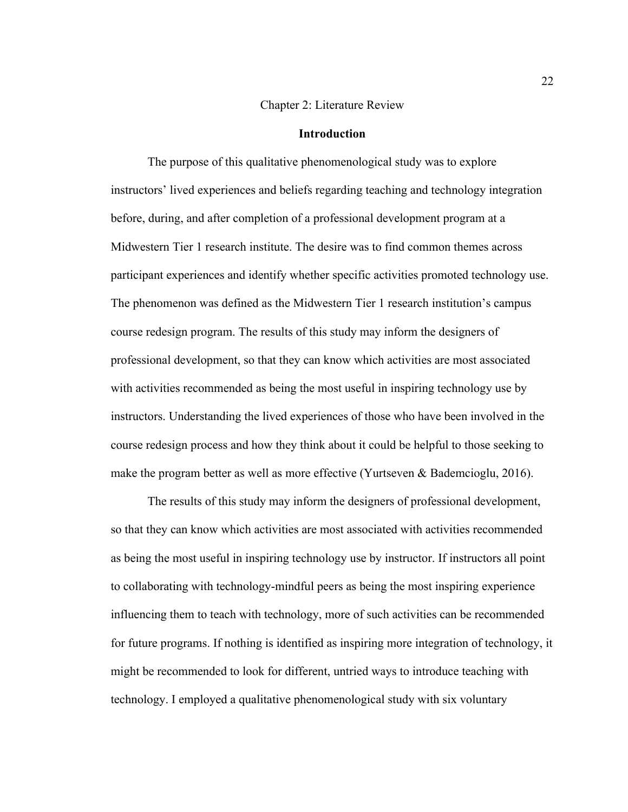#### Chapter 2: Literature Review

#### **Introduction**

The purpose of this qualitative phenomenological study was to explore instructors' lived experiences and beliefs regarding teaching and technology integration before, during, and after completion of a professional development program at a Midwestern Tier 1 research institute. The desire was to find common themes across participant experiences and identify whether specific activities promoted technology use. The phenomenon was defined as the Midwestern Tier 1 research institution's campus course redesign program. The results of this study may inform the designers of professional development, so that they can know which activities are most associated with activities recommended as being the most useful in inspiring technology use by instructors. Understanding the lived experiences of those who have been involved in the course redesign process and how they think about it could be helpful to those seeking to make the program better as well as more effective (Yurtseven & Bademcioglu, 2016).

The results of this study may inform the designers of professional development, so that they can know which activities are most associated with activities recommended as being the most useful in inspiring technology use by instructor. If instructors all point to collaborating with technology-mindful peers as being the most inspiring experience influencing them to teach with technology, more of such activities can be recommended for future programs. If nothing is identified as inspiring more integration of technology, it might be recommended to look for different, untried ways to introduce teaching with technology. I employed a qualitative phenomenological study with six voluntary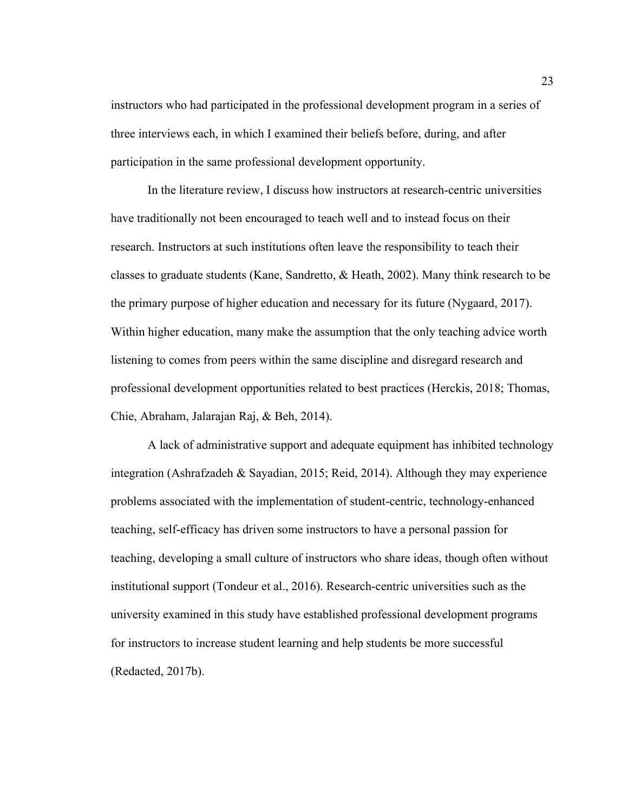instructors who had participated in the professional development program in a series of three interviews each, in which I examined their beliefs before, during, and after participation in the same professional development opportunity.

In the literature review, I discuss how instructors at research-centric universities have traditionally not been encouraged to teach well and to instead focus on their research. Instructors at such institutions often leave the responsibility to teach their classes to graduate students (Kane, Sandretto, & Heath, 2002). Many think research to be the primary purpose of higher education and necessary for its future (Nygaard, 2017). Within higher education, many make the assumption that the only teaching advice worth listening to comes from peers within the same discipline and disregard research and professional development opportunities related to best practices (Herckis, 2018; Thomas, Chie, Abraham, Jalarajan Raj, & Beh, 2014).

A lack of administrative support and adequate equipment has inhibited technology integration (Ashrafzadeh & Sayadian, 2015; Reid, 2014). Although they may experience problems associated with the implementation of student-centric, technology-enhanced teaching, self-efficacy has driven some instructors to have a personal passion for teaching, developing a small culture of instructors who share ideas, though often without institutional support (Tondeur et al., 2016). Research-centric universities such as the university examined in this study have established professional development programs for instructors to increase student learning and help students be more successful (Redacted, 2017b).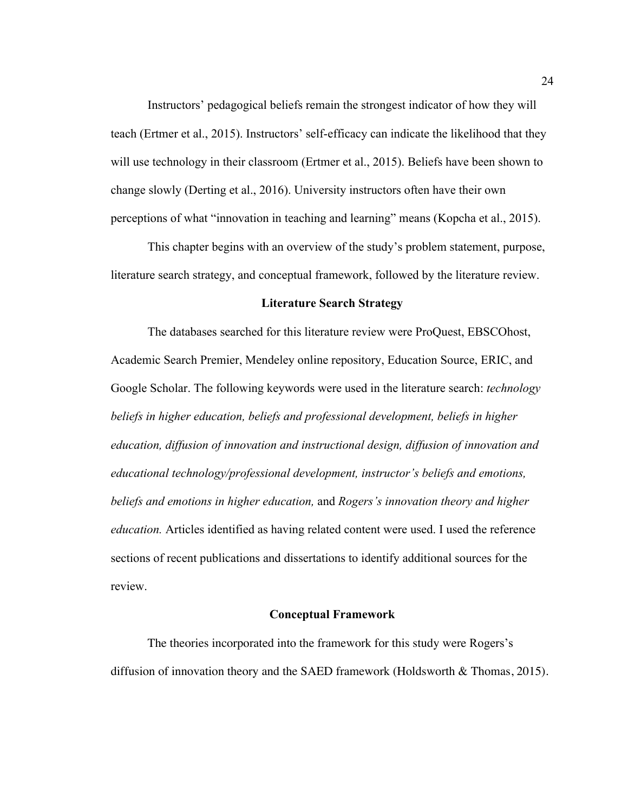Instructors' pedagogical beliefs remain the strongest indicator of how they will teach (Ertmer et al., 2015). Instructors' self-efficacy can indicate the likelihood that they will use technology in their classroom (Ertmer et al., 2015). Beliefs have been shown to change slowly (Derting et al., 2016). University instructors often have their own perceptions of what "innovation in teaching and learning" means (Kopcha et al., 2015).

This chapter begins with an overview of the study's problem statement, purpose, literature search strategy, and conceptual framework, followed by the literature review.

# **Literature Search Strategy**

The databases searched for this literature review were ProQuest, EBSCOhost, Academic Search Premier, Mendeley online repository, Education Source, ERIC, and Google Scholar. The following keywords were used in the literature search: *technology beliefs in higher education, beliefs and professional development, beliefs in higher education, diffusion of innovation and instructional design, diffusion of innovation and educational technology/professional development, instructor's beliefs and emotions, beliefs and emotions in higher education,* and *Rogers's innovation theory and higher education.* Articles identified as having related content were used. I used the reference sections of recent publications and dissertations to identify additional sources for the review.

## **Conceptual Framework**

The theories incorporated into the framework for this study were Rogers's diffusion of innovation theory and the SAED framework (Holdsworth & Thomas, 2015).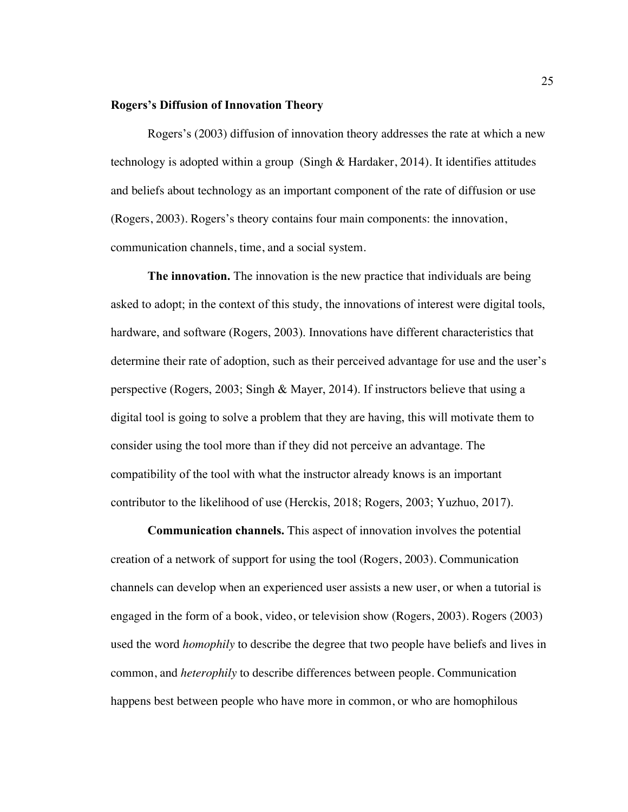### **Rogers's Diffusion of Innovation Theory**

Rogers's (2003) diffusion of innovation theory addresses the rate at which a new technology is adopted within a group (Singh & Hardaker, 2014). It identifies attitudes and beliefs about technology as an important component of the rate of diffusion or use (Rogers, 2003). Rogers's theory contains four main components: the innovation, communication channels, time, and a social system.

**The innovation.** The innovation is the new practice that individuals are being asked to adopt; in the context of this study, the innovations of interest were digital tools, hardware, and software (Rogers, 2003). Innovations have different characteristics that determine their rate of adoption, such as their perceived advantage for use and the user's perspective (Rogers, 2003; Singh & Mayer, 2014). If instructors believe that using a digital tool is going to solve a problem that they are having, this will motivate them to consider using the tool more than if they did not perceive an advantage. The compatibility of the tool with what the instructor already knows is an important contributor to the likelihood of use (Herckis, 2018; Rogers, 2003; Yuzhuo, 2017).

**Communication channels.** This aspect of innovation involves the potential creation of a network of support for using the tool (Rogers, 2003). Communication channels can develop when an experienced user assists a new user, or when a tutorial is engaged in the form of a book, video, or television show (Rogers, 2003). Rogers (2003) used the word *homophily* to describe the degree that two people have beliefs and lives in common, and *heterophily* to describe differences between people. Communication happens best between people who have more in common, or who are homophilous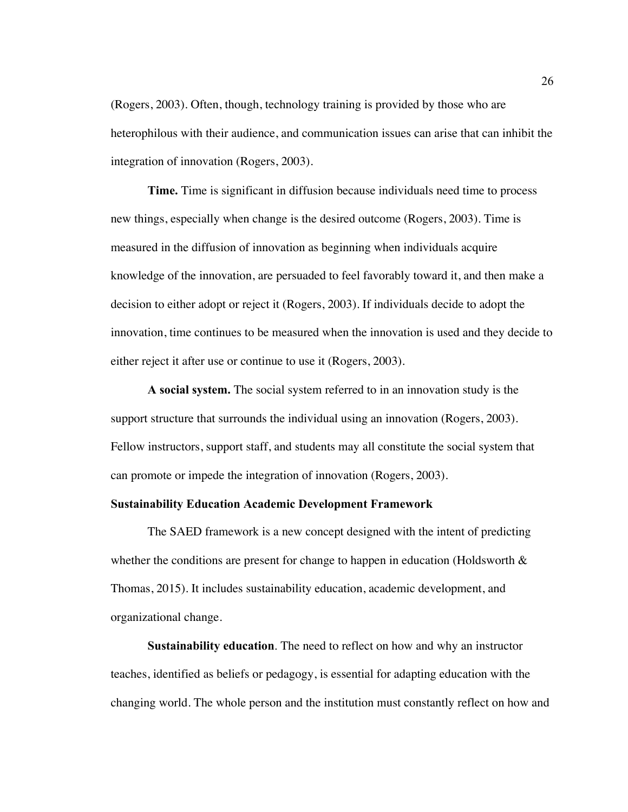(Rogers, 2003). Often, though, technology training is provided by those who are heterophilous with their audience, and communication issues can arise that can inhibit the integration of innovation (Rogers, 2003).

**Time.** Time is significant in diffusion because individuals need time to process new things, especially when change is the desired outcome (Rogers, 2003). Time is measured in the diffusion of innovation as beginning when individuals acquire knowledge of the innovation, are persuaded to feel favorably toward it, and then make a decision to either adopt or reject it (Rogers, 2003). If individuals decide to adopt the innovation, time continues to be measured when the innovation is used and they decide to either reject it after use or continue to use it (Rogers, 2003).

**A social system.** The social system referred to in an innovation study is the support structure that surrounds the individual using an innovation (Rogers, 2003). Fellow instructors, support staff, and students may all constitute the social system that can promote or impede the integration of innovation (Rogers, 2003).

## **Sustainability Education Academic Development Framework**

The SAED framework is a new concept designed with the intent of predicting whether the conditions are present for change to happen in education (Holdsworth  $\&$ Thomas, 2015). It includes sustainability education, academic development, and organizational change.

**Sustainability education**. The need to reflect on how and why an instructor teaches, identified as beliefs or pedagogy, is essential for adapting education with the changing world. The whole person and the institution must constantly reflect on how and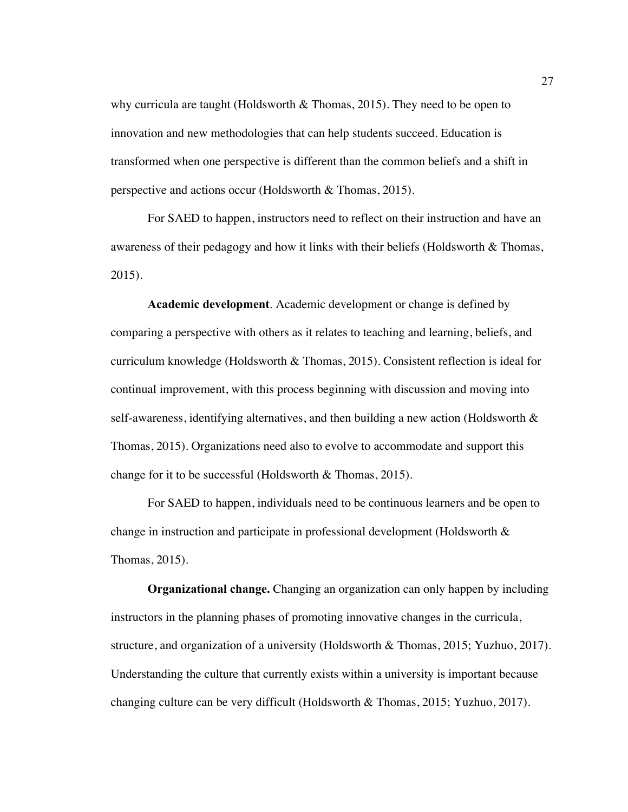why curricula are taught (Holdsworth & Thomas, 2015). They need to be open to innovation and new methodologies that can help students succeed. Education is transformed when one perspective is different than the common beliefs and a shift in perspective and actions occur (Holdsworth & Thomas, 2015).

For SAED to happen, instructors need to reflect on their instruction and have an awareness of their pedagogy and how it links with their beliefs (Holdsworth & Thomas, 2015).

**Academic development**. Academic development or change is defined by comparing a perspective with others as it relates to teaching and learning, beliefs, and curriculum knowledge (Holdsworth & Thomas, 2015). Consistent reflection is ideal for continual improvement, with this process beginning with discussion and moving into self-awareness, identifying alternatives, and then building a new action (Holdsworth & Thomas, 2015). Organizations need also to evolve to accommodate and support this change for it to be successful (Holdsworth & Thomas, 2015).

For SAED to happen, individuals need to be continuous learners and be open to change in instruction and participate in professional development (Holdsworth & Thomas, 2015).

**Organizational change.** Changing an organization can only happen by including instructors in the planning phases of promoting innovative changes in the curricula, structure, and organization of a university (Holdsworth & Thomas, 2015; Yuzhuo, 2017). Understanding the culture that currently exists within a university is important because changing culture can be very difficult (Holdsworth & Thomas, 2015; Yuzhuo, 2017).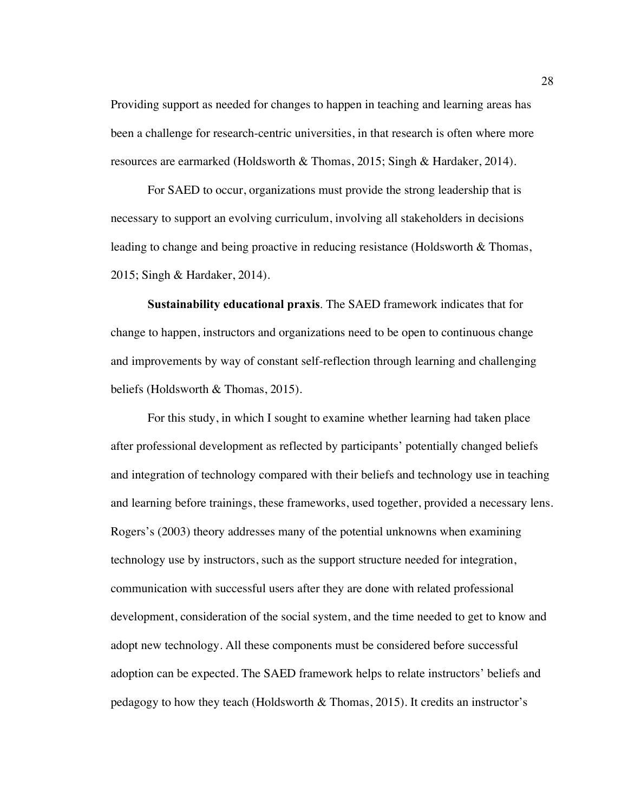Providing support as needed for changes to happen in teaching and learning areas has been a challenge for research-centric universities, in that research is often where more resources are earmarked (Holdsworth & Thomas, 2015; Singh & Hardaker, 2014).

For SAED to occur, organizations must provide the strong leadership that is necessary to support an evolving curriculum, involving all stakeholders in decisions leading to change and being proactive in reducing resistance (Holdsworth & Thomas, 2015; Singh & Hardaker, 2014).

**Sustainability educational praxis**. The SAED framework indicates that for change to happen, instructors and organizations need to be open to continuous change and improvements by way of constant self-reflection through learning and challenging beliefs (Holdsworth & Thomas, 2015).

For this study, in which I sought to examine whether learning had taken place after professional development as reflected by participants' potentially changed beliefs and integration of technology compared with their beliefs and technology use in teaching and learning before trainings, these frameworks, used together, provided a necessary lens. Rogers's (2003) theory addresses many of the potential unknowns when examining technology use by instructors, such as the support structure needed for integration, communication with successful users after they are done with related professional development, consideration of the social system, and the time needed to get to know and adopt new technology. All these components must be considered before successful adoption can be expected. The SAED framework helps to relate instructors' beliefs and pedagogy to how they teach (Holdsworth & Thomas, 2015). It credits an instructor's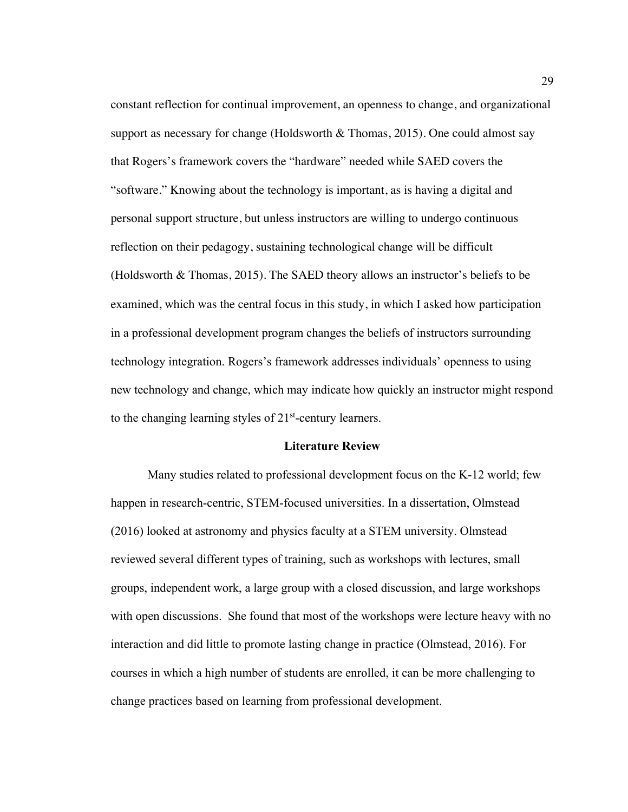constant reflection for continual improvement, an openness to change, and organizational support as necessary for change (Holdsworth  $\&$  Thomas, 2015). One could almost say that Rogers's framework covers the "hardware" needed while SAED covers the "software." Knowing about the technology is important, as is having a digital and personal support structure, but unless instructors are willing to undergo continuous reflection on their pedagogy, sustaining technological change will be difficult (Holdsworth  $\&$  Thomas, 2015). The SAED theory allows an instructor's beliefs to be examined, which was the central focus in this study, in which I asked how participation in a professional development program changes the beliefs of instructors surrounding technology integration. Rogers's framework addresses individuals' openness to using new technology and change, which may indicate how quickly an instructor might respond to the changing learning styles of  $21<sup>st</sup>$ -century learners.

# **Literature Review**

Many studies related to professional development focus on the K-12 world; few happen in research-centric, STEM-focused universities. In a dissertation, Olmstead (2016) looked at astronomy and physics faculty at a STEM university. Olmstead reviewed several different types of training, such as workshops with lectures, small groups, independent work, a large group with a closed discussion, and large workshops with open discussions. She found that most of the workshops were lecture heavy with no interaction and did little to promote lasting change in practice (Olmstead, 2016). For courses in which a high number of students are enrolled, it can be more challenging to change practices based on learning from professional development.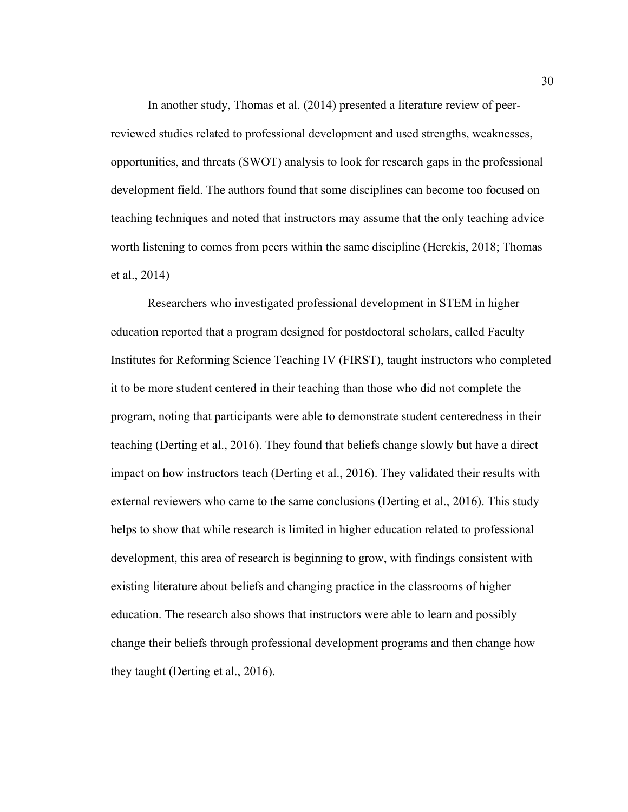In another study, Thomas et al. (2014) presented a literature review of peerreviewed studies related to professional development and used strengths, weaknesses, opportunities, and threats (SWOT) analysis to look for research gaps in the professional development field. The authors found that some disciplines can become too focused on teaching techniques and noted that instructors may assume that the only teaching advice worth listening to comes from peers within the same discipline (Herckis, 2018; Thomas et al., 2014)

Researchers who investigated professional development in STEM in higher education reported that a program designed for postdoctoral scholars, called Faculty Institutes for Reforming Science Teaching IV (FIRST), taught instructors who completed it to be more student centered in their teaching than those who did not complete the program, noting that participants were able to demonstrate student centeredness in their teaching (Derting et al., 2016). They found that beliefs change slowly but have a direct impact on how instructors teach (Derting et al., 2016). They validated their results with external reviewers who came to the same conclusions (Derting et al., 2016). This study helps to show that while research is limited in higher education related to professional development, this area of research is beginning to grow, with findings consistent with existing literature about beliefs and changing practice in the classrooms of higher education. The research also shows that instructors were able to learn and possibly change their beliefs through professional development programs and then change how they taught (Derting et al., 2016).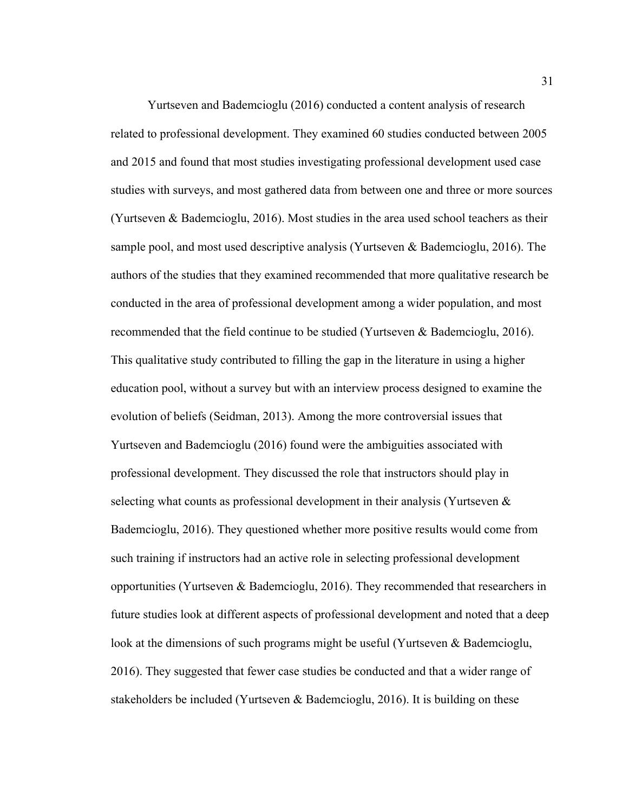Yurtseven and Bademcioglu (2016) conducted a content analysis of research related to professional development. They examined 60 studies conducted between 2005 and 2015 and found that most studies investigating professional development used case studies with surveys, and most gathered data from between one and three or more sources (Yurtseven & Bademcioglu, 2016). Most studies in the area used school teachers as their sample pool, and most used descriptive analysis (Yurtseven & Bademcioglu, 2016). The authors of the studies that they examined recommended that more qualitative research be conducted in the area of professional development among a wider population, and most recommended that the field continue to be studied (Yurtseven & Bademcioglu, 2016). This qualitative study contributed to filling the gap in the literature in using a higher education pool, without a survey but with an interview process designed to examine the evolution of beliefs (Seidman, 2013). Among the more controversial issues that Yurtseven and Bademcioglu (2016) found were the ambiguities associated with professional development. They discussed the role that instructors should play in selecting what counts as professional development in their analysis (Yurtseven & Bademcioglu, 2016). They questioned whether more positive results would come from such training if instructors had an active role in selecting professional development opportunities (Yurtseven & Bademcioglu, 2016). They recommended that researchers in future studies look at different aspects of professional development and noted that a deep look at the dimensions of such programs might be useful (Yurtseven & Bademcioglu, 2016). They suggested that fewer case studies be conducted and that a wider range of stakeholders be included (Yurtseven & Bademcioglu, 2016). It is building on these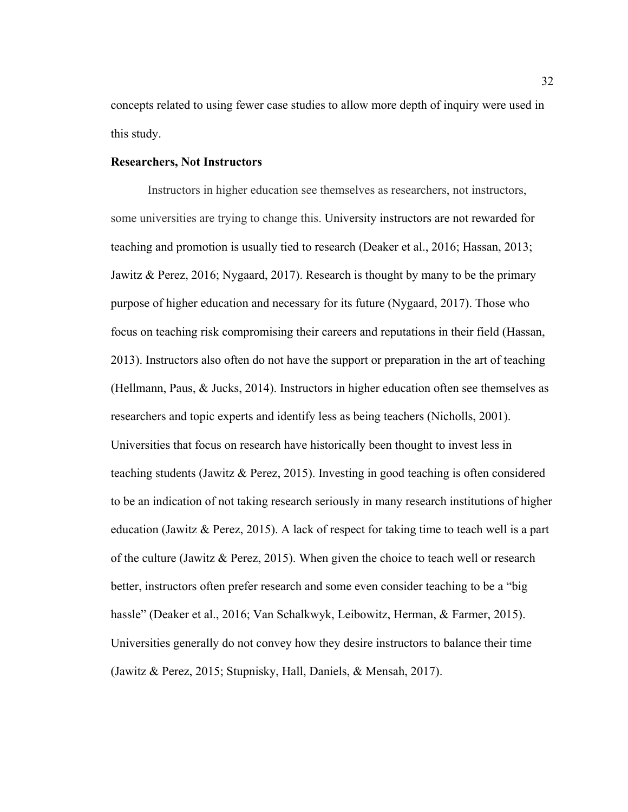concepts related to using fewer case studies to allow more depth of inquiry were used in this study.

## **Researchers, Not Instructors**

Instructors in higher education see themselves as researchers, not instructors, some universities are trying to change this. University instructors are not rewarded for teaching and promotion is usually tied to research (Deaker et al., 2016; Hassan, 2013; Jawitz & Perez, 2016; Nygaard, 2017). Research is thought by many to be the primary purpose of higher education and necessary for its future (Nygaard, 2017). Those who focus on teaching risk compromising their careers and reputations in their field (Hassan, 2013). Instructors also often do not have the support or preparation in the art of teaching (Hellmann, Paus, & Jucks, 2014). Instructors in higher education often see themselves as researchers and topic experts and identify less as being teachers (Nicholls, 2001). Universities that focus on research have historically been thought to invest less in teaching students (Jawitz & Perez, 2015). Investing in good teaching is often considered to be an indication of not taking research seriously in many research institutions of higher education (Jawitz & Perez, 2015). A lack of respect for taking time to teach well is a part of the culture (Jawitz & Perez, 2015). When given the choice to teach well or research better, instructors often prefer research and some even consider teaching to be a "big hassle" (Deaker et al., 2016; Van Schalkwyk, Leibowitz, Herman, & Farmer, 2015). Universities generally do not convey how they desire instructors to balance their time (Jawitz & Perez, 2015; Stupnisky, Hall, Daniels, & Mensah, 2017).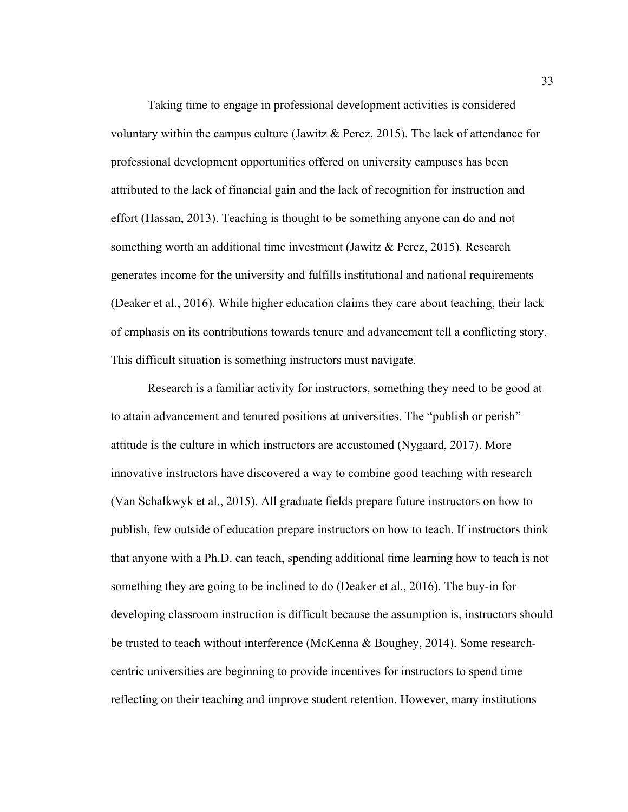Taking time to engage in professional development activities is considered voluntary within the campus culture (Jawitz & Perez, 2015). The lack of attendance for professional development opportunities offered on university campuses has been attributed to the lack of financial gain and the lack of recognition for instruction and effort (Hassan, 2013). Teaching is thought to be something anyone can do and not something worth an additional time investment (Jawitz & Perez, 2015). Research generates income for the university and fulfills institutional and national requirements (Deaker et al., 2016). While higher education claims they care about teaching, their lack of emphasis on its contributions towards tenure and advancement tell a conflicting story. This difficult situation is something instructors must navigate.

Research is a familiar activity for instructors, something they need to be good at to attain advancement and tenured positions at universities. The "publish or perish" attitude is the culture in which instructors are accustomed (Nygaard, 2017). More innovative instructors have discovered a way to combine good teaching with research (Van Schalkwyk et al., 2015). All graduate fields prepare future instructors on how to publish, few outside of education prepare instructors on how to teach. If instructors think that anyone with a Ph.D. can teach, spending additional time learning how to teach is not something they are going to be inclined to do (Deaker et al., 2016). The buy-in for developing classroom instruction is difficult because the assumption is, instructors should be trusted to teach without interference (McKenna & Boughey, 2014). Some researchcentric universities are beginning to provide incentives for instructors to spend time reflecting on their teaching and improve student retention. However, many institutions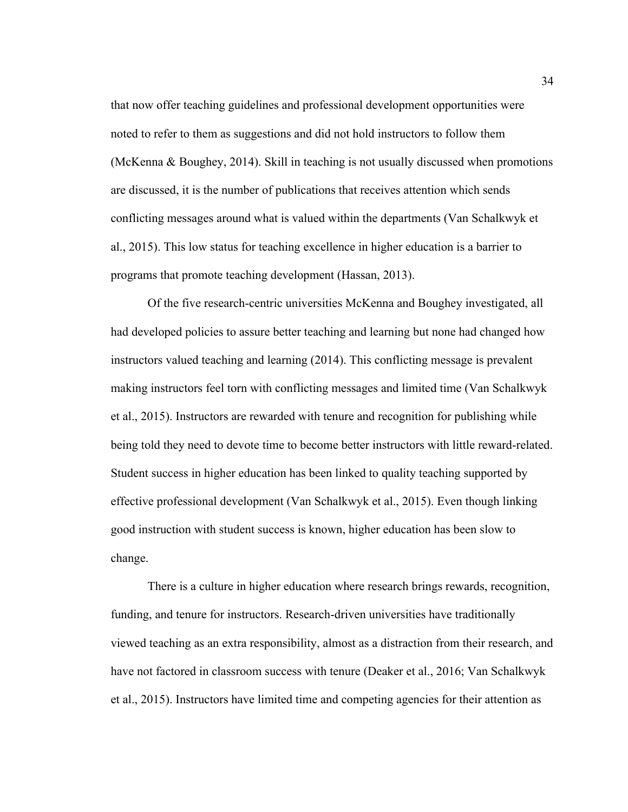that now offer teaching guidelines and professional development opportunities were noted to refer to them as suggestions and did not hold instructors to follow them (McKenna & Boughey, 2014). Skill in teaching is not usually discussed when promotions are discussed, it is the number of publications that receives attention which sends conflicting messages around what is valued within the departments (Van Schalkwyk et al., 2015). This low status for teaching excellence in higher education is a barrier to programs that promote teaching development (Hassan, 2013).

Of the five research-centric universities McKenna and Boughey investigated, all had developed policies to assure better teaching and learning but none had changed how instructors valued teaching and learning (2014). This conflicting message is prevalent making instructors feel torn with conflicting messages and limited time (Van Schalkwyk et al., 2015). Instructors are rewarded with tenure and recognition for publishing while being told they need to devote time to become better instructors with little reward-related. Student success in higher education has been linked to quality teaching supported by effective professional development (Van Schalkwyk et al., 2015). Even though linking good instruction with student success is known, higher education has been slow to change.

There is a culture in higher education where research brings rewards, recognition, funding, and tenure for instructors. Research-driven universities have traditionally viewed teaching as an extra responsibility, almost as a distraction from their research, and have not factored in classroom success with tenure (Deaker et al., 2016; Van Schalkwyk et al., 2015). Instructors have limited time and competing agencies for their attention as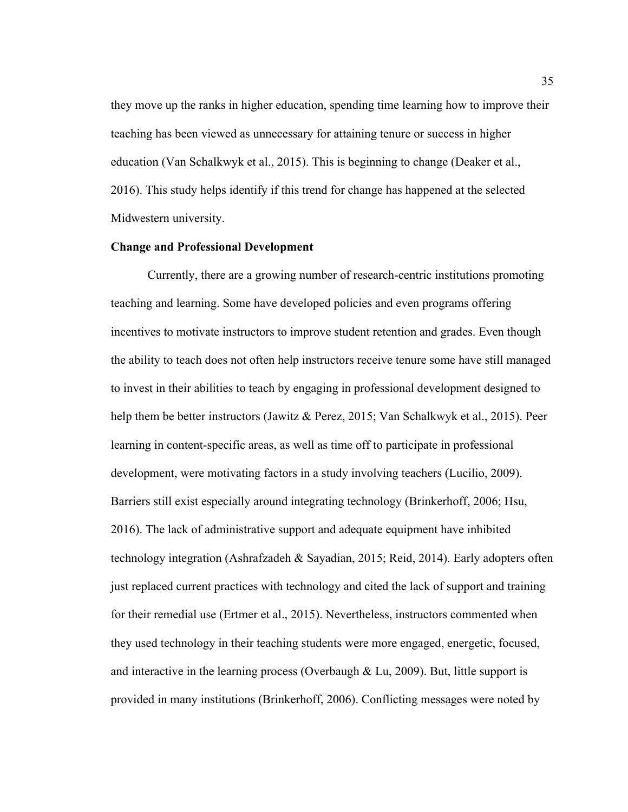they move up the ranks in higher education, spending time learning how to improve their teaching has been viewed as unnecessary for attaining tenure or success in higher education (Van Schalkwyk et al., 2015). This is beginning to change (Deaker et al., 2016). This study helps identify if this trend for change has happened at the selected Midwestern university.

## **Change and Professional Development**

Currently, there are a growing number of research-centric institutions promoting teaching and learning. Some have developed policies and even programs offering incentives to motivate instructors to improve student retention and grades. Even though the ability to teach does not often help instructors receive tenure some have still managed to invest in their abilities to teach by engaging in professional development designed to help them be better instructors (Jawitz & Perez, 2015; Van Schalkwyk et al., 2015). Peer learning in content-specific areas, as well as time off to participate in professional development, were motivating factors in a study involving teachers (Lucilio, 2009). Barriers still exist especially around integrating technology (Brinkerhoff, 2006; Hsu, 2016). The lack of administrative support and adequate equipment have inhibited technology integration (Ashrafzadeh & Sayadian, 2015; Reid, 2014). Early adopters often just replaced current practices with technology and cited the lack of support and training for their remedial use (Ertmer et al., 2015). Nevertheless, instructors commented when they used technology in their teaching students were more engaged, energetic, focused, and interactive in the learning process (Overbaugh & Lu, 2009). But, little support is provided in many institutions (Brinkerhoff, 2006). Conflicting messages were noted by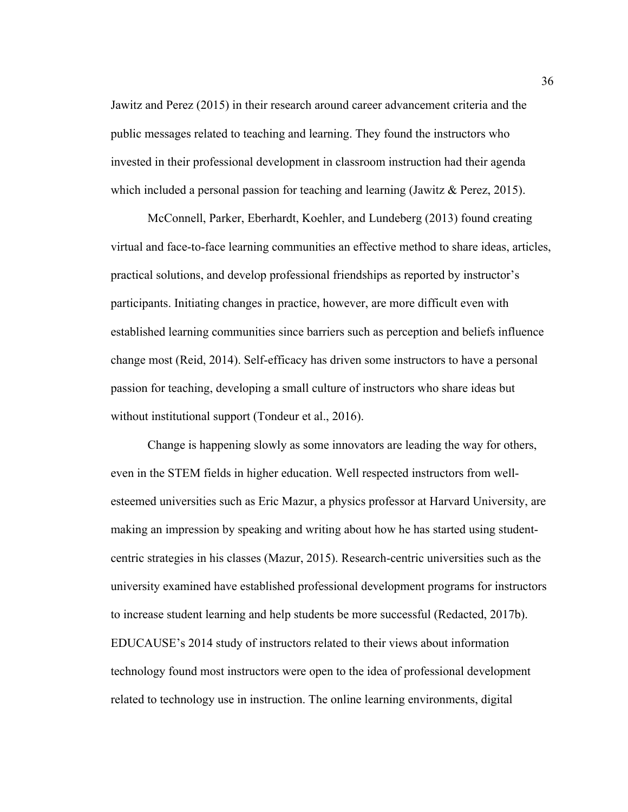Jawitz and Perez (2015) in their research around career advancement criteria and the public messages related to teaching and learning. They found the instructors who invested in their professional development in classroom instruction had their agenda which included a personal passion for teaching and learning (Jawitz & Perez, 2015).

McConnell, Parker, Eberhardt, Koehler, and Lundeberg (2013) found creating virtual and face-to-face learning communities an effective method to share ideas, articles, practical solutions, and develop professional friendships as reported by instructor's participants. Initiating changes in practice, however, are more difficult even with established learning communities since barriers such as perception and beliefs influence change most (Reid, 2014). Self-efficacy has driven some instructors to have a personal passion for teaching, developing a small culture of instructors who share ideas but without institutional support (Tondeur et al., 2016).

Change is happening slowly as some innovators are leading the way for others, even in the STEM fields in higher education. Well respected instructors from wellesteemed universities such as Eric Mazur, a physics professor at Harvard University, are making an impression by speaking and writing about how he has started using studentcentric strategies in his classes (Mazur, 2015). Research-centric universities such as the university examined have established professional development programs for instructors to increase student learning and help students be more successful (Redacted, 2017b). EDUCAUSE's 2014 study of instructors related to their views about information technology found most instructors were open to the idea of professional development related to technology use in instruction. The online learning environments, digital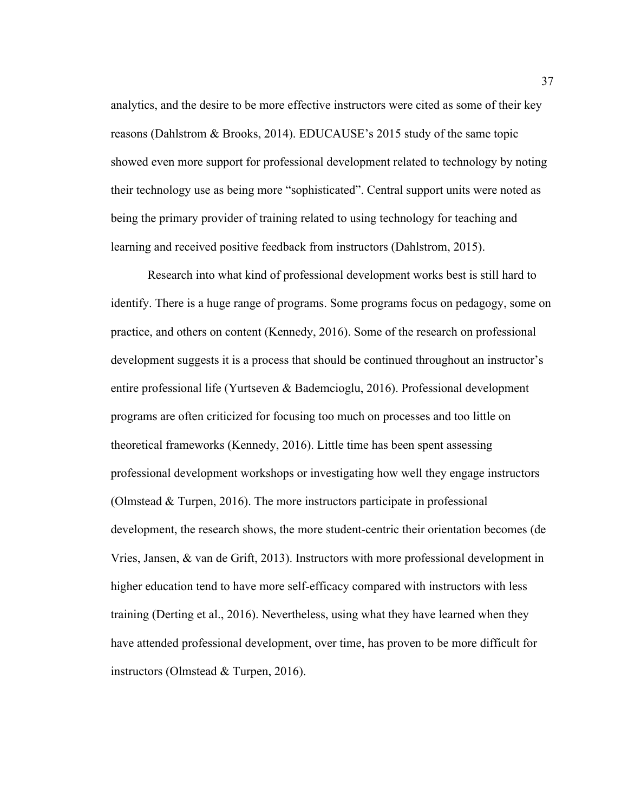analytics, and the desire to be more effective instructors were cited as some of their key reasons (Dahlstrom & Brooks, 2014). EDUCAUSE's 2015 study of the same topic showed even more support for professional development related to technology by noting their technology use as being more "sophisticated". Central support units were noted as being the primary provider of training related to using technology for teaching and learning and received positive feedback from instructors (Dahlstrom, 2015).

Research into what kind of professional development works best is still hard to identify. There is a huge range of programs. Some programs focus on pedagogy, some on practice, and others on content (Kennedy, 2016). Some of the research on professional development suggests it is a process that should be continued throughout an instructor's entire professional life (Yurtseven & Bademcioglu, 2016). Professional development programs are often criticized for focusing too much on processes and too little on theoretical frameworks (Kennedy, 2016). Little time has been spent assessing professional development workshops or investigating how well they engage instructors (Olmstead & Turpen, 2016). The more instructors participate in professional development, the research shows, the more student-centric their orientation becomes (de Vries, Jansen, & van de Grift, 2013). Instructors with more professional development in higher education tend to have more self-efficacy compared with instructors with less training (Derting et al., 2016). Nevertheless, using what they have learned when they have attended professional development, over time, has proven to be more difficult for instructors (Olmstead & Turpen, 2016).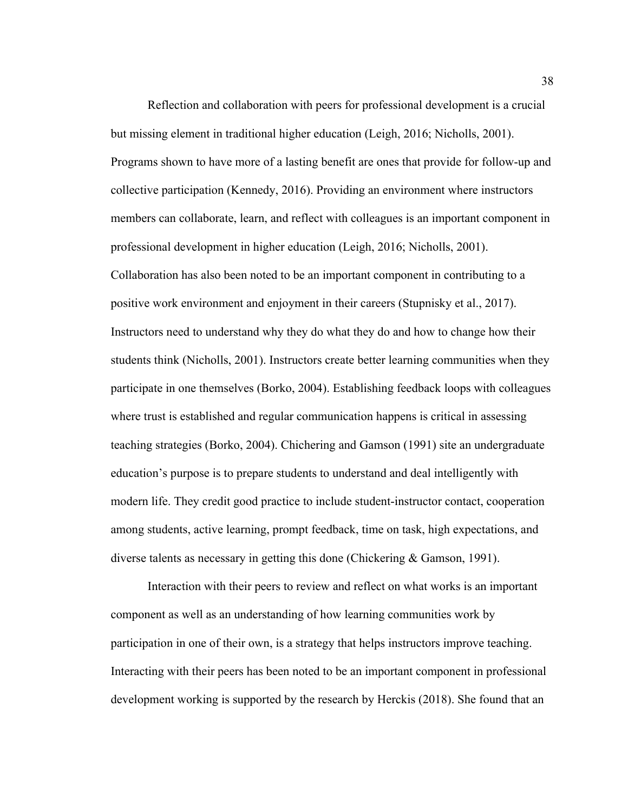Reflection and collaboration with peers for professional development is a crucial but missing element in traditional higher education (Leigh, 2016; Nicholls, 2001). Programs shown to have more of a lasting benefit are ones that provide for follow-up and collective participation (Kennedy, 2016). Providing an environment where instructors members can collaborate, learn, and reflect with colleagues is an important component in professional development in higher education (Leigh, 2016; Nicholls, 2001). Collaboration has also been noted to be an important component in contributing to a positive work environment and enjoyment in their careers (Stupnisky et al., 2017). Instructors need to understand why they do what they do and how to change how their students think (Nicholls, 2001). Instructors create better learning communities when they participate in one themselves (Borko, 2004). Establishing feedback loops with colleagues where trust is established and regular communication happens is critical in assessing teaching strategies (Borko, 2004). Chichering and Gamson (1991) site an undergraduate education's purpose is to prepare students to understand and deal intelligently with modern life. They credit good practice to include student-instructor contact, cooperation among students, active learning, prompt feedback, time on task, high expectations, and diverse talents as necessary in getting this done (Chickering & Gamson, 1991).

Interaction with their peers to review and reflect on what works is an important component as well as an understanding of how learning communities work by participation in one of their own, is a strategy that helps instructors improve teaching. Interacting with their peers has been noted to be an important component in professional development working is supported by the research by Herckis (2018). She found that an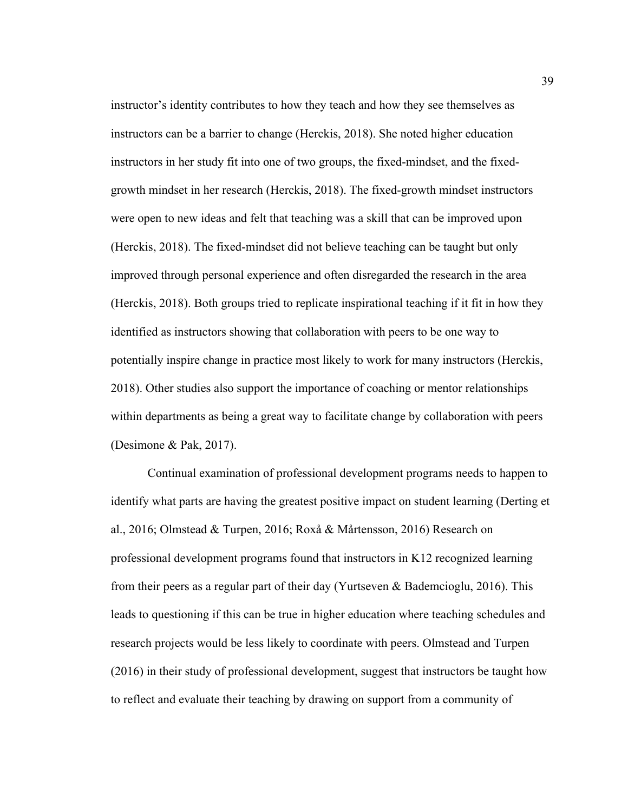instructor's identity contributes to how they teach and how they see themselves as instructors can be a barrier to change (Herckis, 2018). She noted higher education instructors in her study fit into one of two groups, the fixed-mindset, and the fixedgrowth mindset in her research (Herckis, 2018). The fixed-growth mindset instructors were open to new ideas and felt that teaching was a skill that can be improved upon (Herckis, 2018). The fixed-mindset did not believe teaching can be taught but only improved through personal experience and often disregarded the research in the area (Herckis, 2018). Both groups tried to replicate inspirational teaching if it fit in how they identified as instructors showing that collaboration with peers to be one way to potentially inspire change in practice most likely to work for many instructors (Herckis, 2018). Other studies also support the importance of coaching or mentor relationships within departments as being a great way to facilitate change by collaboration with peers (Desimone & Pak, 2017).

Continual examination of professional development programs needs to happen to identify what parts are having the greatest positive impact on student learning (Derting et al., 2016; Olmstead & Turpen, 2016; Roxå & Mårtensson, 2016) Research on professional development programs found that instructors in K12 recognized learning from their peers as a regular part of their day (Yurtseven & Bademcioglu, 2016). This leads to questioning if this can be true in higher education where teaching schedules and research projects would be less likely to coordinate with peers. Olmstead and Turpen (2016) in their study of professional development, suggest that instructors be taught how to reflect and evaluate their teaching by drawing on support from a community of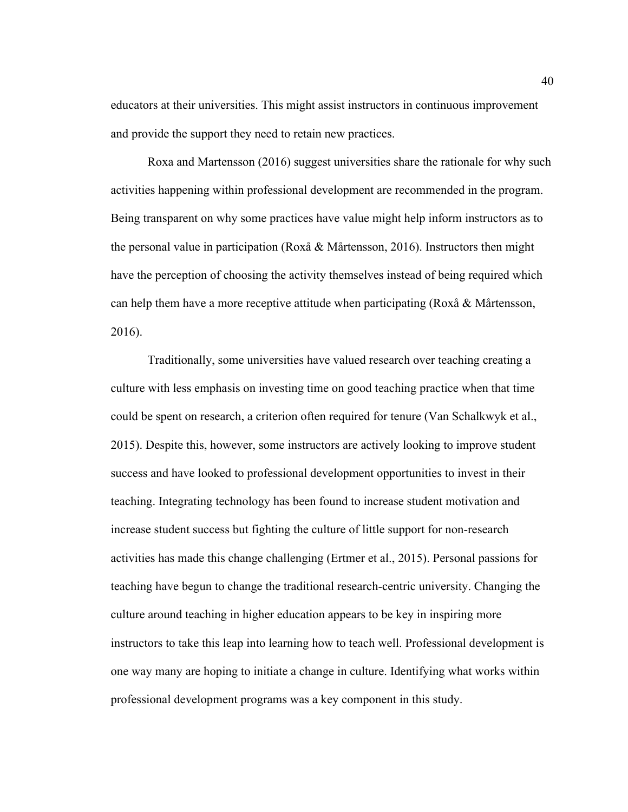educators at their universities. This might assist instructors in continuous improvement and provide the support they need to retain new practices.

Roxa and Martensson (2016) suggest universities share the rationale for why such activities happening within professional development are recommended in the program. Being transparent on why some practices have value might help inform instructors as to the personal value in participation (Roxå & Mårtensson, 2016). Instructors then might have the perception of choosing the activity themselves instead of being required which can help them have a more receptive attitude when participating (Roxå & Mårtensson, 2016).

Traditionally, some universities have valued research over teaching creating a culture with less emphasis on investing time on good teaching practice when that time could be spent on research, a criterion often required for tenure (Van Schalkwyk et al., 2015). Despite this, however, some instructors are actively looking to improve student success and have looked to professional development opportunities to invest in their teaching. Integrating technology has been found to increase student motivation and increase student success but fighting the culture of little support for non-research activities has made this change challenging (Ertmer et al., 2015). Personal passions for teaching have begun to change the traditional research-centric university. Changing the culture around teaching in higher education appears to be key in inspiring more instructors to take this leap into learning how to teach well. Professional development is one way many are hoping to initiate a change in culture. Identifying what works within professional development programs was a key component in this study.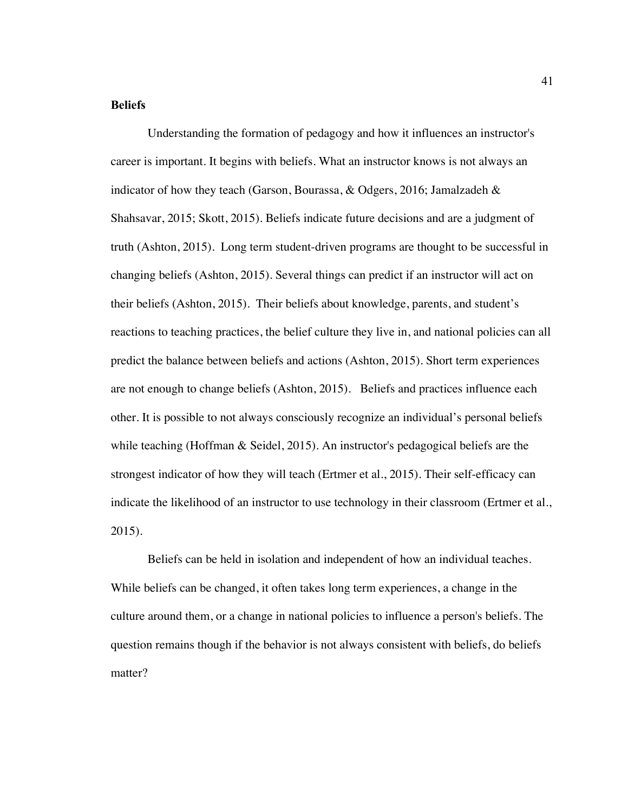## **Beliefs**

Understanding the formation of pedagogy and how it influences an instructor's career is important. It begins with beliefs. What an instructor knows is not always an indicator of how they teach (Garson, Bourassa,  $\&$  Odgers, 2016; Jamalzadeh  $\&$ Shahsavar, 2015; Skott, 2015). Beliefs indicate future decisions and are a judgment of truth (Ashton, 2015). Long term student-driven programs are thought to be successful in changing beliefs (Ashton, 2015). Several things can predict if an instructor will act on their beliefs (Ashton, 2015). Their beliefs about knowledge, parents, and student's reactions to teaching practices, the belief culture they live in, and national policies can all predict the balance between beliefs and actions (Ashton, 2015). Short term experiences are not enough to change beliefs (Ashton, 2015). Beliefs and practices influence each other. It is possible to not always consciously recognize an individual's personal beliefs while teaching (Hoffman  $\&$  Seidel, 2015). An instructor's pedagogical beliefs are the strongest indicator of how they will teach (Ertmer et al., 2015). Their self-efficacy can indicate the likelihood of an instructor to use technology in their classroom (Ertmer et al., 2015).

Beliefs can be held in isolation and independent of how an individual teaches. While beliefs can be changed, it often takes long term experiences, a change in the culture around them, or a change in national policies to influence a person's beliefs. The question remains though if the behavior is not always consistent with beliefs, do beliefs matter?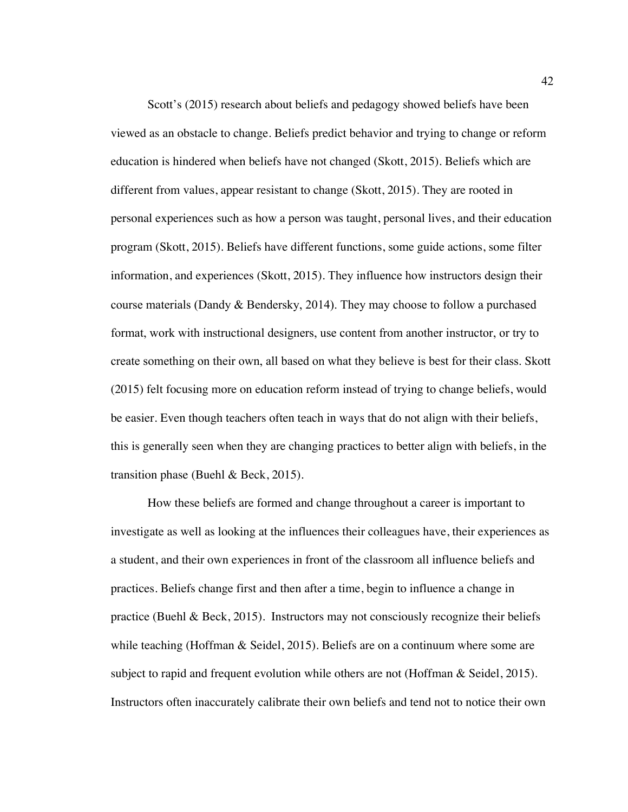Scott's (2015) research about beliefs and pedagogy showed beliefs have been viewed as an obstacle to change. Beliefs predict behavior and trying to change or reform education is hindered when beliefs have not changed (Skott, 2015). Beliefs which are different from values, appear resistant to change (Skott, 2015). They are rooted in personal experiences such as how a person was taught, personal lives, and their education program (Skott, 2015). Beliefs have different functions, some guide actions, some filter information, and experiences (Skott, 2015). They influence how instructors design their course materials (Dandy & Bendersky, 2014). They may choose to follow a purchased format, work with instructional designers, use content from another instructor, or try to create something on their own, all based on what they believe is best for their class. Skott (2015) felt focusing more on education reform instead of trying to change beliefs, would be easier. Even though teachers often teach in ways that do not align with their beliefs, this is generally seen when they are changing practices to better align with beliefs, in the transition phase (Buehl & Beck, 2015).

How these beliefs are formed and change throughout a career is important to investigate as well as looking at the influences their colleagues have, their experiences as a student, and their own experiences in front of the classroom all influence beliefs and practices. Beliefs change first and then after a time, begin to influence a change in practice (Buehl & Beck, 2015). Instructors may not consciously recognize their beliefs while teaching (Hoffman & Seidel, 2015). Beliefs are on a continuum where some are subject to rapid and frequent evolution while others are not (Hoffman & Seidel, 2015). Instructors often inaccurately calibrate their own beliefs and tend not to notice their own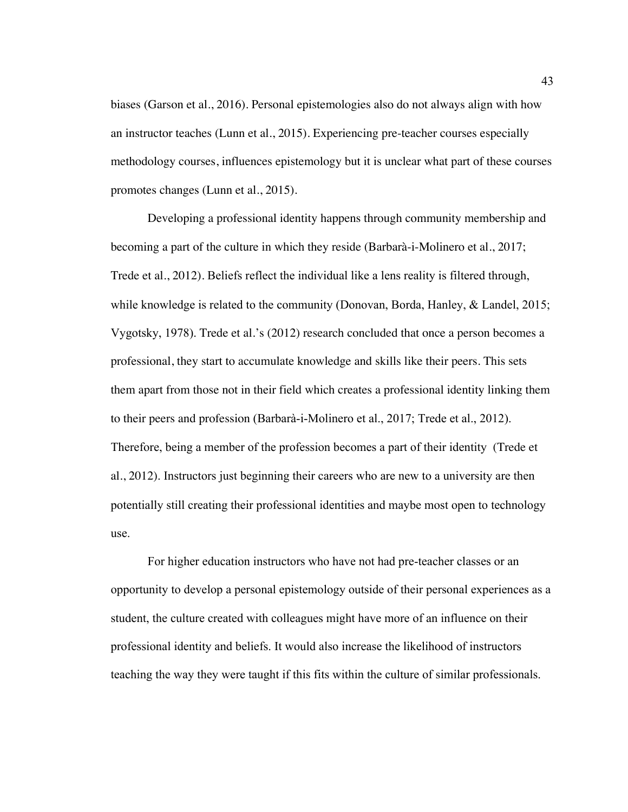biases (Garson et al., 2016). Personal epistemologies also do not always align with how an instructor teaches (Lunn et al., 2015). Experiencing pre-teacher courses especially methodology courses, influences epistemology but it is unclear what part of these courses promotes changes (Lunn et al., 2015).

Developing a professional identity happens through community membership and becoming a part of the culture in which they reside (Barbarà-i-Molinero et al., 2017; Trede et al., 2012). Beliefs reflect the individual like a lens reality is filtered through, while knowledge is related to the community (Donovan, Borda, Hanley, & Landel, 2015; Vygotsky, 1978). Trede et al.'s (2012) research concluded that once a person becomes a professional, they start to accumulate knowledge and skills like their peers. This sets them apart from those not in their field which creates a professional identity linking them to their peers and profession (Barbarà-i-Molinero et al., 2017; Trede et al., 2012). Therefore, being a member of the profession becomes a part of their identity (Trede et al., 2012). Instructors just beginning their careers who are new to a university are then potentially still creating their professional identities and maybe most open to technology use.

For higher education instructors who have not had pre-teacher classes or an opportunity to develop a personal epistemology outside of their personal experiences as a student, the culture created with colleagues might have more of an influence on their professional identity and beliefs. It would also increase the likelihood of instructors teaching the way they were taught if this fits within the culture of similar professionals.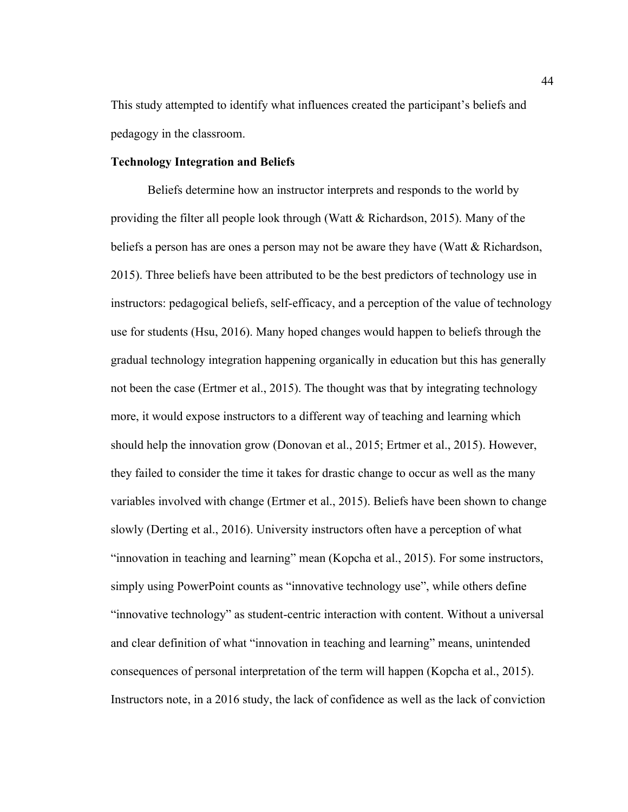This study attempted to identify what influences created the participant's beliefs and pedagogy in the classroom.

# **Technology Integration and Beliefs**

Beliefs determine how an instructor interprets and responds to the world by providing the filter all people look through (Watt & Richardson, 2015). Many of the beliefs a person has are ones a person may not be aware they have (Watt & Richardson, 2015). Three beliefs have been attributed to be the best predictors of technology use in instructors: pedagogical beliefs, self-efficacy, and a perception of the value of technology use for students (Hsu, 2016). Many hoped changes would happen to beliefs through the gradual technology integration happening organically in education but this has generally not been the case (Ertmer et al., 2015). The thought was that by integrating technology more, it would expose instructors to a different way of teaching and learning which should help the innovation grow (Donovan et al., 2015; Ertmer et al., 2015). However, they failed to consider the time it takes for drastic change to occur as well as the many variables involved with change (Ertmer et al., 2015). Beliefs have been shown to change slowly (Derting et al., 2016). University instructors often have a perception of what "innovation in teaching and learning" mean (Kopcha et al., 2015). For some instructors, simply using PowerPoint counts as "innovative technology use", while others define "innovative technology" as student-centric interaction with content. Without a universal and clear definition of what "innovation in teaching and learning" means, unintended consequences of personal interpretation of the term will happen (Kopcha et al., 2015). Instructors note, in a 2016 study, the lack of confidence as well as the lack of conviction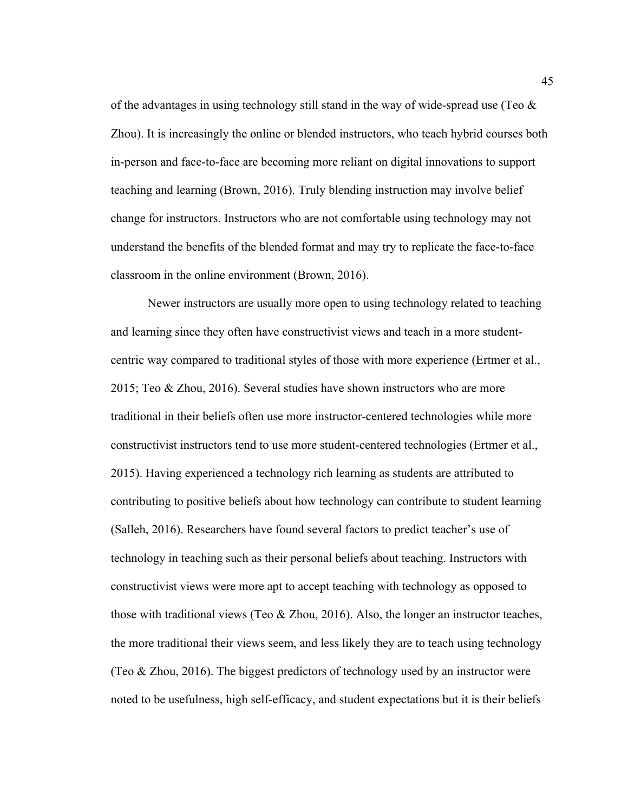of the advantages in using technology still stand in the way of wide-spread use (Teo  $\&$ Zhou). It is increasingly the online or blended instructors, who teach hybrid courses both in-person and face-to-face are becoming more reliant on digital innovations to support teaching and learning (Brown, 2016). Truly blending instruction may involve belief change for instructors. Instructors who are not comfortable using technology may not understand the benefits of the blended format and may try to replicate the face-to-face classroom in the online environment (Brown, 2016).

Newer instructors are usually more open to using technology related to teaching and learning since they often have constructivist views and teach in a more studentcentric way compared to traditional styles of those with more experience (Ertmer et al., 2015; Teo & Zhou, 2016). Several studies have shown instructors who are more traditional in their beliefs often use more instructor-centered technologies while more constructivist instructors tend to use more student-centered technologies (Ertmer et al., 2015). Having experienced a technology rich learning as students are attributed to contributing to positive beliefs about how technology can contribute to student learning (Salleh, 2016). Researchers have found several factors to predict teacher's use of technology in teaching such as their personal beliefs about teaching. Instructors with constructivist views were more apt to accept teaching with technology as opposed to those with traditional views (Teo  $&$  Zhou, 2016). Also, the longer an instructor teaches, the more traditional their views seem, and less likely they are to teach using technology (Teo & Zhou, 2016). The biggest predictors of technology used by an instructor were noted to be usefulness, high self-efficacy, and student expectations but it is their beliefs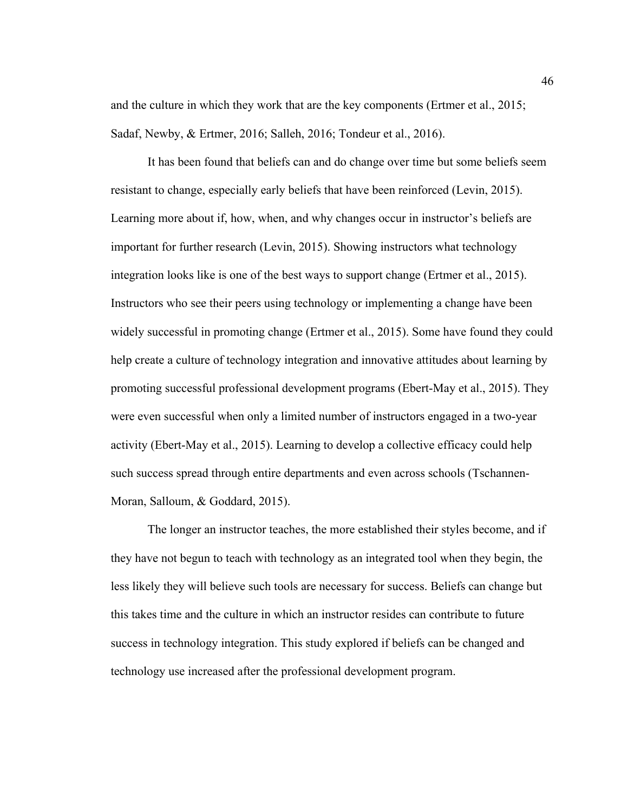and the culture in which they work that are the key components (Ertmer et al., 2015; Sadaf, Newby, & Ertmer, 2016; Salleh, 2016; Tondeur et al., 2016).

It has been found that beliefs can and do change over time but some beliefs seem resistant to change, especially early beliefs that have been reinforced (Levin, 2015). Learning more about if, how, when, and why changes occur in instructor's beliefs are important for further research (Levin, 2015). Showing instructors what technology integration looks like is one of the best ways to support change (Ertmer et al., 2015). Instructors who see their peers using technology or implementing a change have been widely successful in promoting change (Ertmer et al., 2015). Some have found they could help create a culture of technology integration and innovative attitudes about learning by promoting successful professional development programs (Ebert-May et al., 2015). They were even successful when only a limited number of instructors engaged in a two-year activity (Ebert-May et al., 2015). Learning to develop a collective efficacy could help such success spread through entire departments and even across schools (Tschannen-Moran, Salloum, & Goddard, 2015).

The longer an instructor teaches, the more established their styles become, and if they have not begun to teach with technology as an integrated tool when they begin, the less likely they will believe such tools are necessary for success. Beliefs can change but this takes time and the culture in which an instructor resides can contribute to future success in technology integration. This study explored if beliefs can be changed and technology use increased after the professional development program.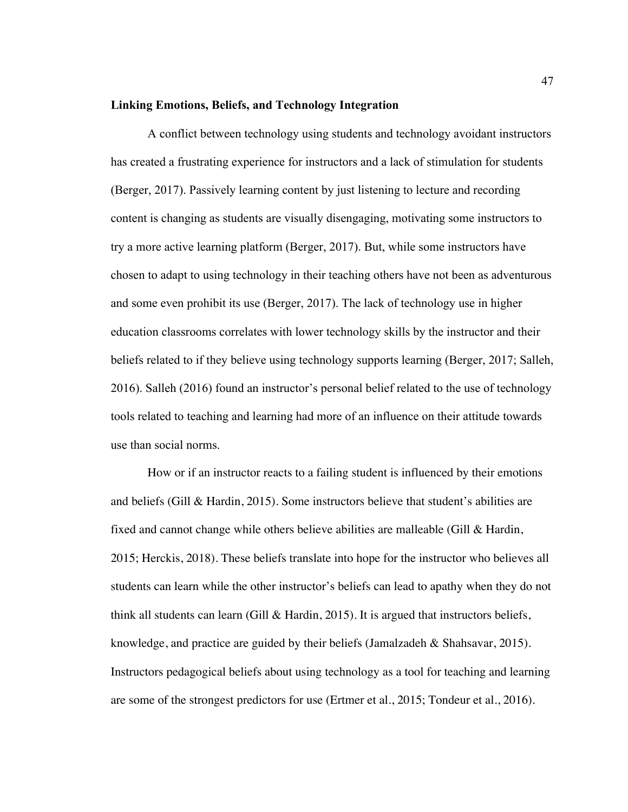#### **Linking Emotions, Beliefs, and Technology Integration**

A conflict between technology using students and technology avoidant instructors has created a frustrating experience for instructors and a lack of stimulation for students (Berger, 2017). Passively learning content by just listening to lecture and recording content is changing as students are visually disengaging, motivating some instructors to try a more active learning platform (Berger, 2017). But, while some instructors have chosen to adapt to using technology in their teaching others have not been as adventurous and some even prohibit its use (Berger, 2017). The lack of technology use in higher education classrooms correlates with lower technology skills by the instructor and their beliefs related to if they believe using technology supports learning (Berger, 2017; Salleh, 2016). Salleh (2016) found an instructor's personal belief related to the use of technology tools related to teaching and learning had more of an influence on their attitude towards use than social norms.

How or if an instructor reacts to a failing student is influenced by their emotions and beliefs (Gill & Hardin, 2015). Some instructors believe that student's abilities are fixed and cannot change while others believe abilities are malleable (Gill & Hardin, 2015; Herckis, 2018). These beliefs translate into hope for the instructor who believes all students can learn while the other instructor's beliefs can lead to apathy when they do not think all students can learn (Gill  $\&$  Hardin, 2015). It is argued that instructors beliefs, knowledge, and practice are guided by their beliefs (Jamalzadeh & Shahsavar, 2015). Instructors pedagogical beliefs about using technology as a tool for teaching and learning are some of the strongest predictors for use (Ertmer et al., 2015; Tondeur et al., 2016).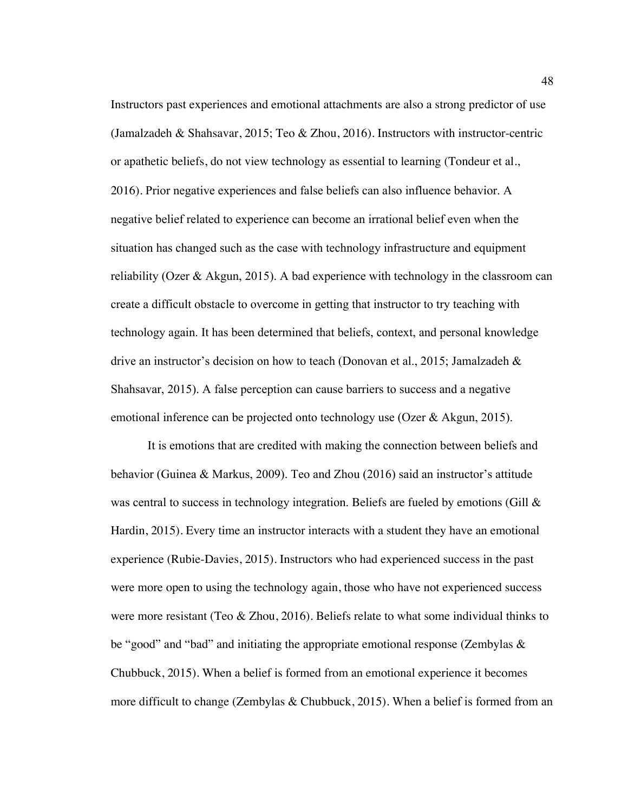Instructors past experiences and emotional attachments are also a strong predictor of use (Jamalzadeh & Shahsavar, 2015; Teo & Zhou, 2016). Instructors with instructor-centric or apathetic beliefs, do not view technology as essential to learning (Tondeur et al., 2016). Prior negative experiences and false beliefs can also influence behavior. A negative belief related to experience can become an irrational belief even when the situation has changed such as the case with technology infrastructure and equipment reliability (Ozer & Akgun, 2015). A bad experience with technology in the classroom can create a difficult obstacle to overcome in getting that instructor to try teaching with technology again. It has been determined that beliefs, context, and personal knowledge drive an instructor's decision on how to teach (Donovan et al., 2015; Jamalzadeh & Shahsavar, 2015). A false perception can cause barriers to success and a negative emotional inference can be projected onto technology use (Ozer & Akgun, 2015).

It is emotions that are credited with making the connection between beliefs and behavior (Guinea & Markus, 2009). Teo and Zhou (2016) said an instructor's attitude was central to success in technology integration. Beliefs are fueled by emotions (Gill & Hardin, 2015). Every time an instructor interacts with a student they have an emotional experience (Rubie-Davies, 2015). Instructors who had experienced success in the past were more open to using the technology again, those who have not experienced success were more resistant (Teo & Zhou, 2016). Beliefs relate to what some individual thinks to be "good" and "bad" and initiating the appropriate emotional response (Zembylas  $\&$ Chubbuck, 2015). When a belief is formed from an emotional experience it becomes more difficult to change (Zembylas & Chubbuck, 2015). When a belief is formed from an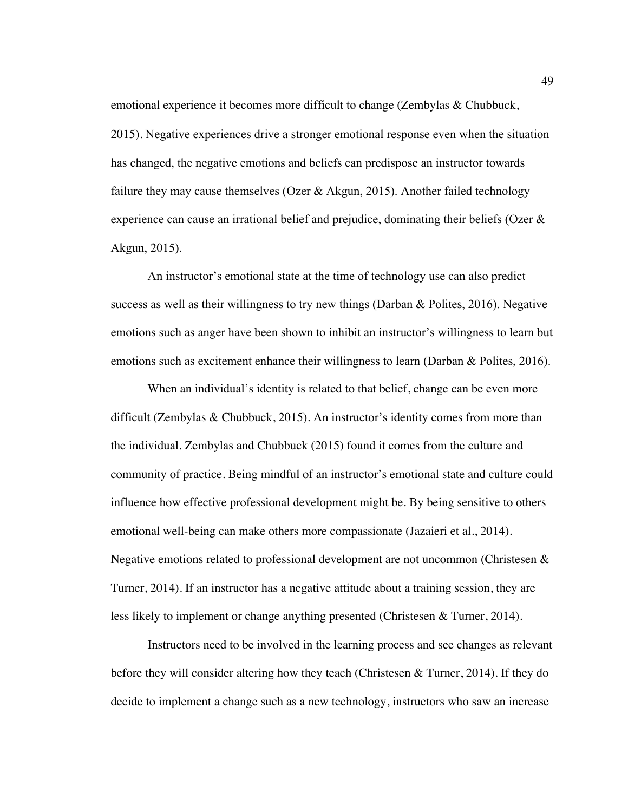emotional experience it becomes more difficult to change (Zembylas & Chubbuck, 2015). Negative experiences drive a stronger emotional response even when the situation has changed, the negative emotions and beliefs can predispose an instructor towards failure they may cause themselves (Ozer & Akgun, 2015). Another failed technology experience can cause an irrational belief and prejudice, dominating their beliefs (Ozer & Akgun, 2015).

An instructor's emotional state at the time of technology use can also predict success as well as their willingness to try new things (Darban & Polites, 2016). Negative emotions such as anger have been shown to inhibit an instructor's willingness to learn but emotions such as excitement enhance their willingness to learn (Darban & Polites, 2016).

When an individual's identity is related to that belief, change can be even more difficult (Zembylas & Chubbuck, 2015). An instructor's identity comes from more than the individual. Zembylas and Chubbuck (2015) found it comes from the culture and community of practice. Being mindful of an instructor's emotional state and culture could influence how effective professional development might be. By being sensitive to others emotional well-being can make others more compassionate (Jazaieri et al., 2014). Negative emotions related to professional development are not uncommon (Christesen & Turner, 2014). If an instructor has a negative attitude about a training session, they are less likely to implement or change anything presented (Christesen & Turner, 2014).

Instructors need to be involved in the learning process and see changes as relevant before they will consider altering how they teach (Christesen & Turner, 2014). If they do decide to implement a change such as a new technology, instructors who saw an increase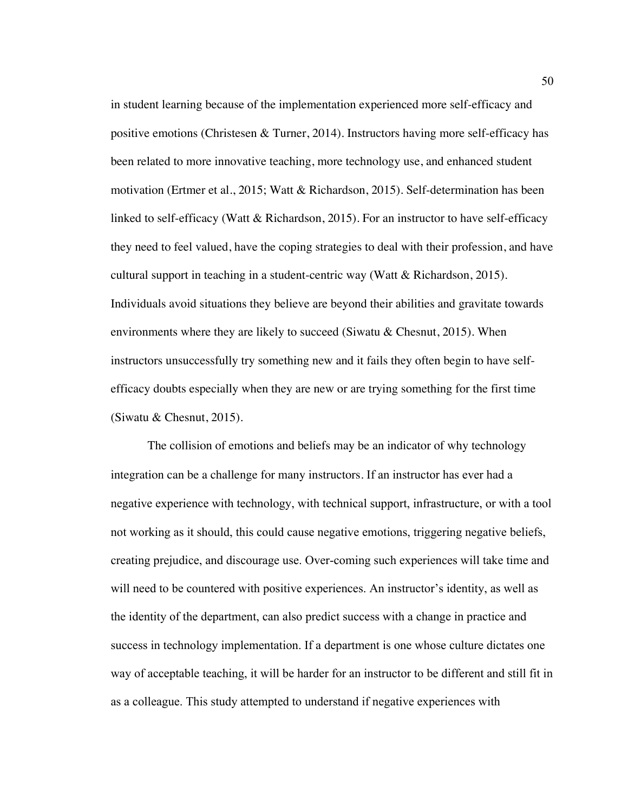in student learning because of the implementation experienced more self-efficacy and positive emotions (Christesen & Turner, 2014). Instructors having more self-efficacy has been related to more innovative teaching, more technology use, and enhanced student motivation (Ertmer et al., 2015; Watt & Richardson, 2015). Self-determination has been linked to self-efficacy (Watt  $\&$  Richardson, 2015). For an instructor to have self-efficacy they need to feel valued, have the coping strategies to deal with their profession, and have cultural support in teaching in a student-centric way (Watt & Richardson, 2015). Individuals avoid situations they believe are beyond their abilities and gravitate towards environments where they are likely to succeed (Siwatu & Chesnut, 2015). When instructors unsuccessfully try something new and it fails they often begin to have selfefficacy doubts especially when they are new or are trying something for the first time (Siwatu & Chesnut, 2015).

The collision of emotions and beliefs may be an indicator of why technology integration can be a challenge for many instructors. If an instructor has ever had a negative experience with technology, with technical support, infrastructure, or with a tool not working as it should, this could cause negative emotions, triggering negative beliefs, creating prejudice, and discourage use. Over-coming such experiences will take time and will need to be countered with positive experiences. An instructor's identity, as well as the identity of the department, can also predict success with a change in practice and success in technology implementation. If a department is one whose culture dictates one way of acceptable teaching, it will be harder for an instructor to be different and still fit in as a colleague. This study attempted to understand if negative experiences with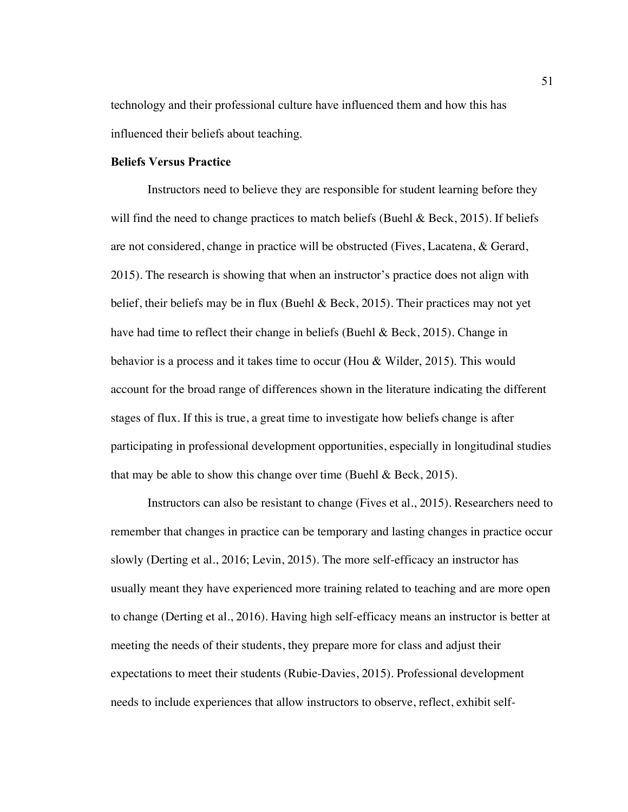technology and their professional culture have influenced them and how this has influenced their beliefs about teaching.

# **Beliefs Versus Practice**

Instructors need to believe they are responsible for student learning before they will find the need to change practices to match beliefs (Buehl  $\&$  Beck, 2015). If beliefs are not considered, change in practice will be obstructed (Fives, Lacatena, & Gerard, 2015). The research is showing that when an instructor's practice does not align with belief, their beliefs may be in flux (Buehl & Beck, 2015). Their practices may not yet have had time to reflect their change in beliefs (Buehl & Beck, 2015). Change in behavior is a process and it takes time to occur (Hou & Wilder, 2015). This would account for the broad range of differences shown in the literature indicating the different stages of flux. If this is true, a great time to investigate how beliefs change is after participating in professional development opportunities, especially in longitudinal studies that may be able to show this change over time (Buehl  $\&$  Beck, 2015).

Instructors can also be resistant to change (Fives et al., 2015). Researchers need to remember that changes in practice can be temporary and lasting changes in practice occur slowly (Derting et al., 2016; Levin, 2015). The more self-efficacy an instructor has usually meant they have experienced more training related to teaching and are more open to change (Derting et al., 2016). Having high self-efficacy means an instructor is better at meeting the needs of their students, they prepare more for class and adjust their expectations to meet their students (Rubie-Davies, 2015). Professional development needs to include experiences that allow instructors to observe, reflect, exhibit self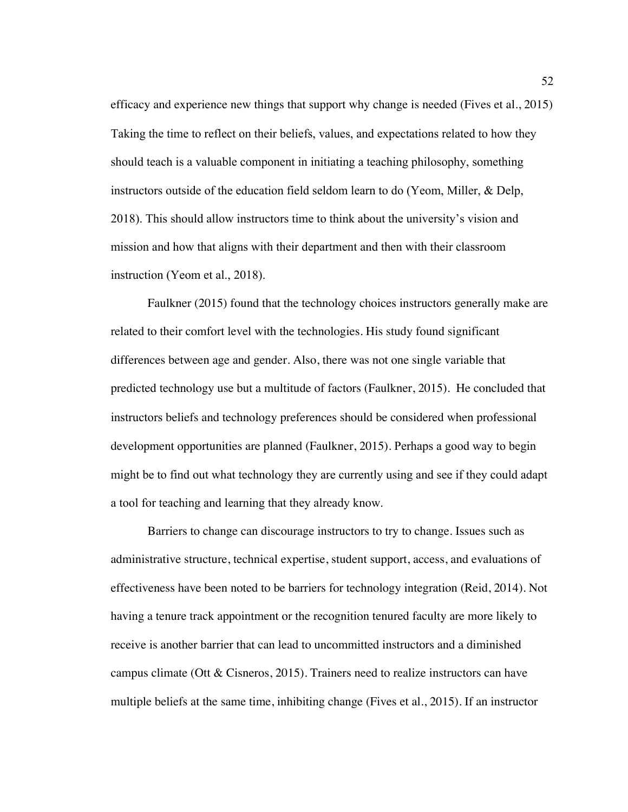efficacy and experience new things that support why change is needed (Fives et al., 2015) Taking the time to reflect on their beliefs, values, and expectations related to how they should teach is a valuable component in initiating a teaching philosophy, something instructors outside of the education field seldom learn to do (Yeom, Miller, & Delp, 2018). This should allow instructors time to think about the university's vision and mission and how that aligns with their department and then with their classroom instruction (Yeom et al., 2018).

Faulkner (2015) found that the technology choices instructors generally make are related to their comfort level with the technologies. His study found significant differences between age and gender. Also, there was not one single variable that predicted technology use but a multitude of factors (Faulkner, 2015). He concluded that instructors beliefs and technology preferences should be considered when professional development opportunities are planned (Faulkner, 2015). Perhaps a good way to begin might be to find out what technology they are currently using and see if they could adapt a tool for teaching and learning that they already know.

 Barriers to change can discourage instructors to try to change. Issues such as administrative structure, technical expertise, student support, access, and evaluations of effectiveness have been noted to be barriers for technology integration (Reid, 2014). Not having a tenure track appointment or the recognition tenured faculty are more likely to receive is another barrier that can lead to uncommitted instructors and a diminished campus climate (Ott & Cisneros, 2015). Trainers need to realize instructors can have multiple beliefs at the same time, inhibiting change (Fives et al., 2015). If an instructor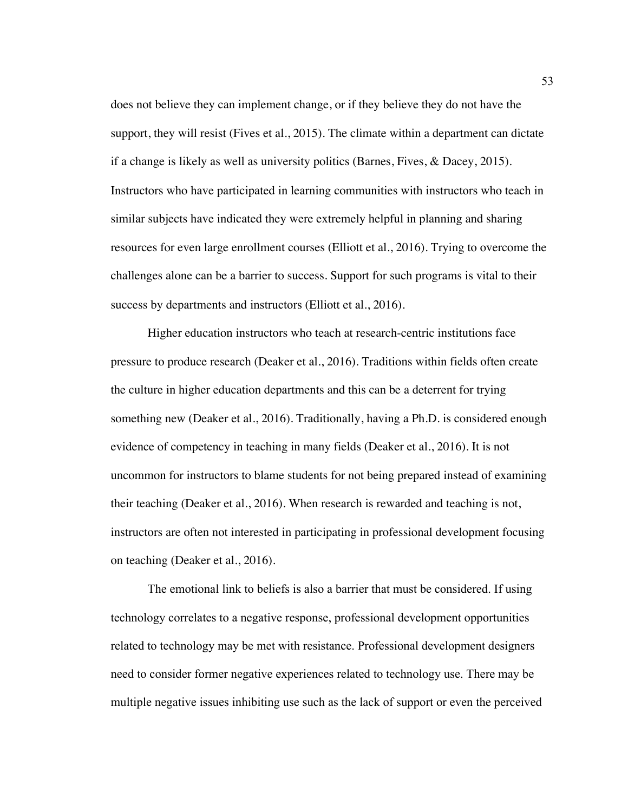does not believe they can implement change, or if they believe they do not have the support, they will resist (Fives et al., 2015). The climate within a department can dictate if a change is likely as well as university politics (Barnes, Fives, & Dacey, 2015). Instructors who have participated in learning communities with instructors who teach in similar subjects have indicated they were extremely helpful in planning and sharing resources for even large enrollment courses (Elliott et al., 2016). Trying to overcome the challenges alone can be a barrier to success. Support for such programs is vital to their success by departments and instructors (Elliott et al., 2016).

Higher education instructors who teach at research-centric institutions face pressure to produce research (Deaker et al., 2016). Traditions within fields often create the culture in higher education departments and this can be a deterrent for trying something new (Deaker et al., 2016). Traditionally, having a Ph.D. is considered enough evidence of competency in teaching in many fields (Deaker et al., 2016). It is not uncommon for instructors to blame students for not being prepared instead of examining their teaching (Deaker et al., 2016). When research is rewarded and teaching is not, instructors are often not interested in participating in professional development focusing on teaching (Deaker et al., 2016).

The emotional link to beliefs is also a barrier that must be considered. If using technology correlates to a negative response, professional development opportunities related to technology may be met with resistance. Professional development designers need to consider former negative experiences related to technology use. There may be multiple negative issues inhibiting use such as the lack of support or even the perceived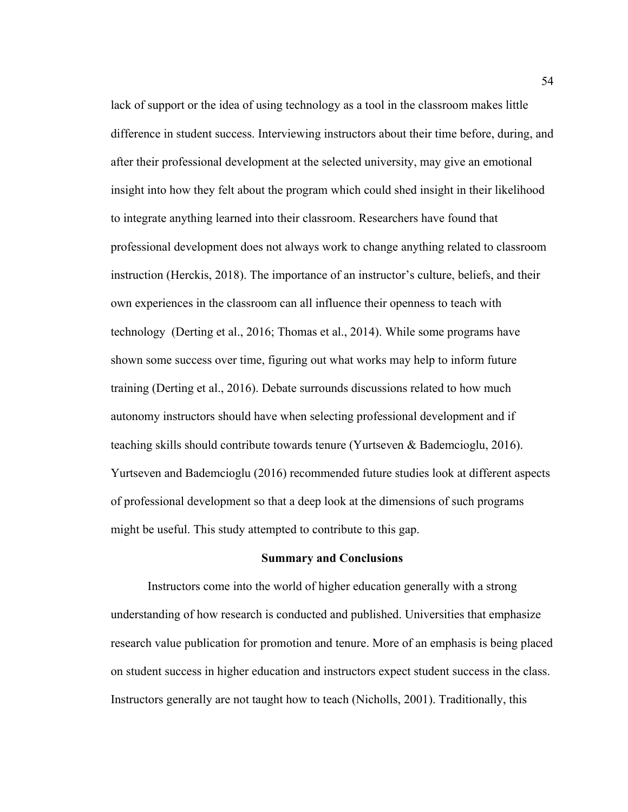lack of support or the idea of using technology as a tool in the classroom makes little difference in student success. Interviewing instructors about their time before, during, and after their professional development at the selected university, may give an emotional insight into how they felt about the program which could shed insight in their likelihood to integrate anything learned into their classroom. Researchers have found that professional development does not always work to change anything related to classroom instruction (Herckis, 2018). The importance of an instructor's culture, beliefs, and their own experiences in the classroom can all influence their openness to teach with technology (Derting et al., 2016; Thomas et al., 2014). While some programs have shown some success over time, figuring out what works may help to inform future training (Derting et al., 2016). Debate surrounds discussions related to how much autonomy instructors should have when selecting professional development and if teaching skills should contribute towards tenure (Yurtseven & Bademcioglu, 2016). Yurtseven and Bademcioglu (2016) recommended future studies look at different aspects of professional development so that a deep look at the dimensions of such programs might be useful. This study attempted to contribute to this gap.

# **Summary and Conclusions**

Instructors come into the world of higher education generally with a strong understanding of how research is conducted and published. Universities that emphasize research value publication for promotion and tenure. More of an emphasis is being placed on student success in higher education and instructors expect student success in the class. Instructors generally are not taught how to teach (Nicholls, 2001). Traditionally, this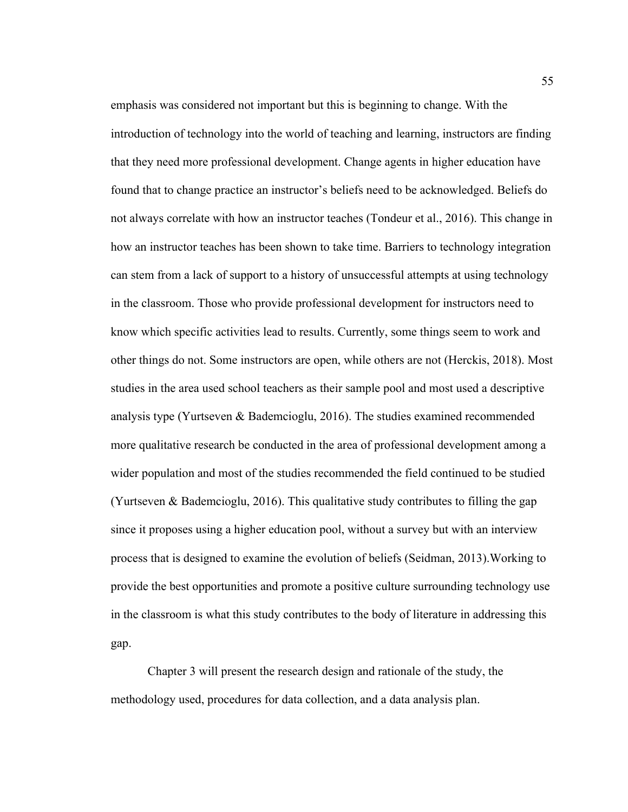emphasis was considered not important but this is beginning to change. With the introduction of technology into the world of teaching and learning, instructors are finding that they need more professional development. Change agents in higher education have found that to change practice an instructor's beliefs need to be acknowledged. Beliefs do not always correlate with how an instructor teaches (Tondeur et al., 2016). This change in how an instructor teaches has been shown to take time. Barriers to technology integration can stem from a lack of support to a history of unsuccessful attempts at using technology in the classroom. Those who provide professional development for instructors need to know which specific activities lead to results. Currently, some things seem to work and other things do not. Some instructors are open, while others are not (Herckis, 2018). Most studies in the area used school teachers as their sample pool and most used a descriptive analysis type (Yurtseven & Bademcioglu, 2016). The studies examined recommended more qualitative research be conducted in the area of professional development among a wider population and most of the studies recommended the field continued to be studied (Yurtseven & Bademcioglu, 2016). This qualitative study contributes to filling the gap since it proposes using a higher education pool, without a survey but with an interview process that is designed to examine the evolution of beliefs (Seidman, 2013).Working to provide the best opportunities and promote a positive culture surrounding technology use in the classroom is what this study contributes to the body of literature in addressing this gap.

Chapter 3 will present the research design and rationale of the study, the methodology used, procedures for data collection, and a data analysis plan.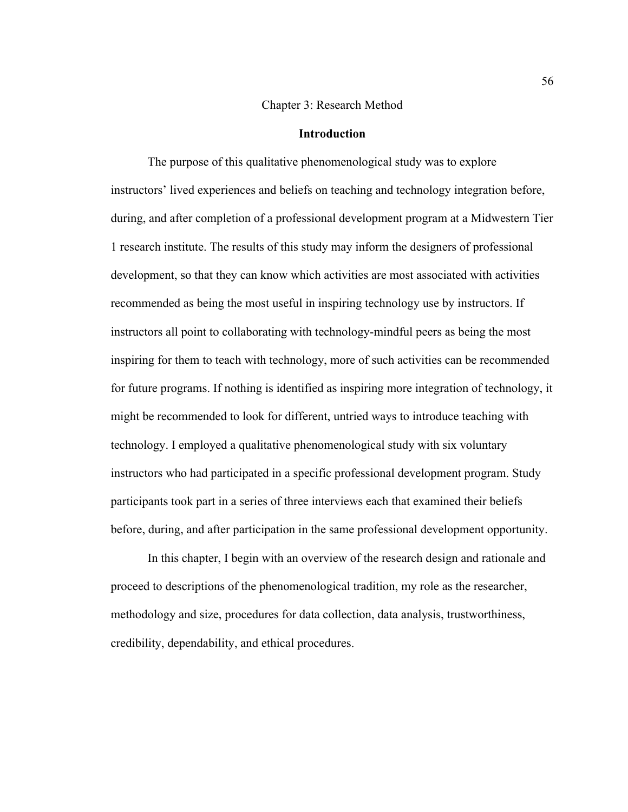#### Chapter 3: Research Method

## **Introduction**

The purpose of this qualitative phenomenological study was to explore instructors' lived experiences and beliefs on teaching and technology integration before, during, and after completion of a professional development program at a Midwestern Tier 1 research institute. The results of this study may inform the designers of professional development, so that they can know which activities are most associated with activities recommended as being the most useful in inspiring technology use by instructors. If instructors all point to collaborating with technology-mindful peers as being the most inspiring for them to teach with technology, more of such activities can be recommended for future programs. If nothing is identified as inspiring more integration of technology, it might be recommended to look for different, untried ways to introduce teaching with technology. I employed a qualitative phenomenological study with six voluntary instructors who had participated in a specific professional development program. Study participants took part in a series of three interviews each that examined their beliefs before, during, and after participation in the same professional development opportunity.

In this chapter, I begin with an overview of the research design and rationale and proceed to descriptions of the phenomenological tradition, my role as the researcher, methodology and size, procedures for data collection, data analysis, trustworthiness, credibility, dependability, and ethical procedures.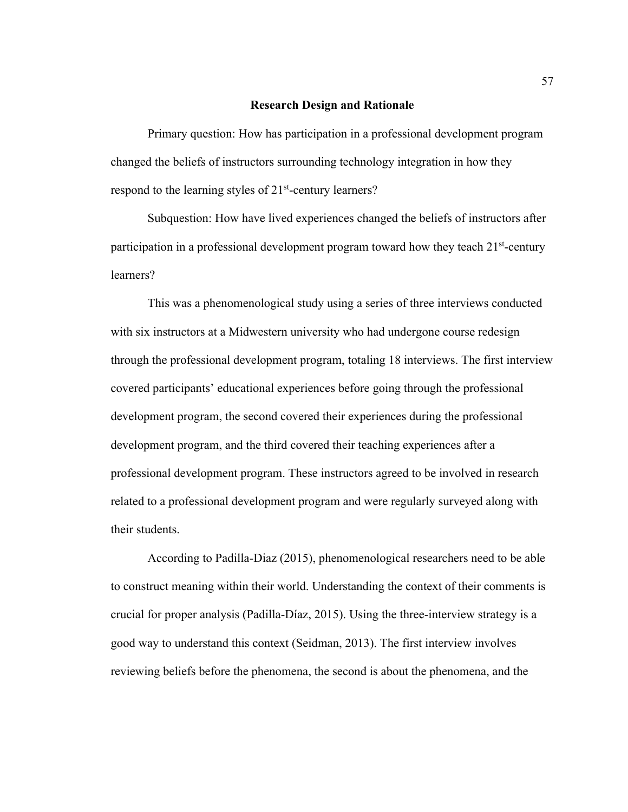### **Research Design and Rationale**

Primary question: How has participation in a professional development program changed the beliefs of instructors surrounding technology integration in how they respond to the learning styles of 21<sup>st</sup>-century learners?

Subquestion: How have lived experiences changed the beliefs of instructors after participation in a professional development program toward how they teach  $21<sup>st</sup>$ -century learners?

This was a phenomenological study using a series of three interviews conducted with six instructors at a Midwestern university who had undergone course redesign through the professional development program, totaling 18 interviews. The first interview covered participants' educational experiences before going through the professional development program, the second covered their experiences during the professional development program, and the third covered their teaching experiences after a professional development program. These instructors agreed to be involved in research related to a professional development program and were regularly surveyed along with their students.

According to Padilla-Diaz (2015), phenomenological researchers need to be able to construct meaning within their world. Understanding the context of their comments is crucial for proper analysis (Padilla-Díaz, 2015). Using the three-interview strategy is a good way to understand this context (Seidman, 2013). The first interview involves reviewing beliefs before the phenomena, the second is about the phenomena, and the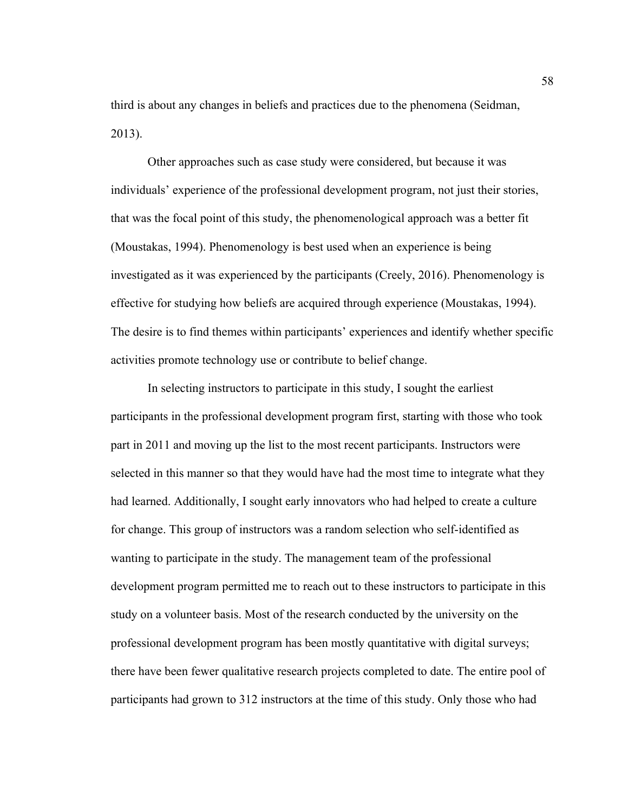third is about any changes in beliefs and practices due to the phenomena (Seidman, 2013).

Other approaches such as case study were considered, but because it was individuals' experience of the professional development program, not just their stories, that was the focal point of this study, the phenomenological approach was a better fit (Moustakas, 1994). Phenomenology is best used when an experience is being investigated as it was experienced by the participants (Creely, 2016). Phenomenology is effective for studying how beliefs are acquired through experience (Moustakas, 1994). The desire is to find themes within participants' experiences and identify whether specific activities promote technology use or contribute to belief change.

In selecting instructors to participate in this study, I sought the earliest participants in the professional development program first, starting with those who took part in 2011 and moving up the list to the most recent participants. Instructors were selected in this manner so that they would have had the most time to integrate what they had learned. Additionally, I sought early innovators who had helped to create a culture for change. This group of instructors was a random selection who self-identified as wanting to participate in the study. The management team of the professional development program permitted me to reach out to these instructors to participate in this study on a volunteer basis. Most of the research conducted by the university on the professional development program has been mostly quantitative with digital surveys; there have been fewer qualitative research projects completed to date. The entire pool of participants had grown to 312 instructors at the time of this study. Only those who had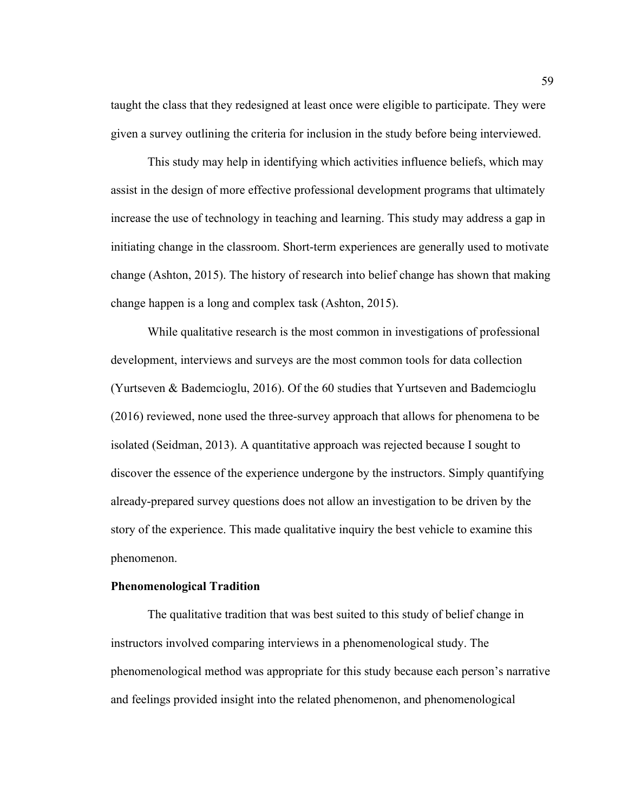taught the class that they redesigned at least once were eligible to participate. They were given a survey outlining the criteria for inclusion in the study before being interviewed.

This study may help in identifying which activities influence beliefs, which may assist in the design of more effective professional development programs that ultimately increase the use of technology in teaching and learning. This study may address a gap in initiating change in the classroom. Short-term experiences are generally used to motivate change (Ashton, 2015). The history of research into belief change has shown that making change happen is a long and complex task (Ashton, 2015).

While qualitative research is the most common in investigations of professional development, interviews and surveys are the most common tools for data collection (Yurtseven & Bademcioglu, 2016). Of the 60 studies that Yurtseven and Bademcioglu (2016) reviewed, none used the three-survey approach that allows for phenomena to be isolated (Seidman, 2013). A quantitative approach was rejected because I sought to discover the essence of the experience undergone by the instructors. Simply quantifying already-prepared survey questions does not allow an investigation to be driven by the story of the experience. This made qualitative inquiry the best vehicle to examine this phenomenon.

# **Phenomenological Tradition**

The qualitative tradition that was best suited to this study of belief change in instructors involved comparing interviews in a phenomenological study. The phenomenological method was appropriate for this study because each person's narrative and feelings provided insight into the related phenomenon, and phenomenological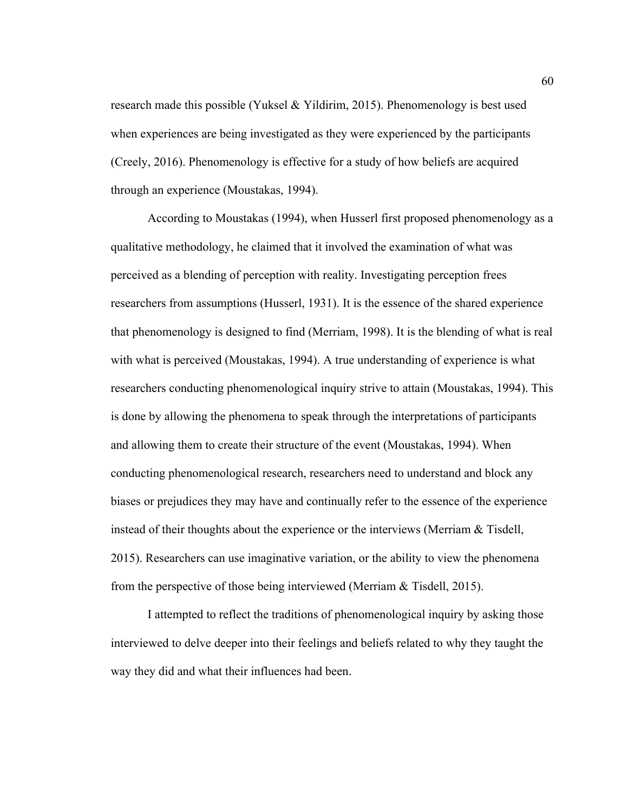research made this possible (Yuksel & Yildirim, 2015). Phenomenology is best used when experiences are being investigated as they were experienced by the participants (Creely, 2016). Phenomenology is effective for a study of how beliefs are acquired through an experience (Moustakas, 1994).

According to Moustakas (1994), when Husserl first proposed phenomenology as a qualitative methodology, he claimed that it involved the examination of what was perceived as a blending of perception with reality. Investigating perception frees researchers from assumptions (Husserl, 1931). It is the essence of the shared experience that phenomenology is designed to find (Merriam, 1998). It is the blending of what is real with what is perceived (Moustakas, 1994). A true understanding of experience is what researchers conducting phenomenological inquiry strive to attain (Moustakas, 1994). This is done by allowing the phenomena to speak through the interpretations of participants and allowing them to create their structure of the event (Moustakas, 1994). When conducting phenomenological research, researchers need to understand and block any biases or prejudices they may have and continually refer to the essence of the experience instead of their thoughts about the experience or the interviews (Merriam & Tisdell, 2015). Researchers can use imaginative variation, or the ability to view the phenomena from the perspective of those being interviewed (Merriam & Tisdell, 2015).

I attempted to reflect the traditions of phenomenological inquiry by asking those interviewed to delve deeper into their feelings and beliefs related to why they taught the way they did and what their influences had been.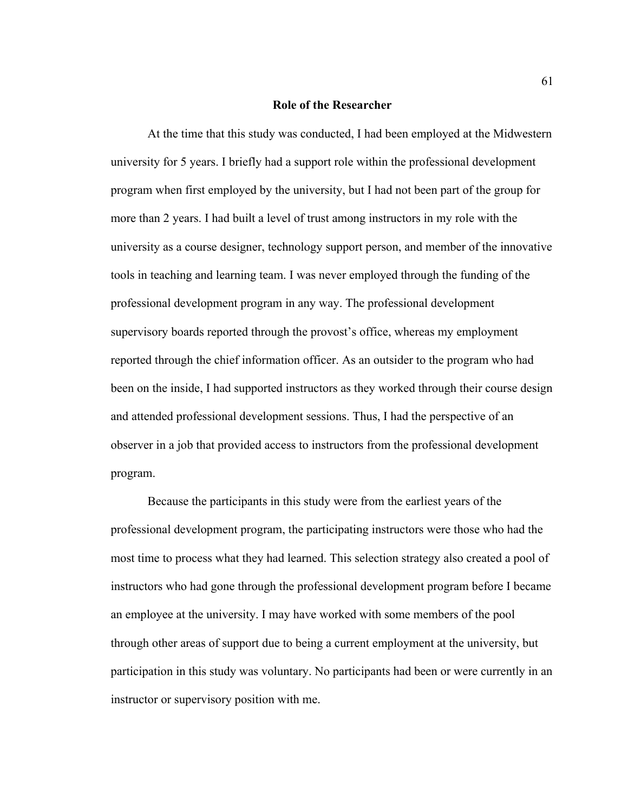## **Role of the Researcher**

At the time that this study was conducted, I had been employed at the Midwestern university for 5 years. I briefly had a support role within the professional development program when first employed by the university, but I had not been part of the group for more than 2 years. I had built a level of trust among instructors in my role with the university as a course designer, technology support person, and member of the innovative tools in teaching and learning team. I was never employed through the funding of the professional development program in any way. The professional development supervisory boards reported through the provost's office, whereas my employment reported through the chief information officer. As an outsider to the program who had been on the inside, I had supported instructors as they worked through their course design and attended professional development sessions. Thus, I had the perspective of an observer in a job that provided access to instructors from the professional development program.

Because the participants in this study were from the earliest years of the professional development program, the participating instructors were those who had the most time to process what they had learned. This selection strategy also created a pool of instructors who had gone through the professional development program before I became an employee at the university. I may have worked with some members of the pool through other areas of support due to being a current employment at the university, but participation in this study was voluntary. No participants had been or were currently in an instructor or supervisory position with me.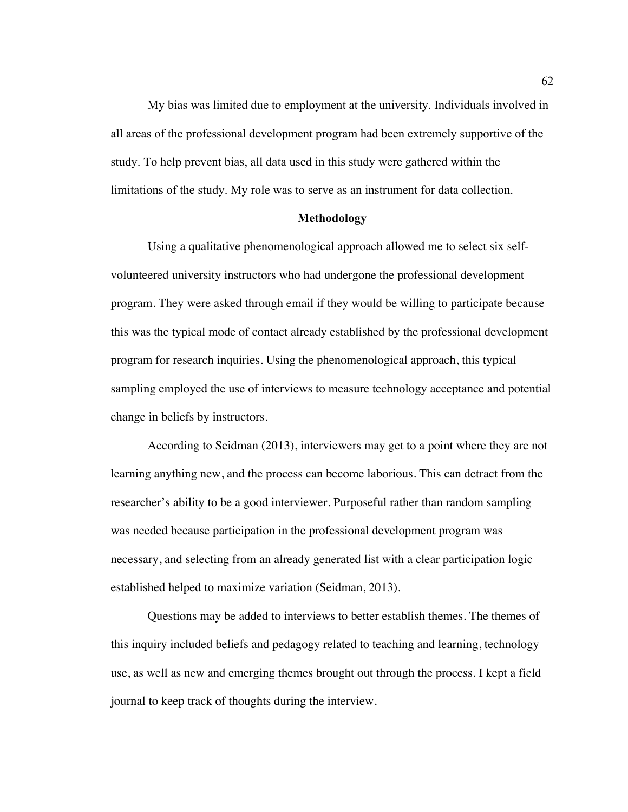My bias was limited due to employment at the university. Individuals involved in all areas of the professional development program had been extremely supportive of the study. To help prevent bias, all data used in this study were gathered within the limitations of the study. My role was to serve as an instrument for data collection.

#### **Methodology**

Using a qualitative phenomenological approach allowed me to select six selfvolunteered university instructors who had undergone the professional development program. They were asked through email if they would be willing to participate because this was the typical mode of contact already established by the professional development program for research inquiries. Using the phenomenological approach, this typical sampling employed the use of interviews to measure technology acceptance and potential change in beliefs by instructors.

According to Seidman (2013), interviewers may get to a point where they are not learning anything new, and the process can become laborious. This can detract from the researcher's ability to be a good interviewer. Purposeful rather than random sampling was needed because participation in the professional development program was necessary, and selecting from an already generated list with a clear participation logic established helped to maximize variation (Seidman, 2013).

Questions may be added to interviews to better establish themes. The themes of this inquiry included beliefs and pedagogy related to teaching and learning, technology use, as well as new and emerging themes brought out through the process. I kept a field journal to keep track of thoughts during the interview.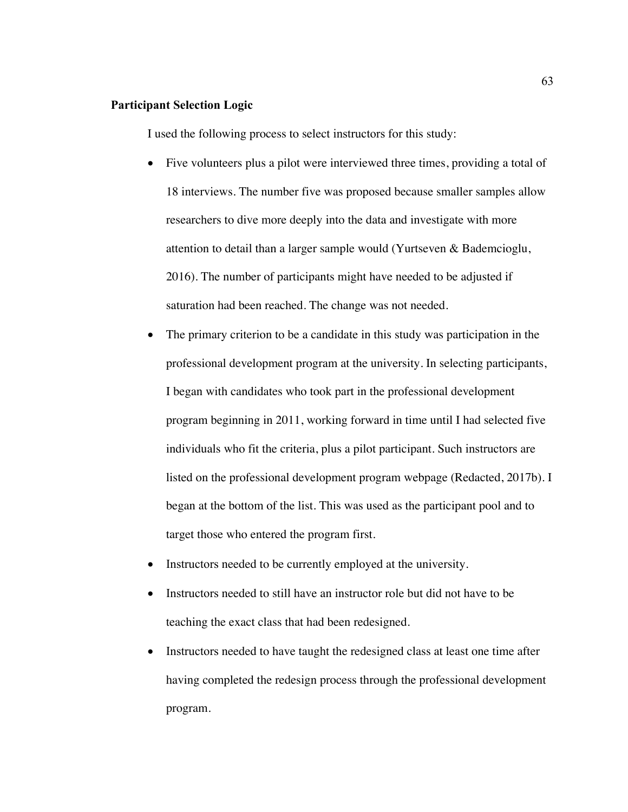# **Participant Selection Logic**

I used the following process to select instructors for this study:

- Five volunteers plus a pilot were interviewed three times, providing a total of 18 interviews. The number five was proposed because smaller samples allow researchers to dive more deeply into the data and investigate with more attention to detail than a larger sample would (Yurtseven & Bademcioglu, 2016). The number of participants might have needed to be adjusted if saturation had been reached. The change was not needed.
- The primary criterion to be a candidate in this study was participation in the professional development program at the university. In selecting participants, I began with candidates who took part in the professional development program beginning in 2011, working forward in time until I had selected five individuals who fit the criteria, plus a pilot participant. Such instructors are listed on the professional development program webpage (Redacted, 2017b). I began at the bottom of the list. This was used as the participant pool and to target those who entered the program first.
- Instructors needed to be currently employed at the university.
- Instructors needed to still have an instructor role but did not have to be teaching the exact class that had been redesigned.
- Instructors needed to have taught the redesigned class at least one time after having completed the redesign process through the professional development program.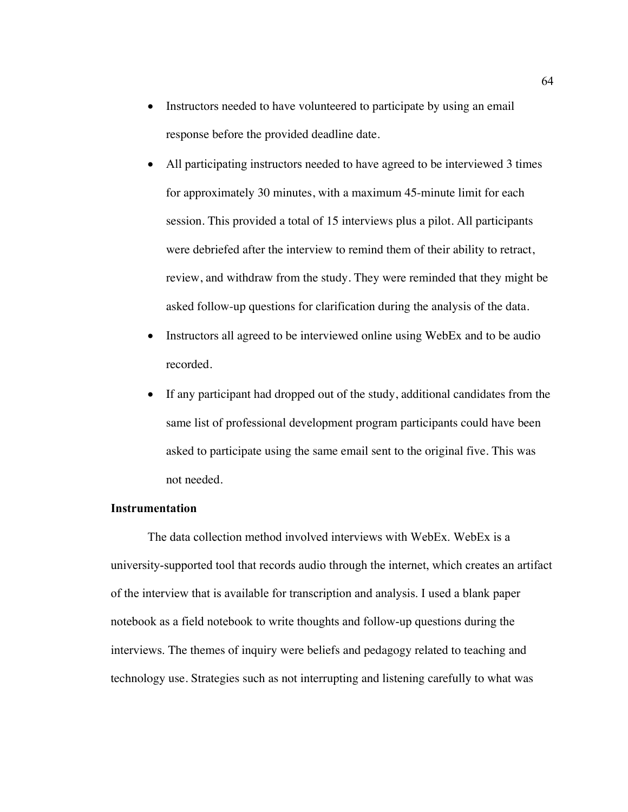- Instructors needed to have volunteered to participate by using an email response before the provided deadline date.
- All participating instructors needed to have agreed to be interviewed 3 times for approximately 30 minutes, with a maximum 45-minute limit for each session. This provided a total of 15 interviews plus a pilot. All participants were debriefed after the interview to remind them of their ability to retract, review, and withdraw from the study. They were reminded that they might be asked follow-up questions for clarification during the analysis of the data.
- Instructors all agreed to be interviewed online using WebEx and to be audio recorded.
- If any participant had dropped out of the study, additional candidates from the same list of professional development program participants could have been asked to participate using the same email sent to the original five. This was not needed.

# **Instrumentation**

The data collection method involved interviews with WebEx. WebEx is a university-supported tool that records audio through the internet, which creates an artifact of the interview that is available for transcription and analysis. I used a blank paper notebook as a field notebook to write thoughts and follow-up questions during the interviews. The themes of inquiry were beliefs and pedagogy related to teaching and technology use. Strategies such as not interrupting and listening carefully to what was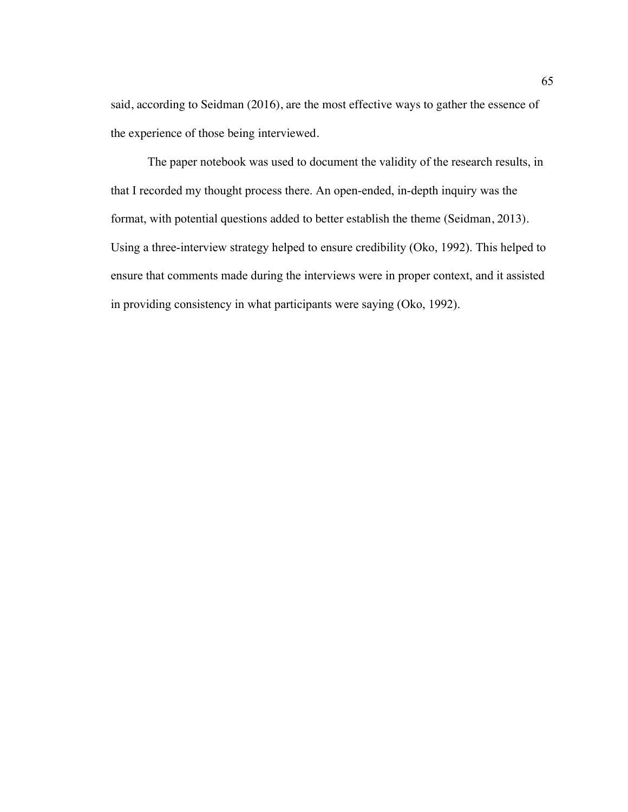said, according to Seidman (2016), are the most effective ways to gather the essence of the experience of those being interviewed.

The paper notebook was used to document the validity of the research results, in that I recorded my thought process there. An open-ended, in-depth inquiry was the format, with potential questions added to better establish the theme (Seidman, 2013). Using a three-interview strategy helped to ensure credibility (Oko, 1992). This helped to ensure that comments made during the interviews were in proper context, and it assisted in providing consistency in what participants were saying (Oko, 1992).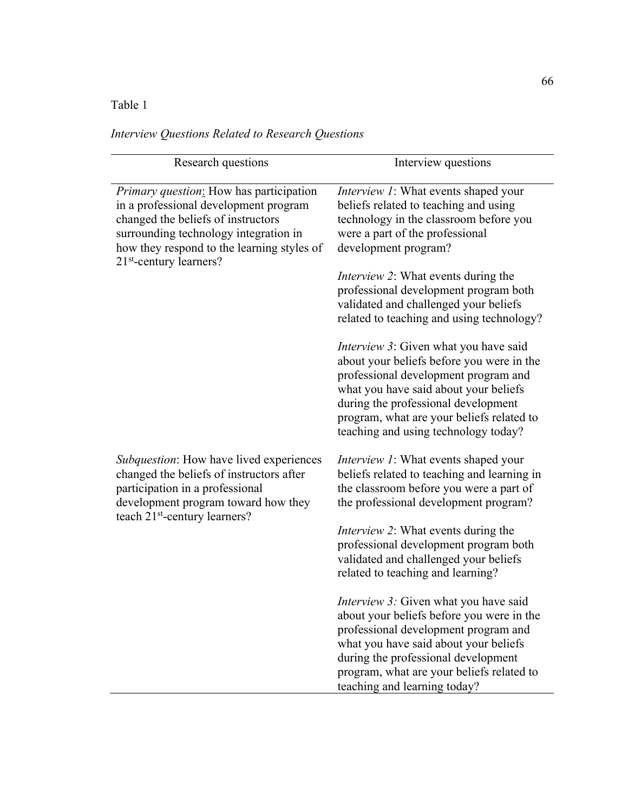# Table 1

|  |  |  | Interview Questions Related to Research Questions |  |
|--|--|--|---------------------------------------------------|--|
|--|--|--|---------------------------------------------------|--|

| Research questions                                                                                                                                                                                                                                | Interview questions                                                                                                                                                                                                                                                                                     |
|---------------------------------------------------------------------------------------------------------------------------------------------------------------------------------------------------------------------------------------------------|---------------------------------------------------------------------------------------------------------------------------------------------------------------------------------------------------------------------------------------------------------------------------------------------------------|
| <i>Primary question:</i> How has participation<br>in a professional development program<br>changed the beliefs of instructors<br>surrounding technology integration in<br>how they respond to the learning styles of<br>$21st$ -century learners? | <i>Interview 1</i> : What events shaped your<br>beliefs related to teaching and using<br>technology in the classroom before you<br>were a part of the professional<br>development program?                                                                                                              |
|                                                                                                                                                                                                                                                   | <i>Interview 2:</i> What events during the<br>professional development program both<br>validated and challenged your beliefs<br>related to teaching and using technology?                                                                                                                               |
|                                                                                                                                                                                                                                                   | <i>Interview 3</i> : Given what you have said<br>about your beliefs before you were in the<br>professional development program and<br>what you have said about your beliefs<br>during the professional development<br>program, what are your beliefs related to<br>teaching and using technology today? |
| Subquestion: How have lived experiences<br>changed the beliefs of instructors after<br>participation in a professional<br>development program toward how they<br>teach 21 <sup>st</sup> -century learners?                                        | <i>Interview 1</i> : What events shaped your<br>beliefs related to teaching and learning in<br>the classroom before you were a part of<br>the professional development program?                                                                                                                         |
|                                                                                                                                                                                                                                                   | <i>Interview 2</i> : What events during the<br>professional development program both<br>validated and challenged your beliefs<br>related to teaching and learning?                                                                                                                                      |
|                                                                                                                                                                                                                                                   | <i>Interview 3:</i> Given what you have said<br>about your beliefs before you were in the<br>professional development program and<br>what you have said about your beliefs<br>during the professional development<br>program, what are your beliefs related to<br>teaching and learning today?          |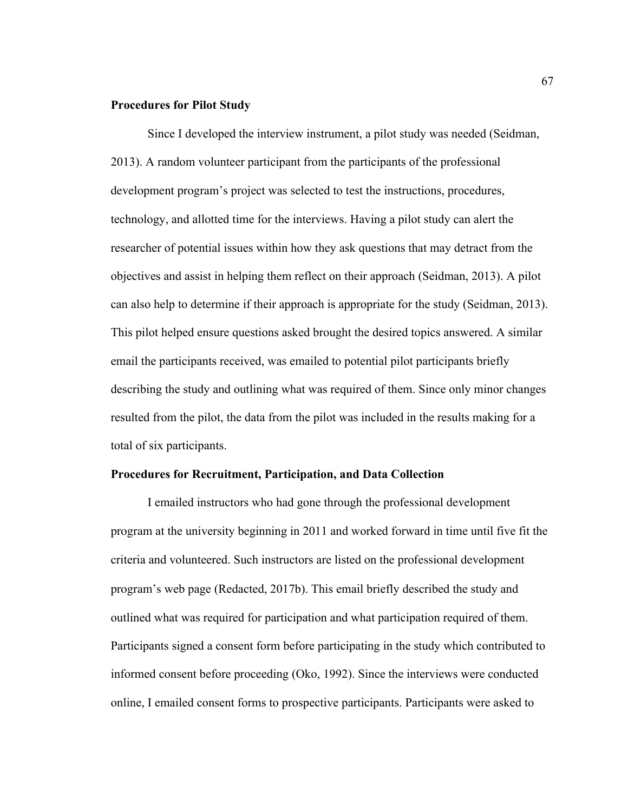# **Procedures for Pilot Study**

Since I developed the interview instrument, a pilot study was needed (Seidman, 2013). A random volunteer participant from the participants of the professional development program's project was selected to test the instructions, procedures, technology, and allotted time for the interviews. Having a pilot study can alert the researcher of potential issues within how they ask questions that may detract from the objectives and assist in helping them reflect on their approach (Seidman, 2013). A pilot can also help to determine if their approach is appropriate for the study (Seidman, 2013). This pilot helped ensure questions asked brought the desired topics answered. A similar email the participants received, was emailed to potential pilot participants briefly describing the study and outlining what was required of them. Since only minor changes resulted from the pilot, the data from the pilot was included in the results making for a total of six participants.

# **Procedures for Recruitment, Participation, and Data Collection**

I emailed instructors who had gone through the professional development program at the university beginning in 2011 and worked forward in time until five fit the criteria and volunteered. Such instructors are listed on the professional development program's web page (Redacted, 2017b). This email briefly described the study and outlined what was required for participation and what participation required of them. Participants signed a consent form before participating in the study which contributed to informed consent before proceeding (Oko, 1992). Since the interviews were conducted online, I emailed consent forms to prospective participants. Participants were asked to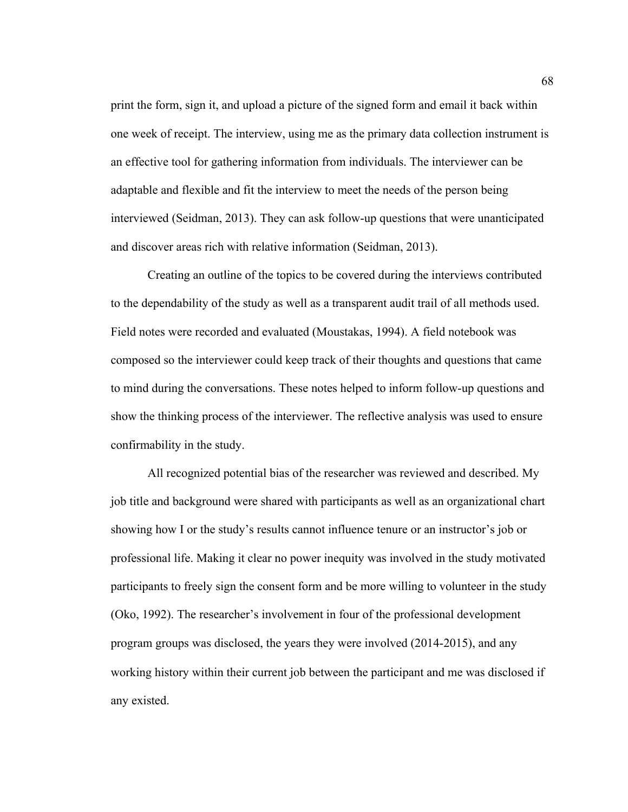print the form, sign it, and upload a picture of the signed form and email it back within one week of receipt. The interview, using me as the primary data collection instrument is an effective tool for gathering information from individuals. The interviewer can be adaptable and flexible and fit the interview to meet the needs of the person being interviewed (Seidman, 2013). They can ask follow-up questions that were unanticipated and discover areas rich with relative information (Seidman, 2013).

Creating an outline of the topics to be covered during the interviews contributed to the dependability of the study as well as a transparent audit trail of all methods used. Field notes were recorded and evaluated (Moustakas, 1994). A field notebook was composed so the interviewer could keep track of their thoughts and questions that came to mind during the conversations. These notes helped to inform follow-up questions and show the thinking process of the interviewer. The reflective analysis was used to ensure confirmability in the study.

All recognized potential bias of the researcher was reviewed and described. My job title and background were shared with participants as well as an organizational chart showing how I or the study's results cannot influence tenure or an instructor's job or professional life. Making it clear no power inequity was involved in the study motivated participants to freely sign the consent form and be more willing to volunteer in the study (Oko, 1992). The researcher's involvement in four of the professional development program groups was disclosed, the years they were involved (2014-2015), and any working history within their current job between the participant and me was disclosed if any existed.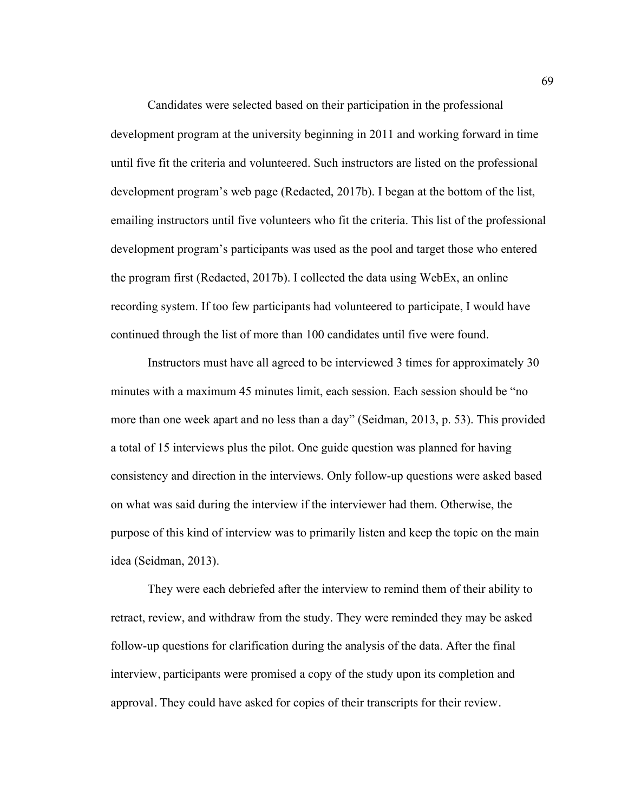Candidates were selected based on their participation in the professional development program at the university beginning in 2011 and working forward in time until five fit the criteria and volunteered. Such instructors are listed on the professional development program's web page (Redacted, 2017b). I began at the bottom of the list, emailing instructors until five volunteers who fit the criteria. This list of the professional development program's participants was used as the pool and target those who entered the program first (Redacted, 2017b). I collected the data using WebEx, an online recording system. If too few participants had volunteered to participate, I would have continued through the list of more than 100 candidates until five were found.

Instructors must have all agreed to be interviewed 3 times for approximately 30 minutes with a maximum 45 minutes limit, each session. Each session should be "no more than one week apart and no less than a day" (Seidman, 2013, p. 53). This provided a total of 15 interviews plus the pilot. One guide question was planned for having consistency and direction in the interviews. Only follow-up questions were asked based on what was said during the interview if the interviewer had them. Otherwise, the purpose of this kind of interview was to primarily listen and keep the topic on the main idea (Seidman, 2013).

They were each debriefed after the interview to remind them of their ability to retract, review, and withdraw from the study. They were reminded they may be asked follow-up questions for clarification during the analysis of the data. After the final interview, participants were promised a copy of the study upon its completion and approval. They could have asked for copies of their transcripts for their review.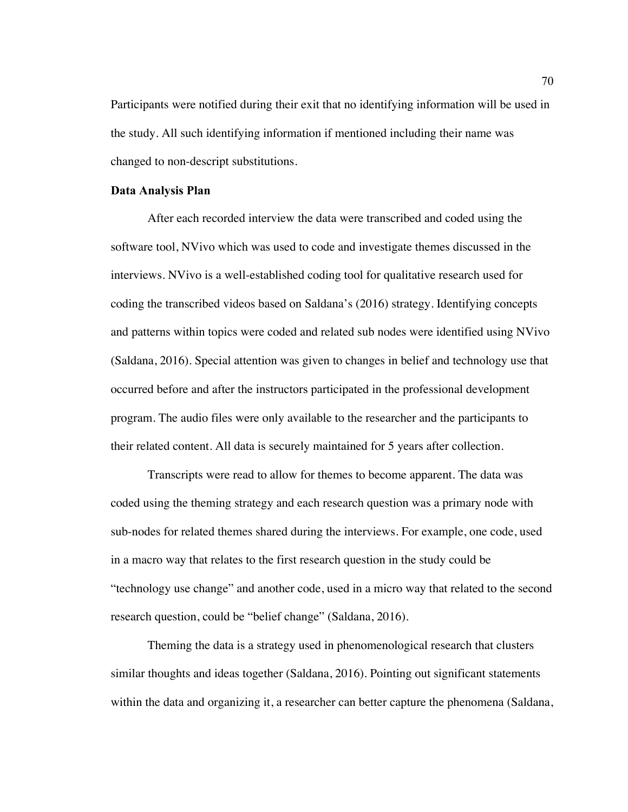Participants were notified during their exit that no identifying information will be used in the study. All such identifying information if mentioned including their name was changed to non-descript substitutions.

#### **Data Analysis Plan**

After each recorded interview the data were transcribed and coded using the software tool, NVivo which was used to code and investigate themes discussed in the interviews. NVivo is a well-established coding tool for qualitative research used for coding the transcribed videos based on Saldana's (2016) strategy. Identifying concepts and patterns within topics were coded and related sub nodes were identified using NVivo (Saldana, 2016). Special attention was given to changes in belief and technology use that occurred before and after the instructors participated in the professional development program. The audio files were only available to the researcher and the participants to their related content. All data is securely maintained for 5 years after collection.

Transcripts were read to allow for themes to become apparent. The data was coded using the theming strategy and each research question was a primary node with sub-nodes for related themes shared during the interviews. For example, one code, used in a macro way that relates to the first research question in the study could be "technology use change" and another code, used in a micro way that related to the second research question, could be "belief change" (Saldana, 2016).

Theming the data is a strategy used in phenomenological research that clusters similar thoughts and ideas together (Saldana, 2016). Pointing out significant statements within the data and organizing it, a researcher can better capture the phenomena (Saldana,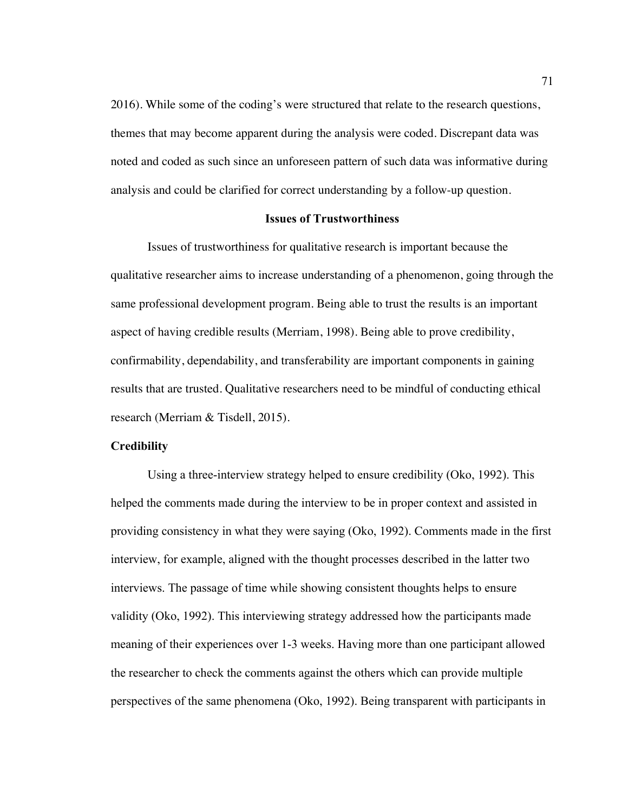2016). While some of the coding's were structured that relate to the research questions, themes that may become apparent during the analysis were coded. Discrepant data was noted and coded as such since an unforeseen pattern of such data was informative during analysis and could be clarified for correct understanding by a follow-up question.

# **Issues of Trustworthiness**

Issues of trustworthiness for qualitative research is important because the qualitative researcher aims to increase understanding of a phenomenon, going through the same professional development program. Being able to trust the results is an important aspect of having credible results (Merriam, 1998). Being able to prove credibility, confirmability, dependability, and transferability are important components in gaining results that are trusted. Qualitative researchers need to be mindful of conducting ethical research (Merriam & Tisdell, 2015).

# **Credibility**

Using a three-interview strategy helped to ensure credibility (Oko, 1992). This helped the comments made during the interview to be in proper context and assisted in providing consistency in what they were saying (Oko, 1992). Comments made in the first interview, for example, aligned with the thought processes described in the latter two interviews. The passage of time while showing consistent thoughts helps to ensure validity (Oko, 1992). This interviewing strategy addressed how the participants made meaning of their experiences over 1-3 weeks. Having more than one participant allowed the researcher to check the comments against the others which can provide multiple perspectives of the same phenomena (Oko, 1992). Being transparent with participants in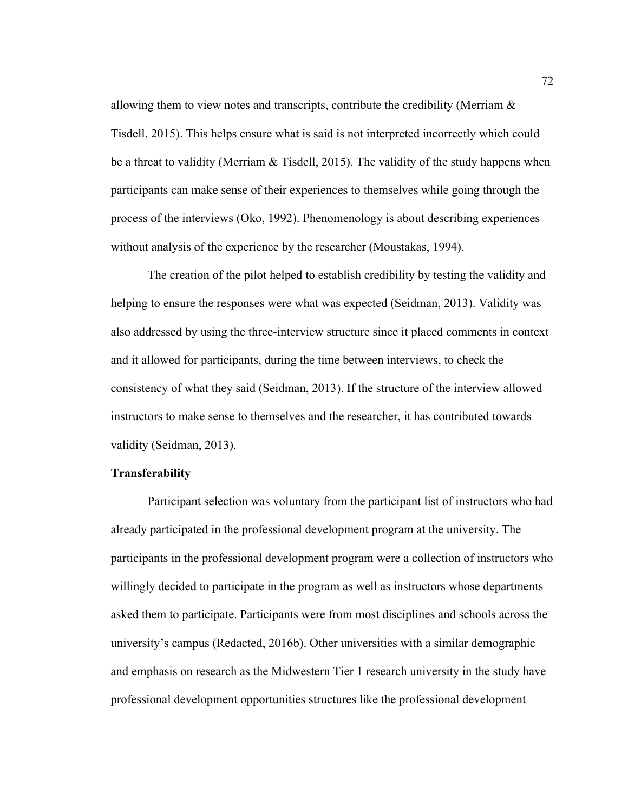allowing them to view notes and transcripts, contribute the credibility (Merriam & Tisdell, 2015). This helps ensure what is said is not interpreted incorrectly which could be a threat to validity (Merriam & Tisdell, 2015). The validity of the study happens when participants can make sense of their experiences to themselves while going through the process of the interviews (Oko, 1992). Phenomenology is about describing experiences without analysis of the experience by the researcher (Moustakas, 1994).

The creation of the pilot helped to establish credibility by testing the validity and helping to ensure the responses were what was expected (Seidman, 2013). Validity was also addressed by using the three-interview structure since it placed comments in context and it allowed for participants, during the time between interviews, to check the consistency of what they said (Seidman, 2013). If the structure of the interview allowed instructors to make sense to themselves and the researcher, it has contributed towards validity (Seidman, 2013).

# **Transferability**

Participant selection was voluntary from the participant list of instructors who had already participated in the professional development program at the university. The participants in the professional development program were a collection of instructors who willingly decided to participate in the program as well as instructors whose departments asked them to participate. Participants were from most disciplines and schools across the university's campus (Redacted, 2016b). Other universities with a similar demographic and emphasis on research as the Midwestern Tier 1 research university in the study have professional development opportunities structures like the professional development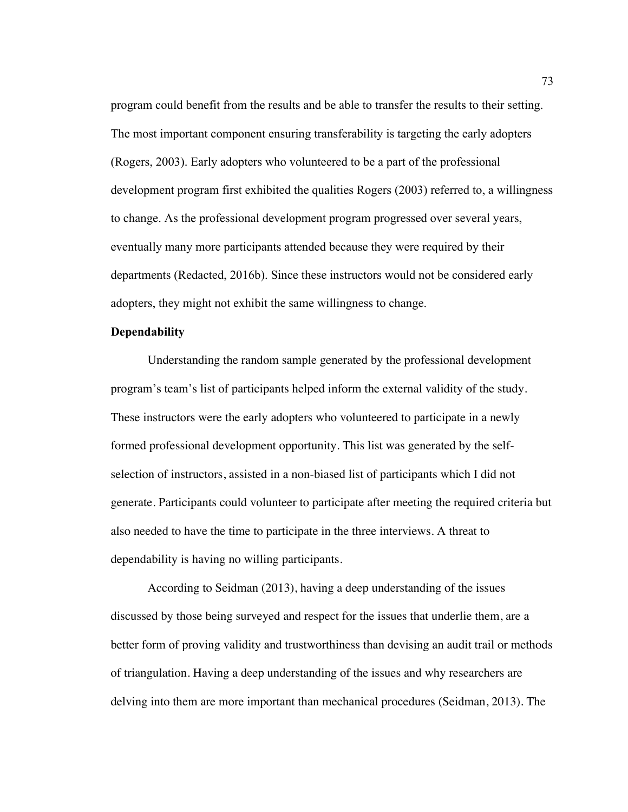program could benefit from the results and be able to transfer the results to their setting. The most important component ensuring transferability is targeting the early adopters (Rogers, 2003). Early adopters who volunteered to be a part of the professional development program first exhibited the qualities Rogers (2003) referred to, a willingness to change. As the professional development program progressed over several years, eventually many more participants attended because they were required by their departments (Redacted, 2016b). Since these instructors would not be considered early adopters, they might not exhibit the same willingness to change.

#### **Dependability**

Understanding the random sample generated by the professional development program's team's list of participants helped inform the external validity of the study. These instructors were the early adopters who volunteered to participate in a newly formed professional development opportunity. This list was generated by the selfselection of instructors, assisted in a non-biased list of participants which I did not generate. Participants could volunteer to participate after meeting the required criteria but also needed to have the time to participate in the three interviews. A threat to dependability is having no willing participants.

According to Seidman (2013), having a deep understanding of the issues discussed by those being surveyed and respect for the issues that underlie them, are a better form of proving validity and trustworthiness than devising an audit trail or methods of triangulation. Having a deep understanding of the issues and why researchers are delving into them are more important than mechanical procedures (Seidman, 2013). The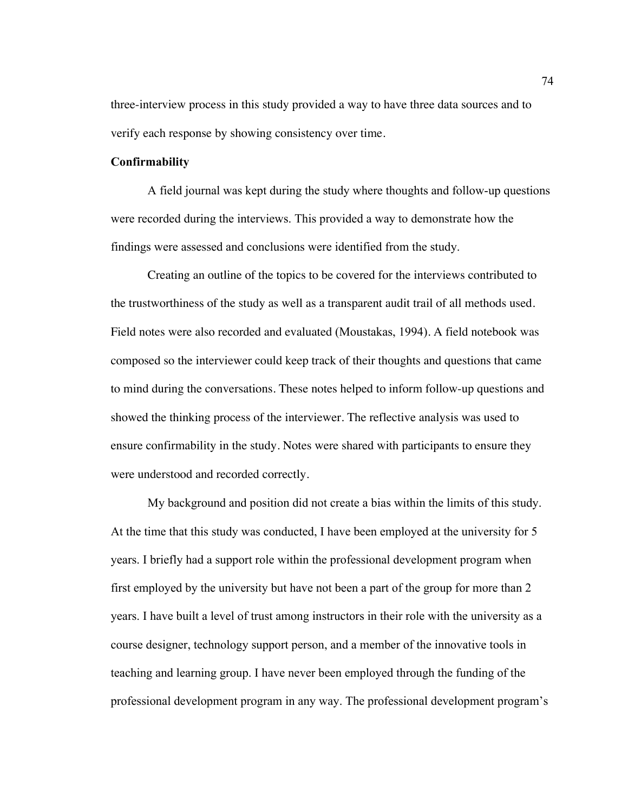three-interview process in this study provided a way to have three data sources and to verify each response by showing consistency over time.

# **Confirmability**

A field journal was kept during the study where thoughts and follow-up questions were recorded during the interviews. This provided a way to demonstrate how the findings were assessed and conclusions were identified from the study.

Creating an outline of the topics to be covered for the interviews contributed to the trustworthiness of the study as well as a transparent audit trail of all methods used. Field notes were also recorded and evaluated (Moustakas, 1994). A field notebook was composed so the interviewer could keep track of their thoughts and questions that came to mind during the conversations. These notes helped to inform follow-up questions and showed the thinking process of the interviewer. The reflective analysis was used to ensure confirmability in the study. Notes were shared with participants to ensure they were understood and recorded correctly.

My background and position did not create a bias within the limits of this study. At the time that this study was conducted, I have been employed at the university for 5 years. I briefly had a support role within the professional development program when first employed by the university but have not been a part of the group for more than 2 years. I have built a level of trust among instructors in their role with the university as a course designer, technology support person, and a member of the innovative tools in teaching and learning group. I have never been employed through the funding of the professional development program in any way. The professional development program's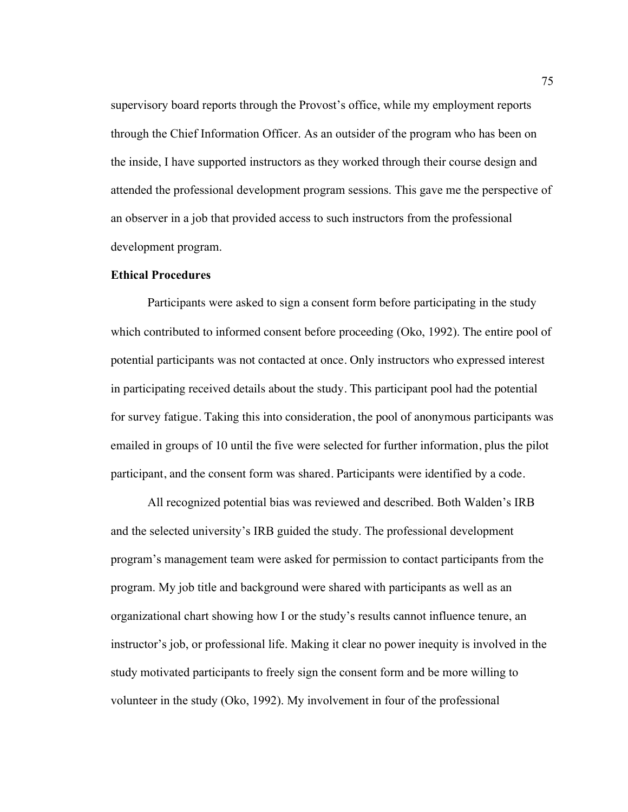supervisory board reports through the Provost's office, while my employment reports through the Chief Information Officer. As an outsider of the program who has been on the inside, I have supported instructors as they worked through their course design and attended the professional development program sessions. This gave me the perspective of an observer in a job that provided access to such instructors from the professional development program.

## **Ethical Procedures**

Participants were asked to sign a consent form before participating in the study which contributed to informed consent before proceeding (Oko, 1992). The entire pool of potential participants was not contacted at once. Only instructors who expressed interest in participating received details about the study. This participant pool had the potential for survey fatigue. Taking this into consideration, the pool of anonymous participants was emailed in groups of 10 until the five were selected for further information, plus the pilot participant, and the consent form was shared. Participants were identified by a code.

All recognized potential bias was reviewed and described. Both Walden's IRB and the selected university's IRB guided the study. The professional development program's management team were asked for permission to contact participants from the program. My job title and background were shared with participants as well as an organizational chart showing how I or the study's results cannot influence tenure, an instructor's job, or professional life. Making it clear no power inequity is involved in the study motivated participants to freely sign the consent form and be more willing to volunteer in the study (Oko, 1992). My involvement in four of the professional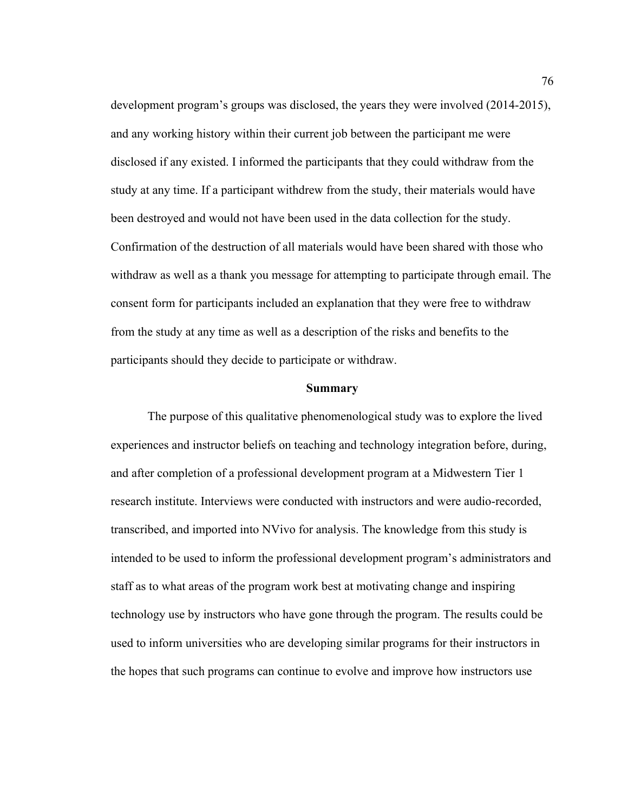development program's groups was disclosed, the years they were involved (2014-2015), and any working history within their current job between the participant me were disclosed if any existed. I informed the participants that they could withdraw from the study at any time. If a participant withdrew from the study, their materials would have been destroyed and would not have been used in the data collection for the study. Confirmation of the destruction of all materials would have been shared with those who withdraw as well as a thank you message for attempting to participate through email. The consent form for participants included an explanation that they were free to withdraw from the study at any time as well as a description of the risks and benefits to the participants should they decide to participate or withdraw.

# **Summary**

The purpose of this qualitative phenomenological study was to explore the lived experiences and instructor beliefs on teaching and technology integration before, during, and after completion of a professional development program at a Midwestern Tier 1 research institute. Interviews were conducted with instructors and were audio-recorded, transcribed, and imported into NVivo for analysis. The knowledge from this study is intended to be used to inform the professional development program's administrators and staff as to what areas of the program work best at motivating change and inspiring technology use by instructors who have gone through the program. The results could be used to inform universities who are developing similar programs for their instructors in the hopes that such programs can continue to evolve and improve how instructors use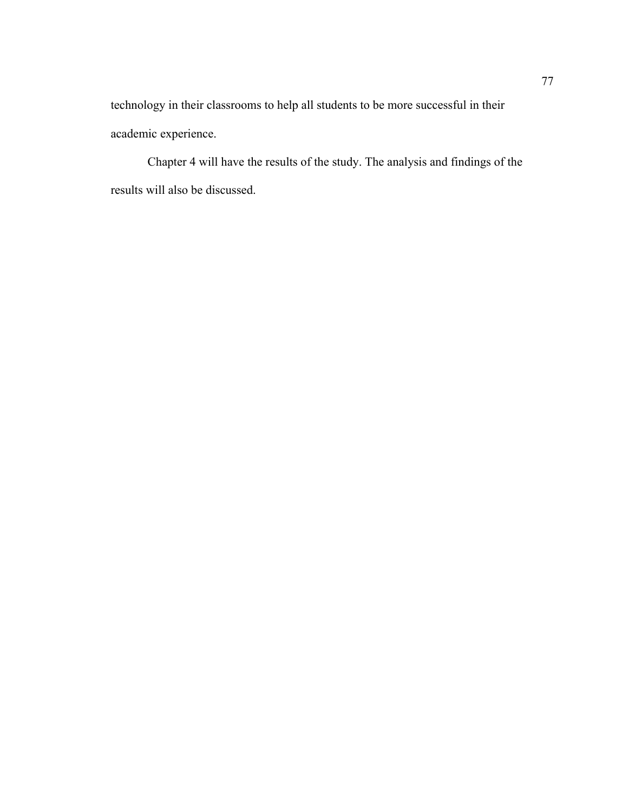technology in their classrooms to help all students to be more successful in their academic experience.

Chapter 4 will have the results of the study. The analysis and findings of the results will also be discussed.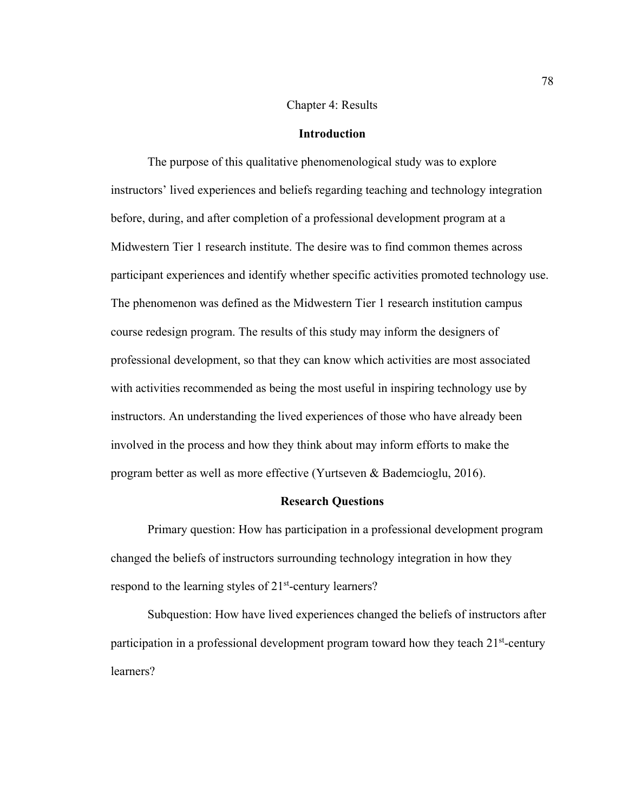#### Chapter 4: Results

# **Introduction**

The purpose of this qualitative phenomenological study was to explore instructors' lived experiences and beliefs regarding teaching and technology integration before, during, and after completion of a professional development program at a Midwestern Tier 1 research institute. The desire was to find common themes across participant experiences and identify whether specific activities promoted technology use. The phenomenon was defined as the Midwestern Tier 1 research institution campus course redesign program. The results of this study may inform the designers of professional development, so that they can know which activities are most associated with activities recommended as being the most useful in inspiring technology use by instructors. An understanding the lived experiences of those who have already been involved in the process and how they think about may inform efforts to make the program better as well as more effective (Yurtseven & Bademcioglu, 2016).

# **Research Questions**

Primary question: How has participation in a professional development program changed the beliefs of instructors surrounding technology integration in how they respond to the learning styles of 21<sup>st</sup>-century learners?

Subquestion: How have lived experiences changed the beliefs of instructors after participation in a professional development program toward how they teach  $21<sup>st</sup>$ -century learners?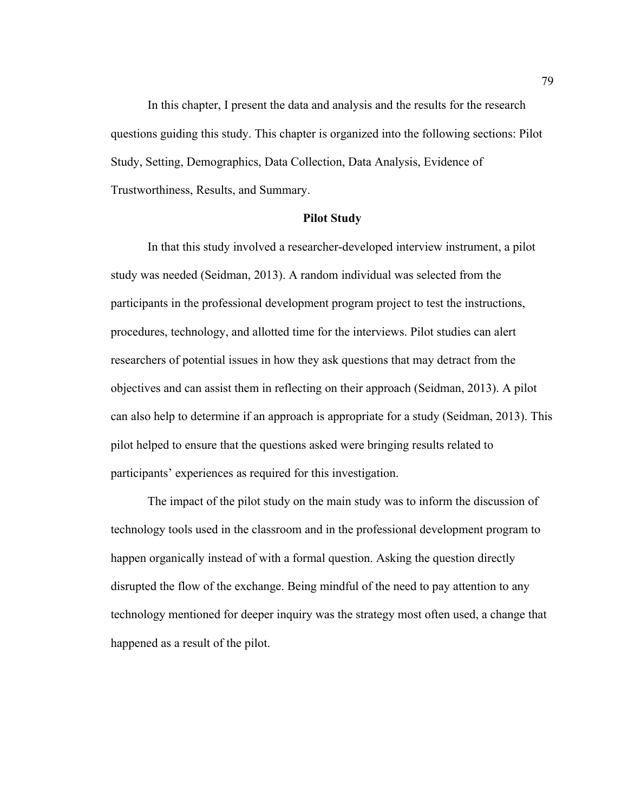In this chapter, I present the data and analysis and the results for the research questions guiding this study. This chapter is organized into the following sections: Pilot Study, Setting, Demographics, Data Collection, Data Analysis, Evidence of Trustworthiness, Results, and Summary.

## **Pilot Study**

In that this study involved a researcher-developed interview instrument, a pilot study was needed (Seidman, 2013). A random individual was selected from the participants in the professional development program project to test the instructions, procedures, technology, and allotted time for the interviews. Pilot studies can alert researchers of potential issues in how they ask questions that may detract from the objectives and can assist them in reflecting on their approach (Seidman, 2013). A pilot can also help to determine if an approach is appropriate for a study (Seidman, 2013). This pilot helped to ensure that the questions asked were bringing results related to participants' experiences as required for this investigation.

The impact of the pilot study on the main study was to inform the discussion of technology tools used in the classroom and in the professional development program to happen organically instead of with a formal question. Asking the question directly disrupted the flow of the exchange. Being mindful of the need to pay attention to any technology mentioned for deeper inquiry was the strategy most often used, a change that happened as a result of the pilot.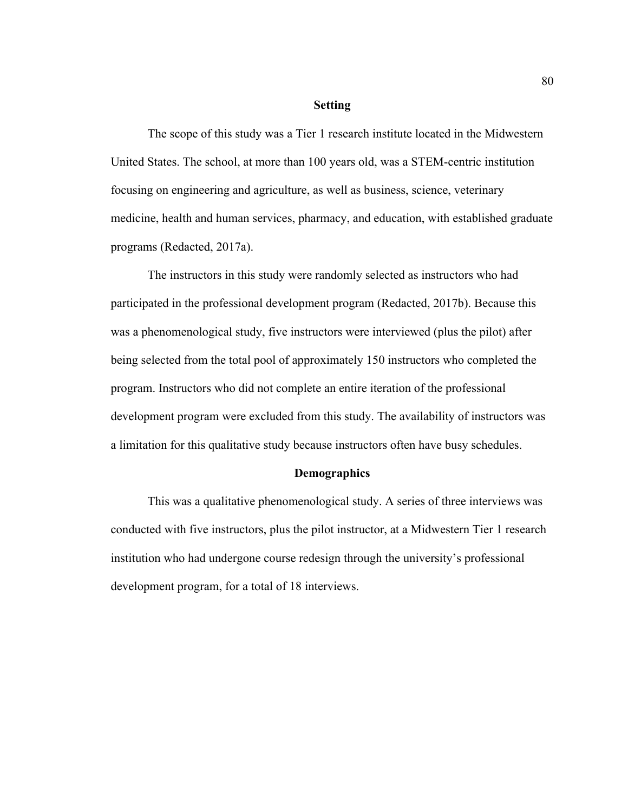#### **Setting**

The scope of this study was a Tier 1 research institute located in the Midwestern United States. The school, at more than 100 years old, was a STEM-centric institution focusing on engineering and agriculture, as well as business, science, veterinary medicine, health and human services, pharmacy, and education, with established graduate programs (Redacted, 2017a).

The instructors in this study were randomly selected as instructors who had participated in the professional development program (Redacted, 2017b). Because this was a phenomenological study, five instructors were interviewed (plus the pilot) after being selected from the total pool of approximately 150 instructors who completed the program. Instructors who did not complete an entire iteration of the professional development program were excluded from this study. The availability of instructors was a limitation for this qualitative study because instructors often have busy schedules.

# **Demographics**

This was a qualitative phenomenological study. A series of three interviews was conducted with five instructors, plus the pilot instructor, at a Midwestern Tier 1 research institution who had undergone course redesign through the university's professional development program, for a total of 18 interviews.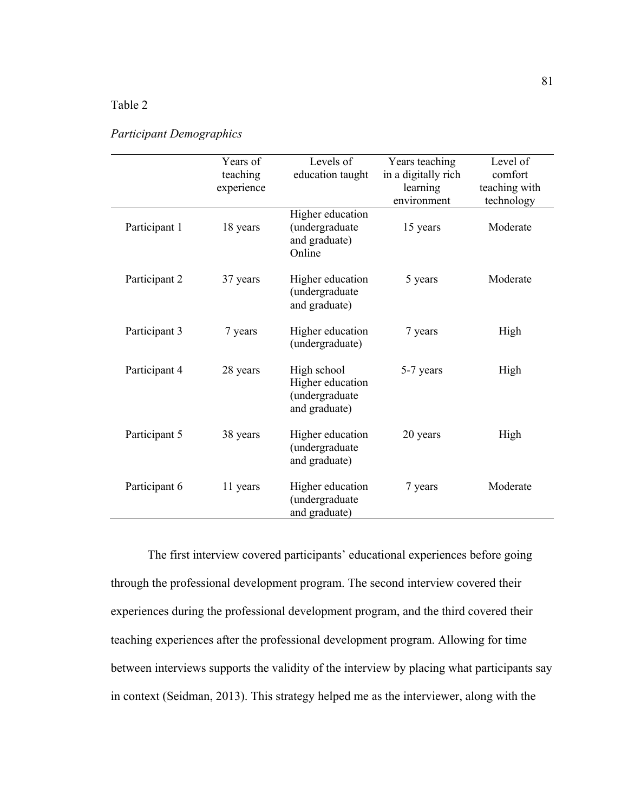# Table 2

|               | Years of<br>teaching<br>experience | Levels of<br>education taught                                      | Years teaching<br>in a digitally rich<br>learning<br>environment | Level of<br>comfort<br>teaching with<br>technology |
|---------------|------------------------------------|--------------------------------------------------------------------|------------------------------------------------------------------|----------------------------------------------------|
| Participant 1 | 18 years                           | Higher education<br>(undergraduate<br>and graduate)<br>Online      | 15 years                                                         | Moderate                                           |
| Participant 2 | 37 years                           | Higher education<br>(undergraduate<br>and graduate)                | 5 years                                                          | Moderate                                           |
| Participant 3 | 7 years                            | Higher education<br>(undergraduate)                                | 7 years                                                          | High                                               |
| Participant 4 | 28 years                           | High school<br>Higher education<br>(undergraduate<br>and graduate) | 5-7 years                                                        | High                                               |
| Participant 5 | 38 years                           | Higher education<br>(undergraduate<br>and graduate)                | 20 years                                                         | High                                               |
| Participant 6 | 11 years                           | Higher education<br>(undergraduate<br>and graduate)                | 7 years                                                          | Moderate                                           |

# *Participant Demographics*

The first interview covered participants' educational experiences before going through the professional development program. The second interview covered their experiences during the professional development program, and the third covered their teaching experiences after the professional development program. Allowing for time between interviews supports the validity of the interview by placing what participants say in context (Seidman, 2013). This strategy helped me as the interviewer, along with the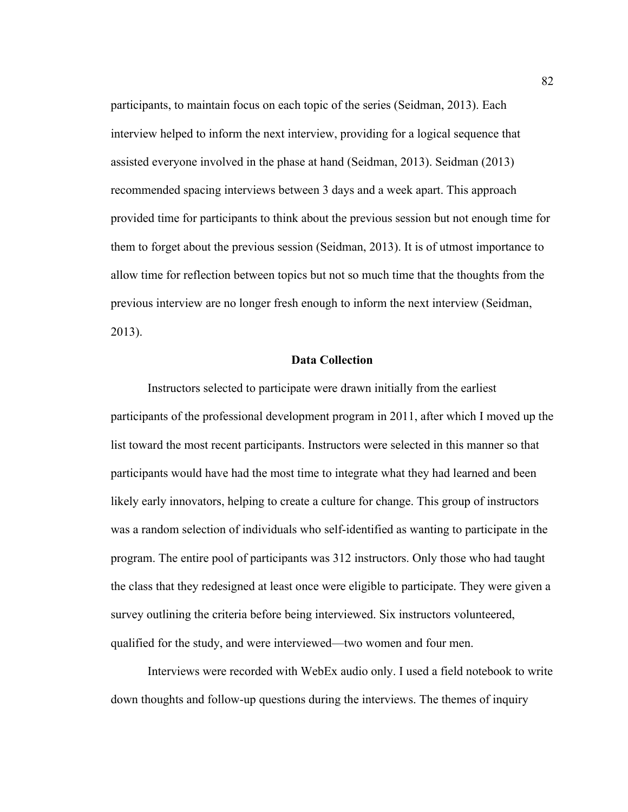participants, to maintain focus on each topic of the series (Seidman, 2013). Each interview helped to inform the next interview, providing for a logical sequence that assisted everyone involved in the phase at hand (Seidman, 2013). Seidman (2013) recommended spacing interviews between 3 days and a week apart. This approach provided time for participants to think about the previous session but not enough time for them to forget about the previous session (Seidman, 2013). It is of utmost importance to allow time for reflection between topics but not so much time that the thoughts from the previous interview are no longer fresh enough to inform the next interview (Seidman, 2013).

# **Data Collection**

Instructors selected to participate were drawn initially from the earliest participants of the professional development program in 2011, after which I moved up the list toward the most recent participants. Instructors were selected in this manner so that participants would have had the most time to integrate what they had learned and been likely early innovators, helping to create a culture for change. This group of instructors was a random selection of individuals who self-identified as wanting to participate in the program. The entire pool of participants was 312 instructors. Only those who had taught the class that they redesigned at least once were eligible to participate. They were given a survey outlining the criteria before being interviewed. Six instructors volunteered, qualified for the study, and were interviewed—two women and four men.

Interviews were recorded with WebEx audio only. I used a field notebook to write down thoughts and follow-up questions during the interviews. The themes of inquiry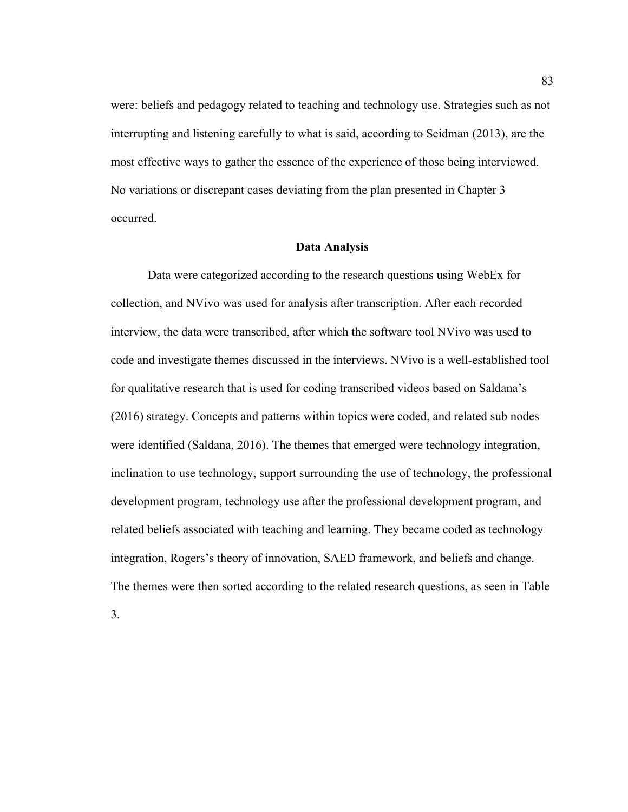were: beliefs and pedagogy related to teaching and technology use. Strategies such as not interrupting and listening carefully to what is said, according to Seidman (2013), are the most effective ways to gather the essence of the experience of those being interviewed. No variations or discrepant cases deviating from the plan presented in Chapter 3 occurred.

#### **Data Analysis**

Data were categorized according to the research questions using WebEx for collection, and NVivo was used for analysis after transcription. After each recorded interview, the data were transcribed, after which the software tool NVivo was used to code and investigate themes discussed in the interviews. NVivo is a well-established tool for qualitative research that is used for coding transcribed videos based on Saldana's (2016) strategy. Concepts and patterns within topics were coded, and related sub nodes were identified (Saldana, 2016). The themes that emerged were technology integration, inclination to use technology, support surrounding the use of technology, the professional development program, technology use after the professional development program, and related beliefs associated with teaching and learning. They became coded as technology integration, Rogers's theory of innovation, SAED framework, and beliefs and change. The themes were then sorted according to the related research questions, as seen in Table

3.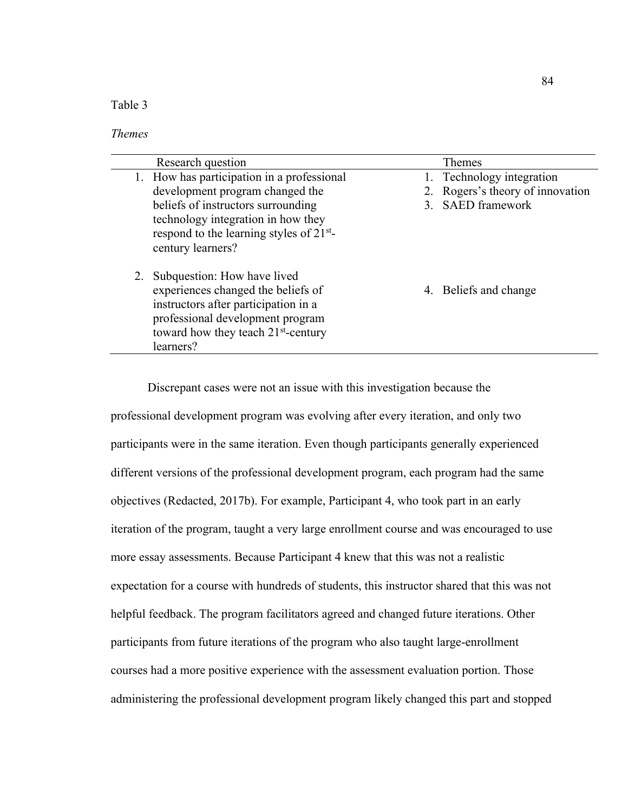Table 3

# *Themes*

| Research question                               | <b>Themes</b>                    |
|-------------------------------------------------|----------------------------------|
| 1. How has participation in a professional      | Technology integration           |
| development program changed the                 | 2. Rogers's theory of innovation |
| beliefs of instructors surrounding              | 3. SAED framework                |
| technology integration in how they              |                                  |
| respond to the learning styles of $21^{st}$ -   |                                  |
| century learners?                               |                                  |
| 2. Subquestion: How have lived                  |                                  |
| experiences changed the beliefs of              | 4. Beliefs and change            |
| instructors after participation in a            |                                  |
| professional development program                |                                  |
| toward how they teach 21 <sup>st</sup> -century |                                  |
| learners?                                       |                                  |

Discrepant cases were not an issue with this investigation because the professional development program was evolving after every iteration, and only two participants were in the same iteration. Even though participants generally experienced different versions of the professional development program, each program had the same objectives (Redacted, 2017b). For example, Participant 4, who took part in an early iteration of the program, taught a very large enrollment course and was encouraged to use more essay assessments. Because Participant 4 knew that this was not a realistic expectation for a course with hundreds of students, this instructor shared that this was not helpful feedback. The program facilitators agreed and changed future iterations. Other participants from future iterations of the program who also taught large-enrollment courses had a more positive experience with the assessment evaluation portion. Those administering the professional development program likely changed this part and stopped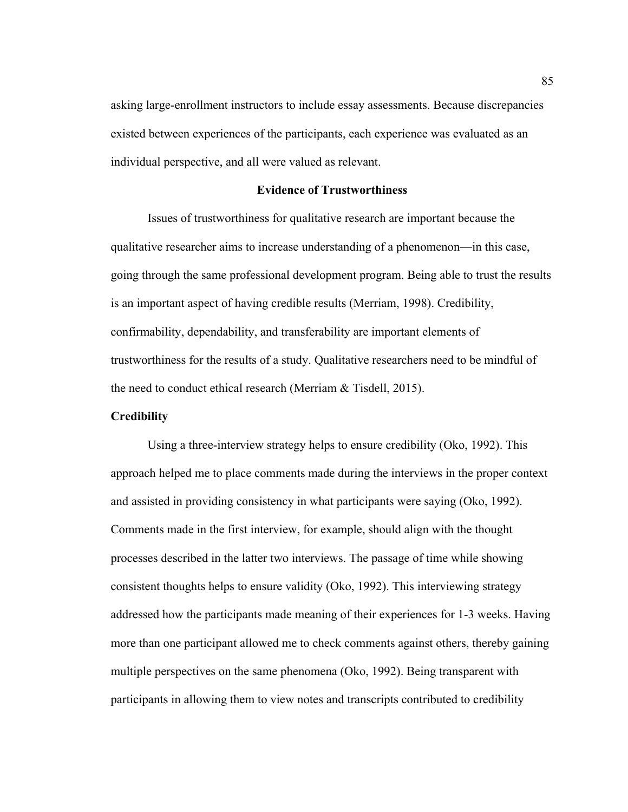asking large-enrollment instructors to include essay assessments. Because discrepancies existed between experiences of the participants, each experience was evaluated as an individual perspective, and all were valued as relevant.

#### **Evidence of Trustworthiness**

Issues of trustworthiness for qualitative research are important because the qualitative researcher aims to increase understanding of a phenomenon—in this case, going through the same professional development program. Being able to trust the results is an important aspect of having credible results (Merriam, 1998). Credibility, confirmability, dependability, and transferability are important elements of trustworthiness for the results of a study. Qualitative researchers need to be mindful of the need to conduct ethical research (Merriam & Tisdell, 2015).

# **Credibility**

Using a three-interview strategy helps to ensure credibility (Oko, 1992). This approach helped me to place comments made during the interviews in the proper context and assisted in providing consistency in what participants were saying (Oko, 1992). Comments made in the first interview, for example, should align with the thought processes described in the latter two interviews. The passage of time while showing consistent thoughts helps to ensure validity (Oko, 1992). This interviewing strategy addressed how the participants made meaning of their experiences for 1-3 weeks. Having more than one participant allowed me to check comments against others, thereby gaining multiple perspectives on the same phenomena (Oko, 1992). Being transparent with participants in allowing them to view notes and transcripts contributed to credibility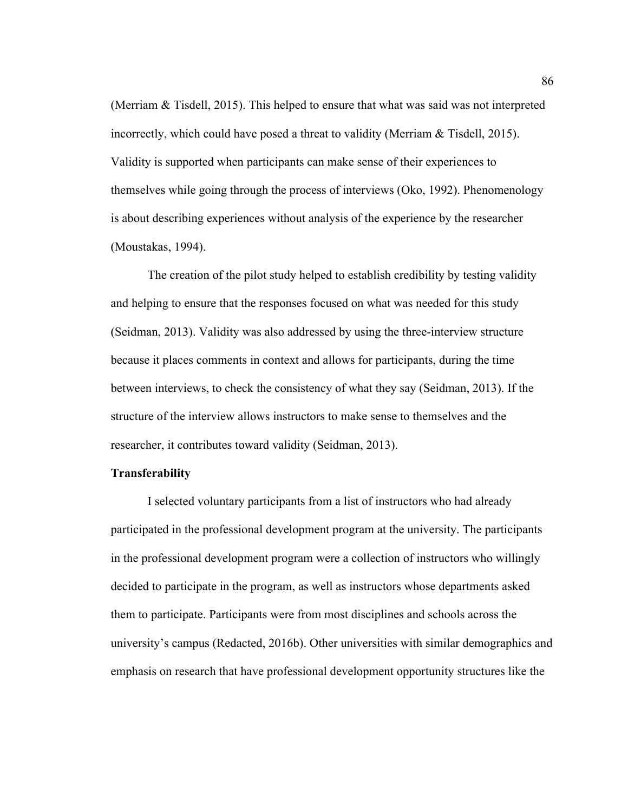(Merriam & Tisdell, 2015). This helped to ensure that what was said was not interpreted incorrectly, which could have posed a threat to validity (Merriam & Tisdell, 2015). Validity is supported when participants can make sense of their experiences to themselves while going through the process of interviews (Oko, 1992). Phenomenology is about describing experiences without analysis of the experience by the researcher (Moustakas, 1994).

The creation of the pilot study helped to establish credibility by testing validity and helping to ensure that the responses focused on what was needed for this study (Seidman, 2013). Validity was also addressed by using the three-interview structure because it places comments in context and allows for participants, during the time between interviews, to check the consistency of what they say (Seidman, 2013). If the structure of the interview allows instructors to make sense to themselves and the researcher, it contributes toward validity (Seidman, 2013).

# **Transferability**

I selected voluntary participants from a list of instructors who had already participated in the professional development program at the university. The participants in the professional development program were a collection of instructors who willingly decided to participate in the program, as well as instructors whose departments asked them to participate. Participants were from most disciplines and schools across the university's campus (Redacted, 2016b). Other universities with similar demographics and emphasis on research that have professional development opportunity structures like the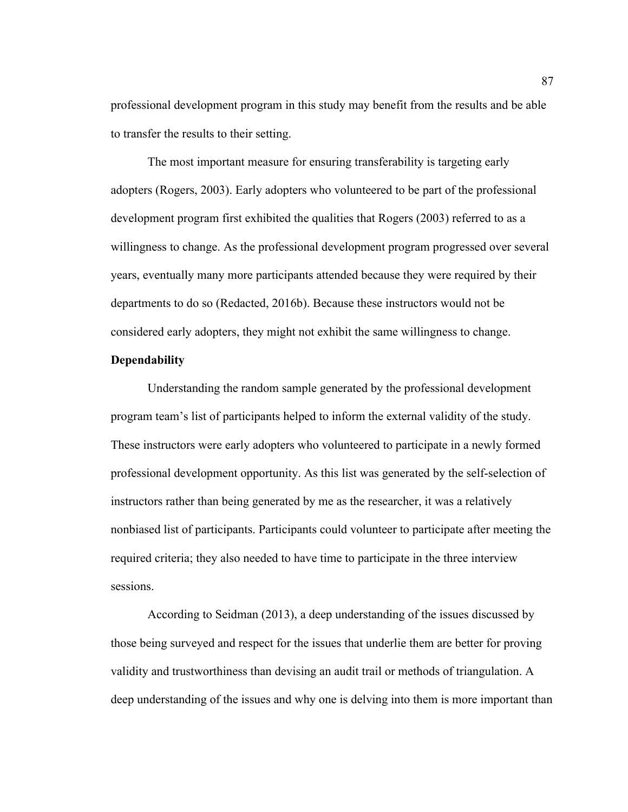professional development program in this study may benefit from the results and be able to transfer the results to their setting.

The most important measure for ensuring transferability is targeting early adopters (Rogers, 2003). Early adopters who volunteered to be part of the professional development program first exhibited the qualities that Rogers (2003) referred to as a willingness to change. As the professional development program progressed over several years, eventually many more participants attended because they were required by their departments to do so (Redacted, 2016b). Because these instructors would not be considered early adopters, they might not exhibit the same willingness to change.

# **Dependability**

Understanding the random sample generated by the professional development program team's list of participants helped to inform the external validity of the study. These instructors were early adopters who volunteered to participate in a newly formed professional development opportunity. As this list was generated by the self-selection of instructors rather than being generated by me as the researcher, it was a relatively nonbiased list of participants. Participants could volunteer to participate after meeting the required criteria; they also needed to have time to participate in the three interview sessions.

According to Seidman (2013), a deep understanding of the issues discussed by those being surveyed and respect for the issues that underlie them are better for proving validity and trustworthiness than devising an audit trail or methods of triangulation. A deep understanding of the issues and why one is delving into them is more important than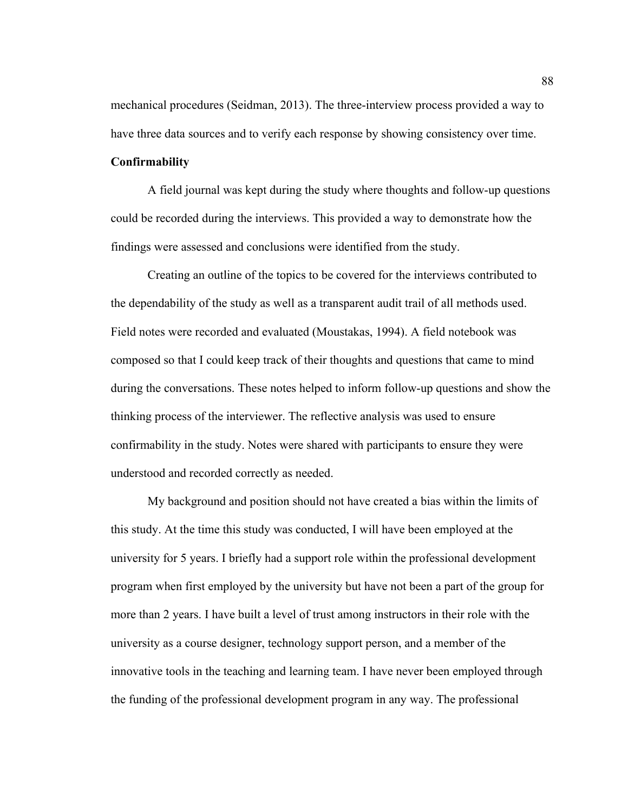mechanical procedures (Seidman, 2013). The three-interview process provided a way to have three data sources and to verify each response by showing consistency over time.

#### **Confirmability**

A field journal was kept during the study where thoughts and follow-up questions could be recorded during the interviews. This provided a way to demonstrate how the findings were assessed and conclusions were identified from the study.

Creating an outline of the topics to be covered for the interviews contributed to the dependability of the study as well as a transparent audit trail of all methods used. Field notes were recorded and evaluated (Moustakas, 1994). A field notebook was composed so that I could keep track of their thoughts and questions that came to mind during the conversations. These notes helped to inform follow-up questions and show the thinking process of the interviewer. The reflective analysis was used to ensure confirmability in the study. Notes were shared with participants to ensure they were understood and recorded correctly as needed.

My background and position should not have created a bias within the limits of this study. At the time this study was conducted, I will have been employed at the university for 5 years. I briefly had a support role within the professional development program when first employed by the university but have not been a part of the group for more than 2 years. I have built a level of trust among instructors in their role with the university as a course designer, technology support person, and a member of the innovative tools in the teaching and learning team. I have never been employed through the funding of the professional development program in any way. The professional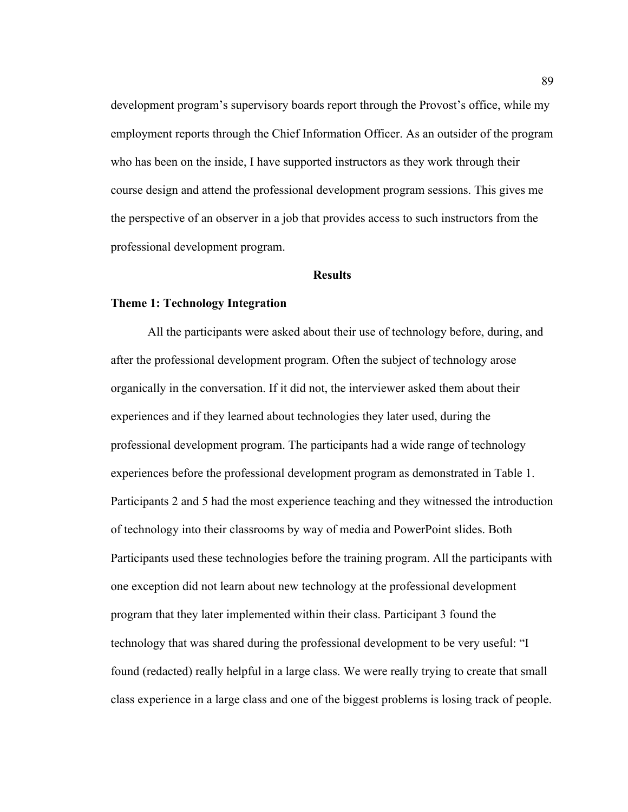development program's supervisory boards report through the Provost's office, while my employment reports through the Chief Information Officer. As an outsider of the program who has been on the inside, I have supported instructors as they work through their course design and attend the professional development program sessions. This gives me the perspective of an observer in a job that provides access to such instructors from the professional development program.

#### **Results**

# **Theme 1: Technology Integration**

All the participants were asked about their use of technology before, during, and after the professional development program. Often the subject of technology arose organically in the conversation. If it did not, the interviewer asked them about their experiences and if they learned about technologies they later used, during the professional development program. The participants had a wide range of technology experiences before the professional development program as demonstrated in Table 1. Participants 2 and 5 had the most experience teaching and they witnessed the introduction of technology into their classrooms by way of media and PowerPoint slides. Both Participants used these technologies before the training program. All the participants with one exception did not learn about new technology at the professional development program that they later implemented within their class. Participant 3 found the technology that was shared during the professional development to be very useful: "I found (redacted) really helpful in a large class. We were really trying to create that small class experience in a large class and one of the biggest problems is losing track of people.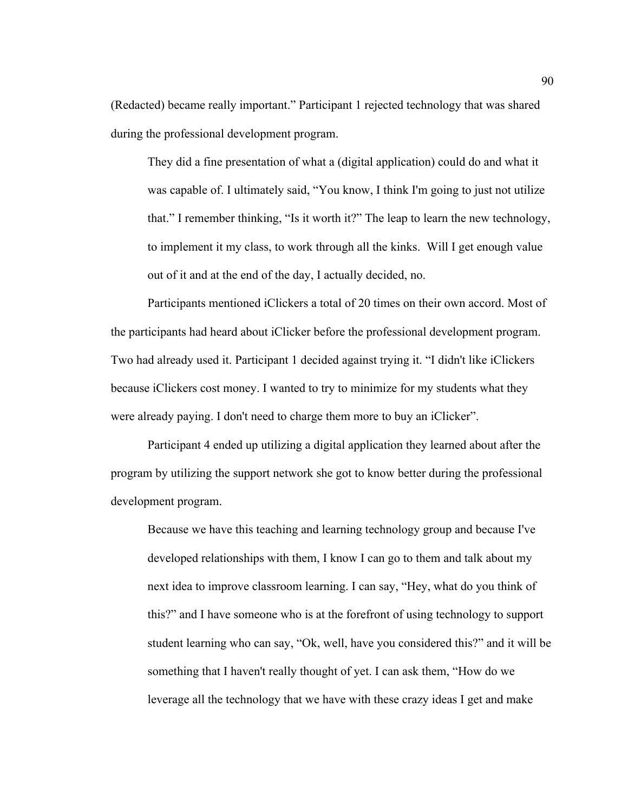(Redacted) became really important." Participant 1 rejected technology that was shared during the professional development program.

They did a fine presentation of what a (digital application) could do and what it was capable of. I ultimately said, "You know, I think I'm going to just not utilize that." I remember thinking, "Is it worth it?" The leap to learn the new technology, to implement it my class, to work through all the kinks. Will I get enough value out of it and at the end of the day, I actually decided, no.

Participants mentioned iClickers a total of 20 times on their own accord. Most of the participants had heard about iClicker before the professional development program. Two had already used it. Participant 1 decided against trying it. "I didn't like iClickers because iClickers cost money. I wanted to try to minimize for my students what they were already paying. I don't need to charge them more to buy an iClicker".

Participant 4 ended up utilizing a digital application they learned about after the program by utilizing the support network she got to know better during the professional development program.

Because we have this teaching and learning technology group and because I've developed relationships with them, I know I can go to them and talk about my next idea to improve classroom learning. I can say, "Hey, what do you think of this?" and I have someone who is at the forefront of using technology to support student learning who can say, "Ok, well, have you considered this?" and it will be something that I haven't really thought of yet. I can ask them, "How do we leverage all the technology that we have with these crazy ideas I get and make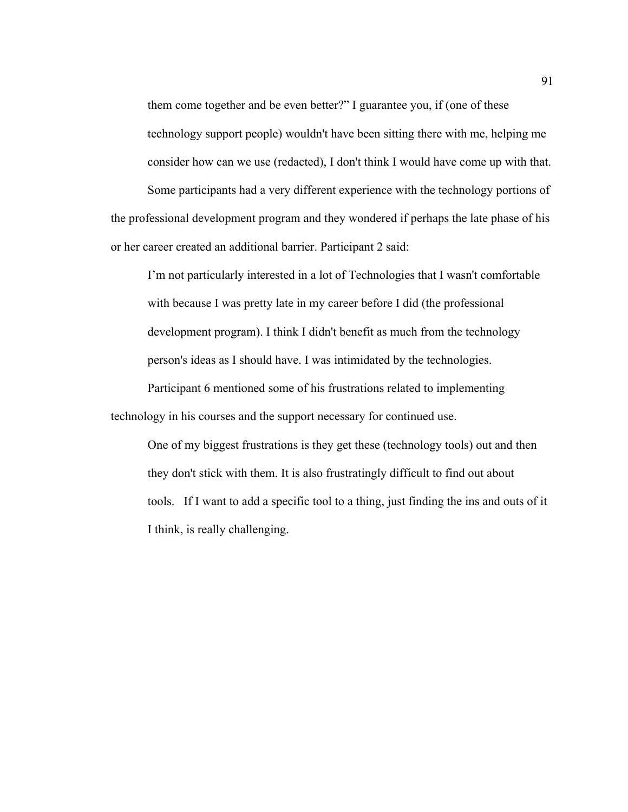them come together and be even better?" I guarantee you, if (one of these technology support people) wouldn't have been sitting there with me, helping me consider how can we use (redacted), I don't think I would have come up with that. Some participants had a very different experience with the technology portions of

the professional development program and they wondered if perhaps the late phase of his or her career created an additional barrier. Participant 2 said:

I'm not particularly interested in a lot of Technologies that I wasn't comfortable with because I was pretty late in my career before I did (the professional development program). I think I didn't benefit as much from the technology person's ideas as I should have. I was intimidated by the technologies.

Participant 6 mentioned some of his frustrations related to implementing technology in his courses and the support necessary for continued use.

One of my biggest frustrations is they get these (technology tools) out and then they don't stick with them. It is also frustratingly difficult to find out about tools. If I want to add a specific tool to a thing, just finding the ins and outs of it I think, is really challenging.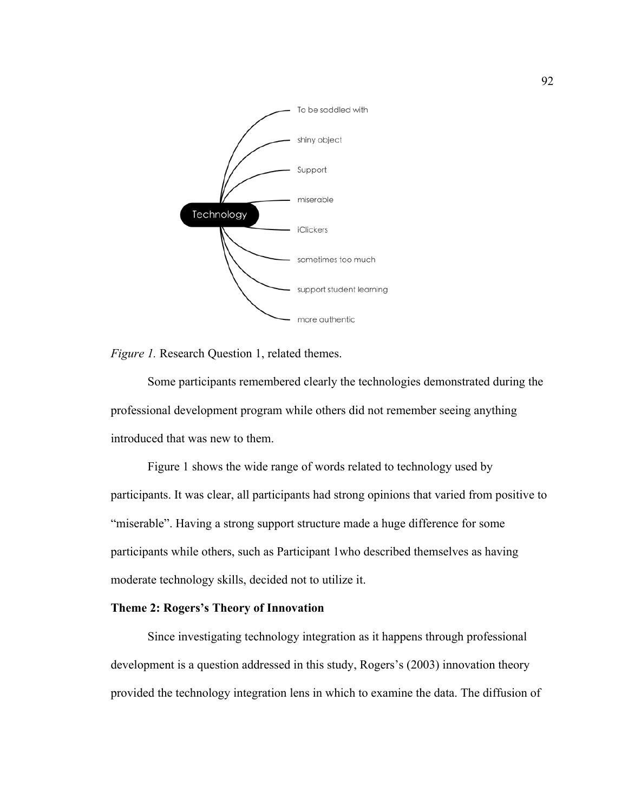

*Figure 1.* Research Question 1, related themes.

Some participants remembered clearly the technologies demonstrated during the professional development program while others did not remember seeing anything introduced that was new to them.

Figure 1 shows the wide range of words related to technology used by participants. It was clear, all participants had strong opinions that varied from positive to "miserable". Having a strong support structure made a huge difference for some participants while others, such as Participant 1who described themselves as having moderate technology skills, decided not to utilize it.

# **Theme 2: Rogers's Theory of Innovation**

Since investigating technology integration as it happens through professional development is a question addressed in this study, Rogers's (2003) innovation theory provided the technology integration lens in which to examine the data. The diffusion of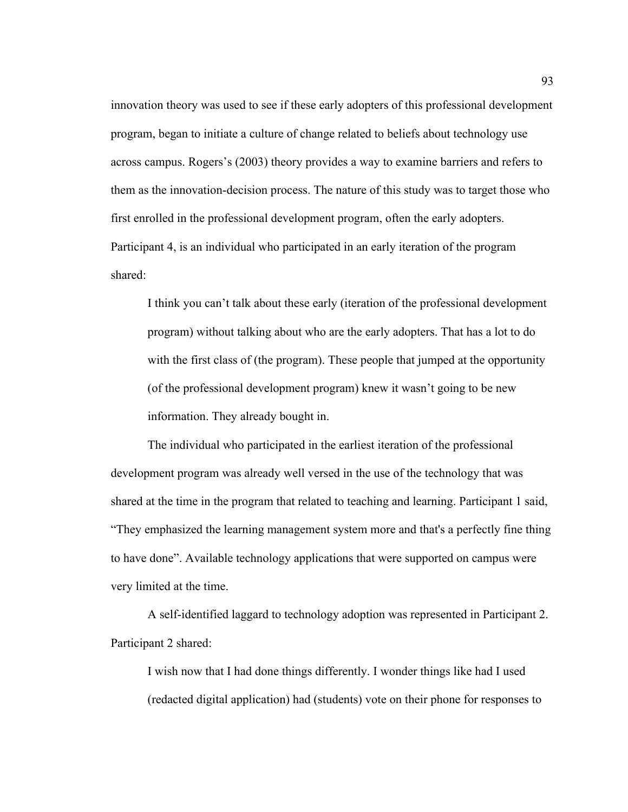innovation theory was used to see if these early adopters of this professional development program, began to initiate a culture of change related to beliefs about technology use across campus. Rogers's (2003) theory provides a way to examine barriers and refers to them as the innovation-decision process. The nature of this study was to target those who first enrolled in the professional development program, often the early adopters. Participant 4, is an individual who participated in an early iteration of the program shared:

I think you can't talk about these early (iteration of the professional development program) without talking about who are the early adopters. That has a lot to do with the first class of (the program). These people that jumped at the opportunity (of the professional development program) knew it wasn't going to be new information. They already bought in.

The individual who participated in the earliest iteration of the professional development program was already well versed in the use of the technology that was shared at the time in the program that related to teaching and learning. Participant 1 said, "They emphasized the learning management system more and that's a perfectly fine thing to have done". Available technology applications that were supported on campus were very limited at the time.

A self-identified laggard to technology adoption was represented in Participant 2. Participant 2 shared:

I wish now that I had done things differently. I wonder things like had I used (redacted digital application) had (students) vote on their phone for responses to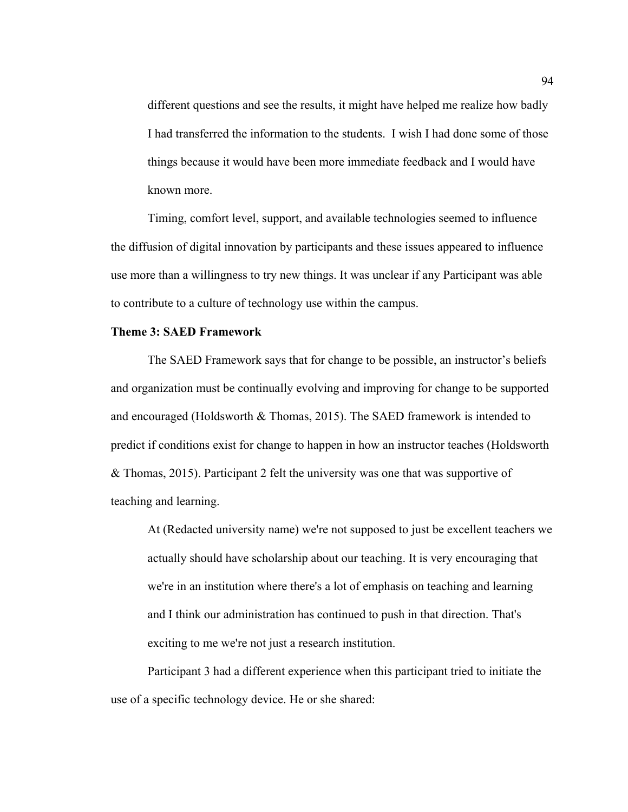different questions and see the results, it might have helped me realize how badly I had transferred the information to the students. I wish I had done some of those things because it would have been more immediate feedback and I would have known more.

Timing, comfort level, support, and available technologies seemed to influence the diffusion of digital innovation by participants and these issues appeared to influence use more than a willingness to try new things. It was unclear if any Participant was able to contribute to a culture of technology use within the campus.

## **Theme 3: SAED Framework**

The SAED Framework says that for change to be possible, an instructor's beliefs and organization must be continually evolving and improving for change to be supported and encouraged (Holdsworth & Thomas, 2015). The SAED framework is intended to predict if conditions exist for change to happen in how an instructor teaches (Holdsworth & Thomas, 2015). Participant 2 felt the university was one that was supportive of teaching and learning.

At (Redacted university name) we're not supposed to just be excellent teachers we actually should have scholarship about our teaching. It is very encouraging that we're in an institution where there's a lot of emphasis on teaching and learning and I think our administration has continued to push in that direction. That's exciting to me we're not just a research institution.

Participant 3 had a different experience when this participant tried to initiate the use of a specific technology device. He or she shared: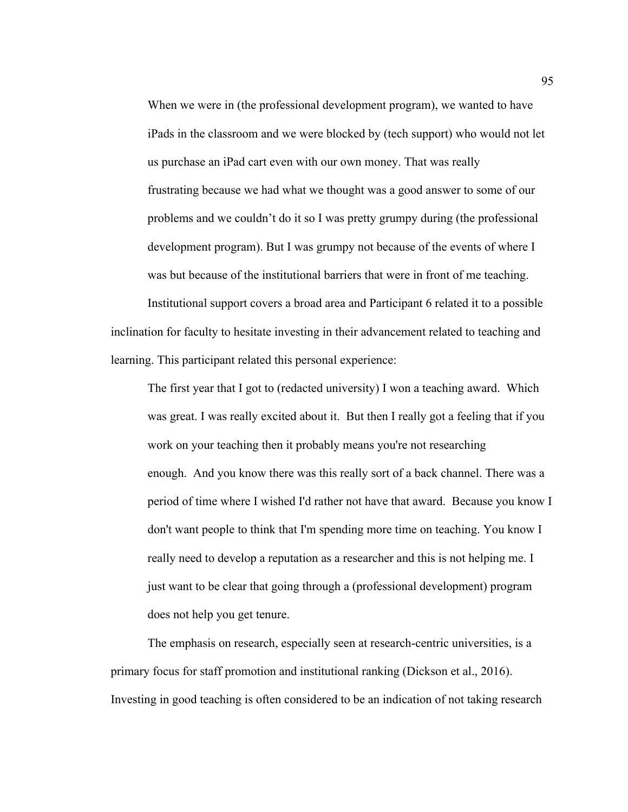When we were in (the professional development program), we wanted to have iPads in the classroom and we were blocked by (tech support) who would not let us purchase an iPad cart even with our own money. That was really frustrating because we had what we thought was a good answer to some of our problems and we couldn't do it so I was pretty grumpy during (the professional development program). But I was grumpy not because of the events of where I was but because of the institutional barriers that were in front of me teaching.

Institutional support covers a broad area and Participant 6 related it to a possible inclination for faculty to hesitate investing in their advancement related to teaching and learning. This participant related this personal experience:

The first year that I got to (redacted university) I won a teaching award. Which was great. I was really excited about it. But then I really got a feeling that if you work on your teaching then it probably means you're not researching enough. And you know there was this really sort of a back channel. There was a period of time where I wished I'd rather not have that award. Because you know I don't want people to think that I'm spending more time on teaching. You know I really need to develop a reputation as a researcher and this is not helping me. I just want to be clear that going through a (professional development) program does not help you get tenure.

The emphasis on research, especially seen at research-centric universities, is a primary focus for staff promotion and institutional ranking (Dickson et al., 2016). Investing in good teaching is often considered to be an indication of not taking research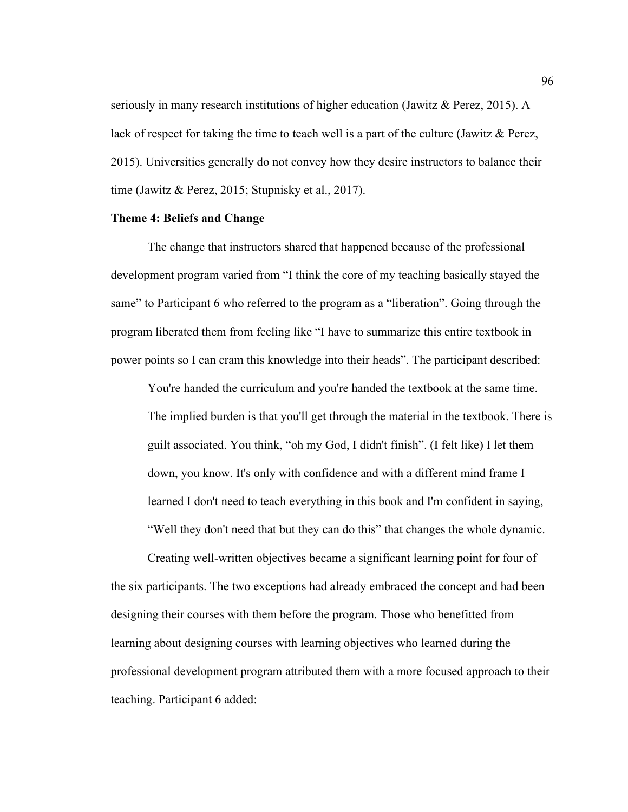seriously in many research institutions of higher education (Jawitz & Perez, 2015). A lack of respect for taking the time to teach well is a part of the culture (Jawitz & Perez, 2015). Universities generally do not convey how they desire instructors to balance their time (Jawitz & Perez, 2015; Stupnisky et al., 2017).

#### **Theme 4: Beliefs and Change**

The change that instructors shared that happened because of the professional development program varied from "I think the core of my teaching basically stayed the same" to Participant 6 who referred to the program as a "liberation". Going through the program liberated them from feeling like "I have to summarize this entire textbook in power points so I can cram this knowledge into their heads". The participant described:

You're handed the curriculum and you're handed the textbook at the same time. The implied burden is that you'll get through the material in the textbook. There is guilt associated. You think, "oh my God, I didn't finish". (I felt like) I let them down, you know. It's only with confidence and with a different mind frame I learned I don't need to teach everything in this book and I'm confident in saying, "Well they don't need that but they can do this" that changes the whole dynamic.

Creating well-written objectives became a significant learning point for four of the six participants. The two exceptions had already embraced the concept and had been designing their courses with them before the program. Those who benefitted from learning about designing courses with learning objectives who learned during the professional development program attributed them with a more focused approach to their teaching. Participant 6 added: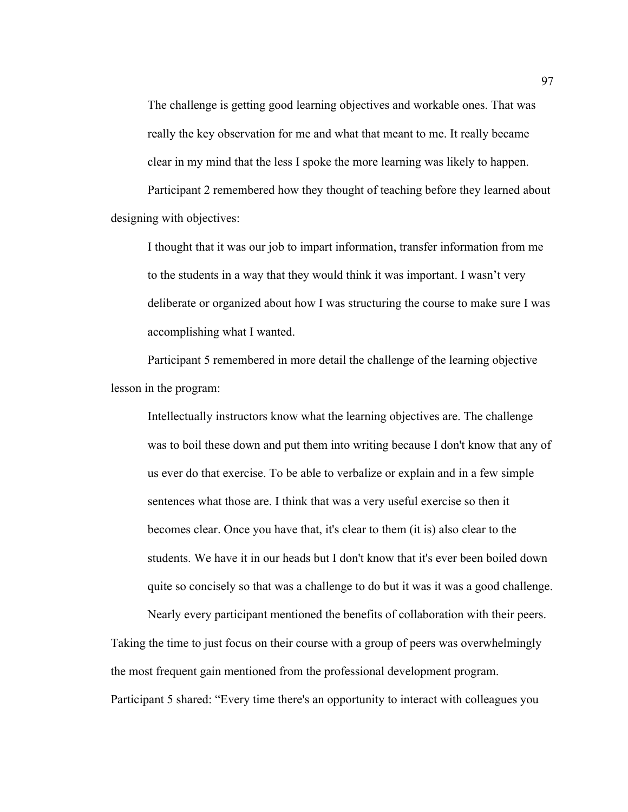The challenge is getting good learning objectives and workable ones. That was really the key observation for me and what that meant to me. It really became clear in my mind that the less I spoke the more learning was likely to happen. Participant 2 remembered how they thought of teaching before they learned about designing with objectives:

I thought that it was our job to impart information, transfer information from me to the students in a way that they would think it was important. I wasn't very deliberate or organized about how I was structuring the course to make sure I was accomplishing what I wanted.

Participant 5 remembered in more detail the challenge of the learning objective lesson in the program:

Intellectually instructors know what the learning objectives are. The challenge was to boil these down and put them into writing because I don't know that any of us ever do that exercise. To be able to verbalize or explain and in a few simple sentences what those are. I think that was a very useful exercise so then it becomes clear. Once you have that, it's clear to them (it is) also clear to the students. We have it in our heads but I don't know that it's ever been boiled down quite so concisely so that was a challenge to do but it was it was a good challenge.

Nearly every participant mentioned the benefits of collaboration with their peers. Taking the time to just focus on their course with a group of peers was overwhelmingly the most frequent gain mentioned from the professional development program. Participant 5 shared: "Every time there's an opportunity to interact with colleagues you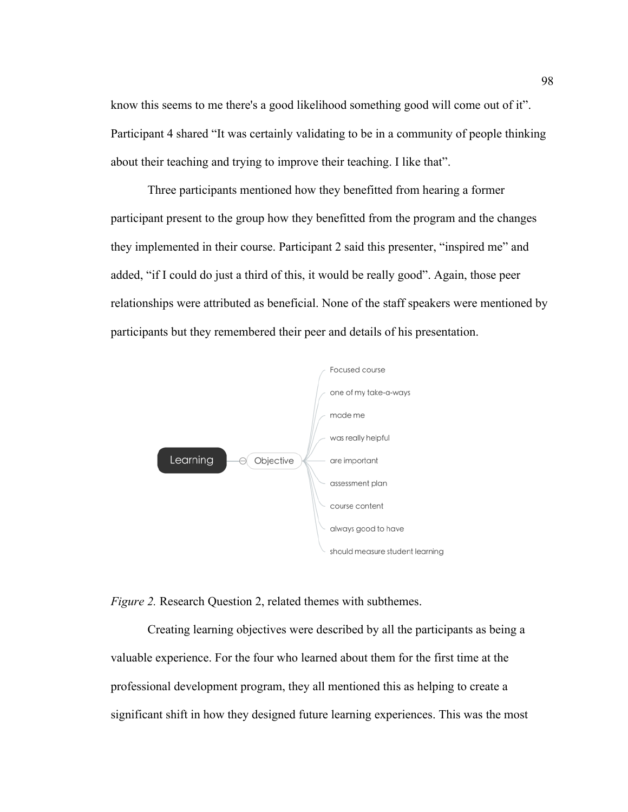know this seems to me there's a good likelihood something good will come out of it". Participant 4 shared "It was certainly validating to be in a community of people thinking about their teaching and trying to improve their teaching. I like that".

Three participants mentioned how they benefitted from hearing a former participant present to the group how they benefitted from the program and the changes they implemented in their course. Participant 2 said this presenter, "inspired me" and added, "if I could do just a third of this, it would be really good". Again, those peer relationships were attributed as beneficial. None of the staff speakers were mentioned by participants but they remembered their peer and details of his presentation.





Creating learning objectives were described by all the participants as being a valuable experience. For the four who learned about them for the first time at the professional development program, they all mentioned this as helping to create a significant shift in how they designed future learning experiences. This was the most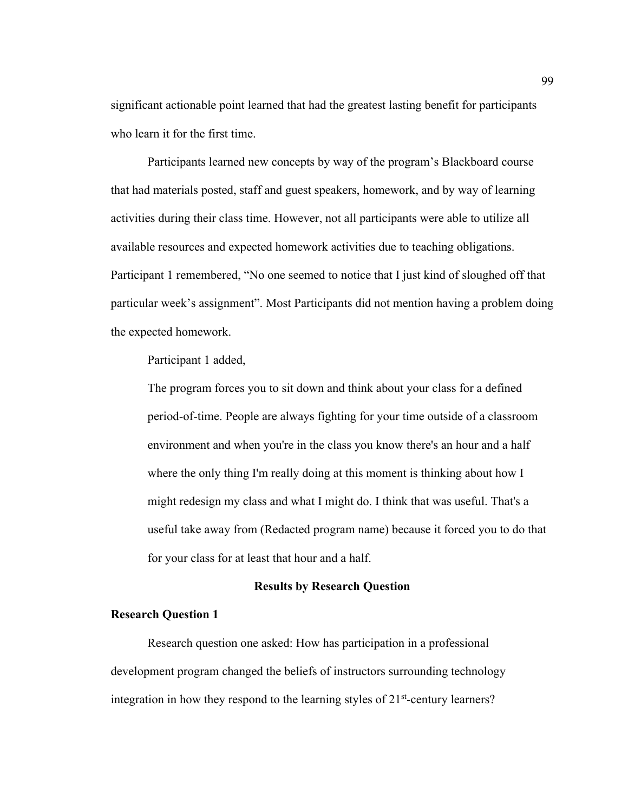significant actionable point learned that had the greatest lasting benefit for participants who learn it for the first time.

Participants learned new concepts by way of the program's Blackboard course that had materials posted, staff and guest speakers, homework, and by way of learning activities during their class time. However, not all participants were able to utilize all available resources and expected homework activities due to teaching obligations. Participant 1 remembered, "No one seemed to notice that I just kind of sloughed off that particular week's assignment". Most Participants did not mention having a problem doing the expected homework.

Participant 1 added,

The program forces you to sit down and think about your class for a defined period-of-time. People are always fighting for your time outside of a classroom environment and when you're in the class you know there's an hour and a half where the only thing I'm really doing at this moment is thinking about how I might redesign my class and what I might do. I think that was useful. That's a useful take away from (Redacted program name) because it forced you to do that for your class for at least that hour and a half.

## **Results by Research Question**

## **Research Question 1**

Research question one asked: How has participation in a professional development program changed the beliefs of instructors surrounding technology integration in how they respond to the learning styles of  $21<sup>st</sup>$ -century learners?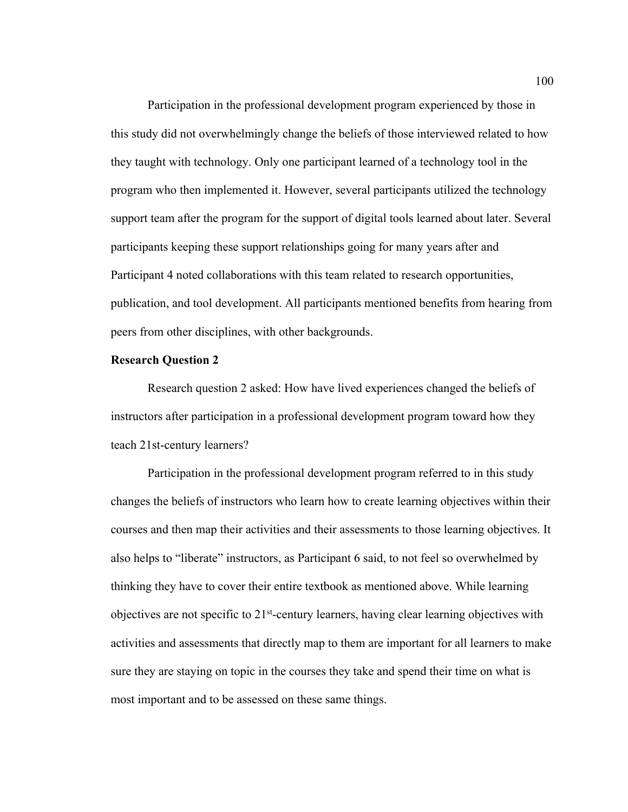Participation in the professional development program experienced by those in this study did not overwhelmingly change the beliefs of those interviewed related to how they taught with technology. Only one participant learned of a technology tool in the program who then implemented it. However, several participants utilized the technology support team after the program for the support of digital tools learned about later. Several participants keeping these support relationships going for many years after and Participant 4 noted collaborations with this team related to research opportunities, publication, and tool development. All participants mentioned benefits from hearing from peers from other disciplines, with other backgrounds.

#### **Research Question 2**

Research question 2 asked: How have lived experiences changed the beliefs of instructors after participation in a professional development program toward how they teach 21st-century learners?

Participation in the professional development program referred to in this study changes the beliefs of instructors who learn how to create learning objectives within their courses and then map their activities and their assessments to those learning objectives. It also helps to "liberate" instructors, as Participant 6 said, to not feel so overwhelmed by thinking they have to cover their entire textbook as mentioned above. While learning objectives are not specific to 21st-century learners, having clear learning objectives with activities and assessments that directly map to them are important for all learners to make sure they are staying on topic in the courses they take and spend their time on what is most important and to be assessed on these same things.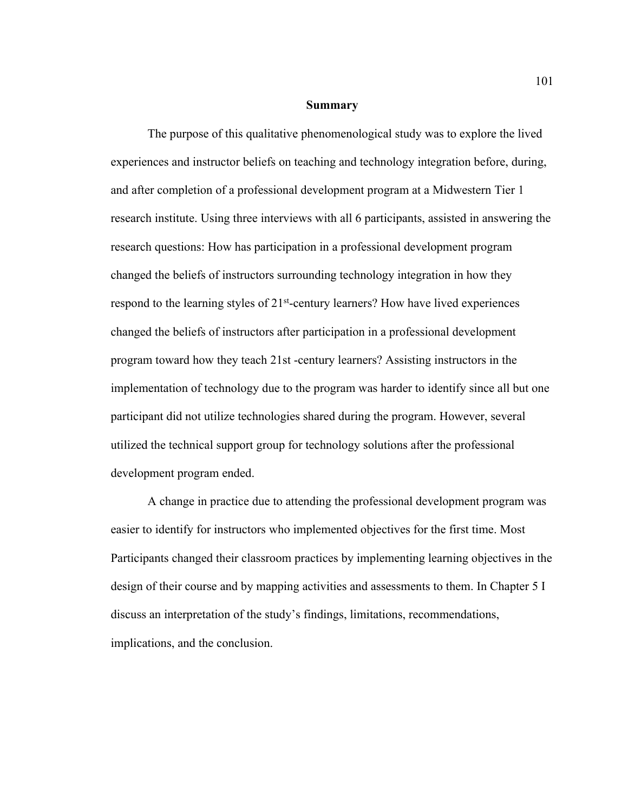#### **Summary**

The purpose of this qualitative phenomenological study was to explore the lived experiences and instructor beliefs on teaching and technology integration before, during, and after completion of a professional development program at a Midwestern Tier 1 research institute. Using three interviews with all 6 participants, assisted in answering the research questions: How has participation in a professional development program changed the beliefs of instructors surrounding technology integration in how they respond to the learning styles of  $21<sup>st</sup>$ -century learners? How have lived experiences changed the beliefs of instructors after participation in a professional development program toward how they teach 21st -century learners? Assisting instructors in the implementation of technology due to the program was harder to identify since all but one participant did not utilize technologies shared during the program. However, several utilized the technical support group for technology solutions after the professional development program ended.

A change in practice due to attending the professional development program was easier to identify for instructors who implemented objectives for the first time. Most Participants changed their classroom practices by implementing learning objectives in the design of their course and by mapping activities and assessments to them. In Chapter 5 I discuss an interpretation of the study's findings, limitations, recommendations, implications, and the conclusion.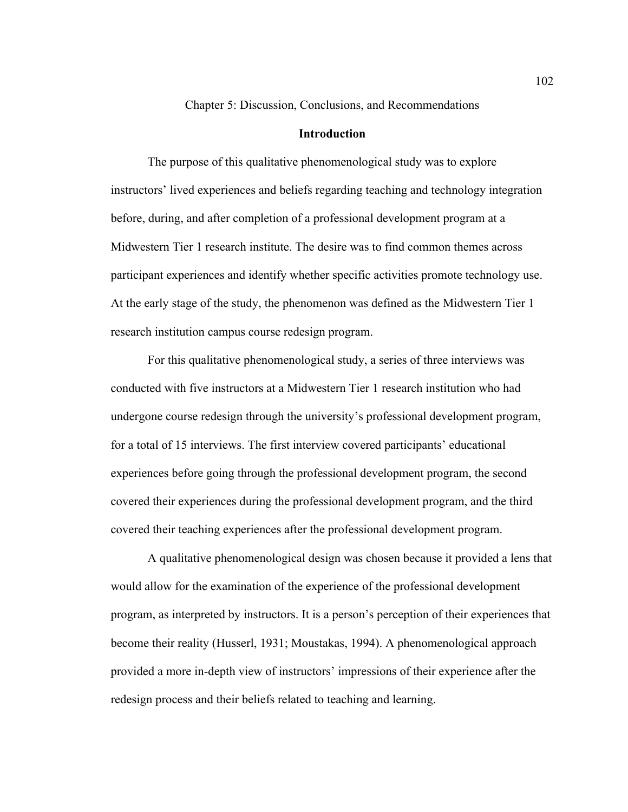Chapter 5: Discussion, Conclusions, and Recommendations

### **Introduction**

The purpose of this qualitative phenomenological study was to explore instructors' lived experiences and beliefs regarding teaching and technology integration before, during, and after completion of a professional development program at a Midwestern Tier 1 research institute. The desire was to find common themes across participant experiences and identify whether specific activities promote technology use. At the early stage of the study, the phenomenon was defined as the Midwestern Tier 1 research institution campus course redesign program.

For this qualitative phenomenological study, a series of three interviews was conducted with five instructors at a Midwestern Tier 1 research institution who had undergone course redesign through the university's professional development program, for a total of 15 interviews. The first interview covered participants' educational experiences before going through the professional development program, the second covered their experiences during the professional development program, and the third covered their teaching experiences after the professional development program.

A qualitative phenomenological design was chosen because it provided a lens that would allow for the examination of the experience of the professional development program, as interpreted by instructors. It is a person's perception of their experiences that become their reality (Husserl, 1931; Moustakas, 1994). A phenomenological approach provided a more in-depth view of instructors' impressions of their experience after the redesign process and their beliefs related to teaching and learning.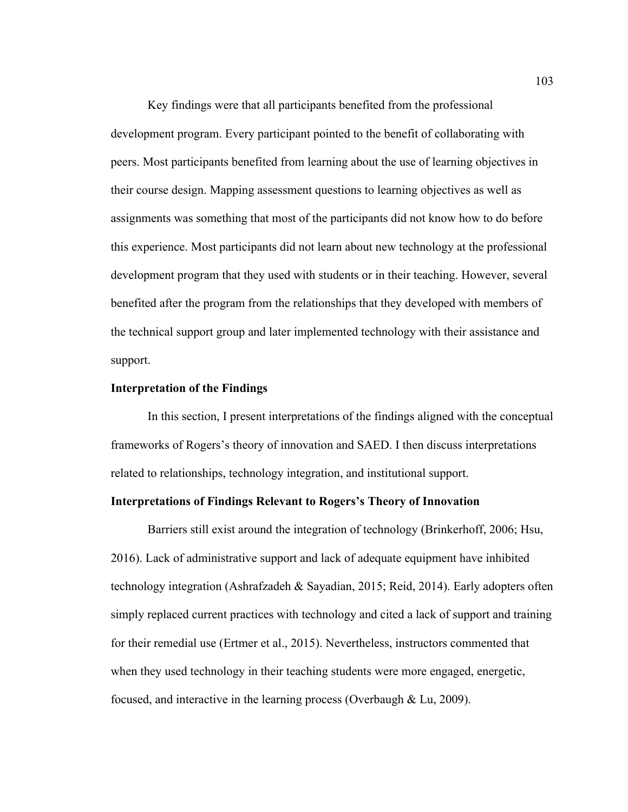Key findings were that all participants benefited from the professional development program. Every participant pointed to the benefit of collaborating with peers. Most participants benefited from learning about the use of learning objectives in their course design. Mapping assessment questions to learning objectives as well as assignments was something that most of the participants did not know how to do before this experience. Most participants did not learn about new technology at the professional development program that they used with students or in their teaching. However, several benefited after the program from the relationships that they developed with members of the technical support group and later implemented technology with their assistance and support.

## **Interpretation of the Findings**

In this section, I present interpretations of the findings aligned with the conceptual frameworks of Rogers's theory of innovation and SAED. I then discuss interpretations related to relationships, technology integration, and institutional support.

## **Interpretations of Findings Relevant to Rogers's Theory of Innovation**

Barriers still exist around the integration of technology (Brinkerhoff, 2006; Hsu, 2016). Lack of administrative support and lack of adequate equipment have inhibited technology integration (Ashrafzadeh & Sayadian, 2015; Reid, 2014). Early adopters often simply replaced current practices with technology and cited a lack of support and training for their remedial use (Ertmer et al., 2015). Nevertheless, instructors commented that when they used technology in their teaching students were more engaged, energetic, focused, and interactive in the learning process (Overbaugh & Lu, 2009).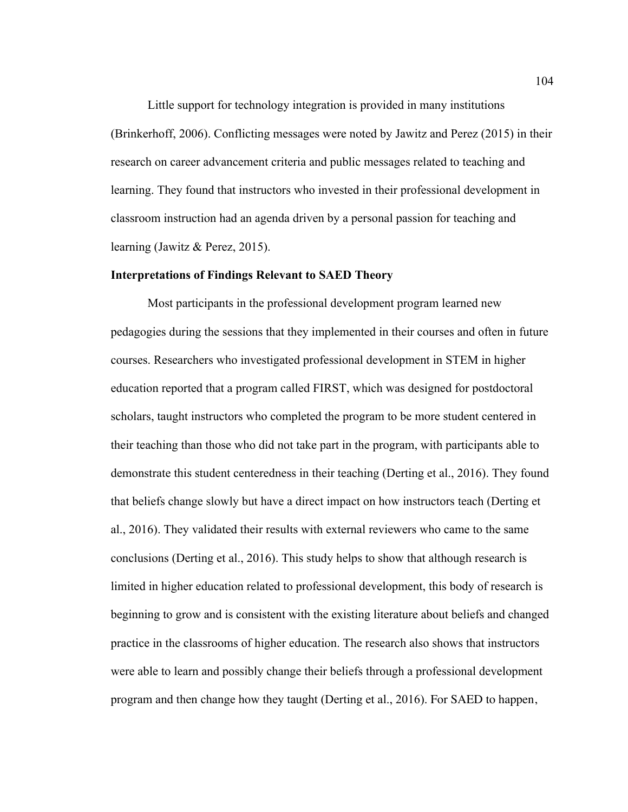Little support for technology integration is provided in many institutions (Brinkerhoff, 2006). Conflicting messages were noted by Jawitz and Perez (2015) in their research on career advancement criteria and public messages related to teaching and learning. They found that instructors who invested in their professional development in classroom instruction had an agenda driven by a personal passion for teaching and learning (Jawitz & Perez, 2015).

# **Interpretations of Findings Relevant to SAED Theory**

Most participants in the professional development program learned new pedagogies during the sessions that they implemented in their courses and often in future courses. Researchers who investigated professional development in STEM in higher education reported that a program called FIRST, which was designed for postdoctoral scholars, taught instructors who completed the program to be more student centered in their teaching than those who did not take part in the program, with participants able to demonstrate this student centeredness in their teaching (Derting et al., 2016). They found that beliefs change slowly but have a direct impact on how instructors teach (Derting et al., 2016). They validated their results with external reviewers who came to the same conclusions (Derting et al., 2016). This study helps to show that although research is limited in higher education related to professional development, this body of research is beginning to grow and is consistent with the existing literature about beliefs and changed practice in the classrooms of higher education. The research also shows that instructors were able to learn and possibly change their beliefs through a professional development program and then change how they taught (Derting et al., 2016). For SAED to happen,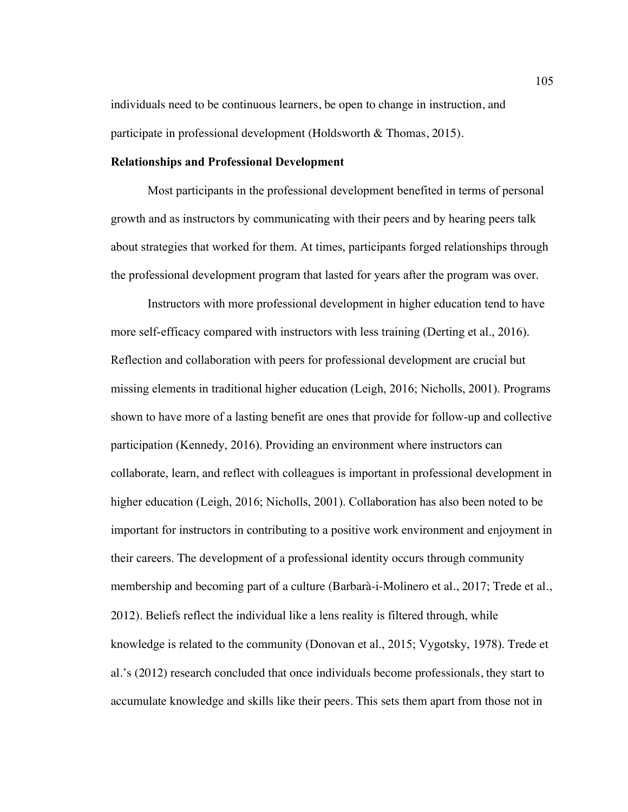individuals need to be continuous learners, be open to change in instruction, and participate in professional development (Holdsworth & Thomas, 2015).

### **Relationships and Professional Development**

Most participants in the professional development benefited in terms of personal growth and as instructors by communicating with their peers and by hearing peers talk about strategies that worked for them. At times, participants forged relationships through the professional development program that lasted for years after the program was over.

Instructors with more professional development in higher education tend to have more self-efficacy compared with instructors with less training (Derting et al., 2016). Reflection and collaboration with peers for professional development are crucial but missing elements in traditional higher education (Leigh, 2016; Nicholls, 2001). Programs shown to have more of a lasting benefit are ones that provide for follow-up and collective participation (Kennedy, 2016). Providing an environment where instructors can collaborate, learn, and reflect with colleagues is important in professional development in higher education (Leigh, 2016; Nicholls, 2001). Collaboration has also been noted to be important for instructors in contributing to a positive work environment and enjoyment in their careers. The development of a professional identity occurs through community membership and becoming part of a culture (Barbarà-i-Molinero et al., 2017; Trede et al., 2012). Beliefs reflect the individual like a lens reality is filtered through, while knowledge is related to the community (Donovan et al., 2015; Vygotsky, 1978). Trede et al.'s (2012) research concluded that once individuals become professionals, they start to accumulate knowledge and skills like their peers. This sets them apart from those not in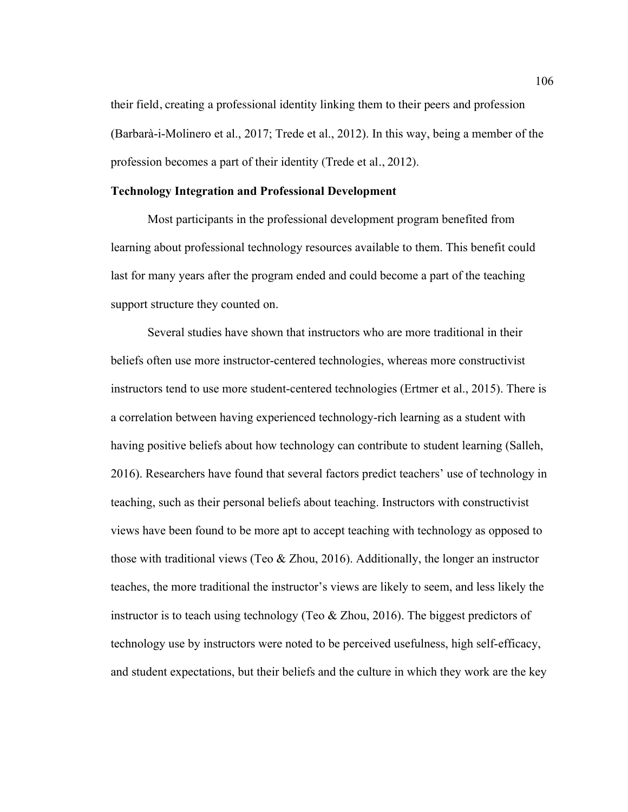their field, creating a professional identity linking them to their peers and profession (Barbarà-i-Molinero et al., 2017; Trede et al., 2012). In this way, being a member of the profession becomes a part of their identity (Trede et al., 2012).

#### **Technology Integration and Professional Development**

Most participants in the professional development program benefited from learning about professional technology resources available to them. This benefit could last for many years after the program ended and could become a part of the teaching support structure they counted on.

Several studies have shown that instructors who are more traditional in their beliefs often use more instructor-centered technologies, whereas more constructivist instructors tend to use more student-centered technologies (Ertmer et al., 2015). There is a correlation between having experienced technology-rich learning as a student with having positive beliefs about how technology can contribute to student learning (Salleh, 2016). Researchers have found that several factors predict teachers' use of technology in teaching, such as their personal beliefs about teaching. Instructors with constructivist views have been found to be more apt to accept teaching with technology as opposed to those with traditional views (Teo & Zhou, 2016). Additionally, the longer an instructor teaches, the more traditional the instructor's views are likely to seem, and less likely the instructor is to teach using technology (Teo & Zhou, 2016). The biggest predictors of technology use by instructors were noted to be perceived usefulness, high self-efficacy, and student expectations, but their beliefs and the culture in which they work are the key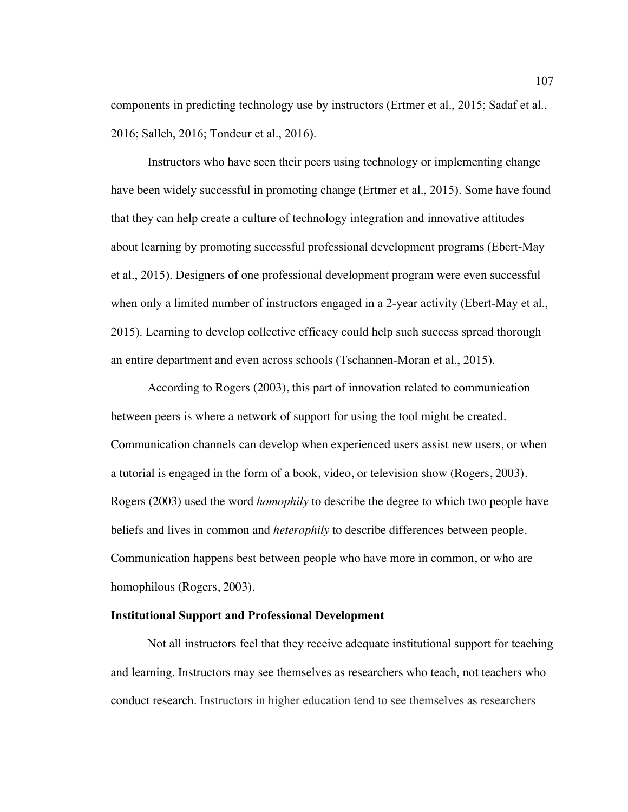components in predicting technology use by instructors (Ertmer et al., 2015; Sadaf et al., 2016; Salleh, 2016; Tondeur et al., 2016).

Instructors who have seen their peers using technology or implementing change have been widely successful in promoting change (Ertmer et al., 2015). Some have found that they can help create a culture of technology integration and innovative attitudes about learning by promoting successful professional development programs (Ebert-May et al., 2015). Designers of one professional development program were even successful when only a limited number of instructors engaged in a 2-year activity (Ebert-May et al., 2015). Learning to develop collective efficacy could help such success spread thorough an entire department and even across schools (Tschannen-Moran et al., 2015).

According to Rogers (2003), this part of innovation related to communication between peers is where a network of support for using the tool might be created. Communication channels can develop when experienced users assist new users, or when a tutorial is engaged in the form of a book, video, or television show (Rogers, 2003). Rogers (2003) used the word *homophily* to describe the degree to which two people have beliefs and lives in common and *heterophily* to describe differences between people. Communication happens best between people who have more in common, or who are homophilous (Rogers, 2003).

### **Institutional Support and Professional Development**

Not all instructors feel that they receive adequate institutional support for teaching and learning. Instructors may see themselves as researchers who teach, not teachers who conduct research. Instructors in higher education tend to see themselves as researchers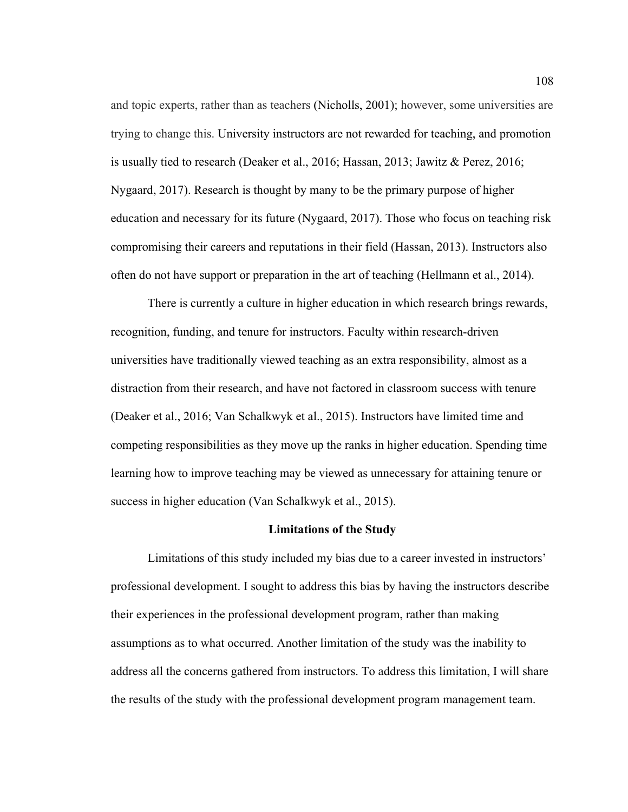and topic experts, rather than as teachers (Nicholls, 2001); however, some universities are trying to change this. University instructors are not rewarded for teaching, and promotion is usually tied to research (Deaker et al., 2016; Hassan, 2013; Jawitz & Perez, 2016; Nygaard, 2017). Research is thought by many to be the primary purpose of higher education and necessary for its future (Nygaard, 2017). Those who focus on teaching risk compromising their careers and reputations in their field (Hassan, 2013). Instructors also often do not have support or preparation in the art of teaching (Hellmann et al., 2014).

There is currently a culture in higher education in which research brings rewards, recognition, funding, and tenure for instructors. Faculty within research-driven universities have traditionally viewed teaching as an extra responsibility, almost as a distraction from their research, and have not factored in classroom success with tenure (Deaker et al., 2016; Van Schalkwyk et al., 2015). Instructors have limited time and competing responsibilities as they move up the ranks in higher education. Spending time learning how to improve teaching may be viewed as unnecessary for attaining tenure or success in higher education (Van Schalkwyk et al., 2015).

## **Limitations of the Study**

Limitations of this study included my bias due to a career invested in instructors' professional development. I sought to address this bias by having the instructors describe their experiences in the professional development program, rather than making assumptions as to what occurred. Another limitation of the study was the inability to address all the concerns gathered from instructors. To address this limitation, I will share the results of the study with the professional development program management team.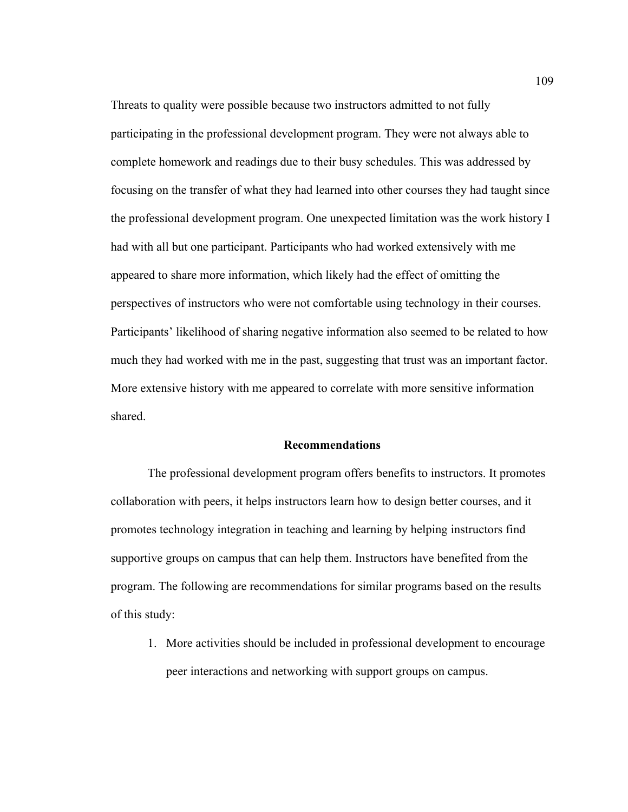Threats to quality were possible because two instructors admitted to not fully participating in the professional development program. They were not always able to complete homework and readings due to their busy schedules. This was addressed by focusing on the transfer of what they had learned into other courses they had taught since the professional development program. One unexpected limitation was the work history I had with all but one participant. Participants who had worked extensively with me appeared to share more information, which likely had the effect of omitting the perspectives of instructors who were not comfortable using technology in their courses. Participants' likelihood of sharing negative information also seemed to be related to how much they had worked with me in the past, suggesting that trust was an important factor. More extensive history with me appeared to correlate with more sensitive information shared.

## **Recommendations**

The professional development program offers benefits to instructors. It promotes collaboration with peers, it helps instructors learn how to design better courses, and it promotes technology integration in teaching and learning by helping instructors find supportive groups on campus that can help them. Instructors have benefited from the program. The following are recommendations for similar programs based on the results of this study:

1. More activities should be included in professional development to encourage peer interactions and networking with support groups on campus.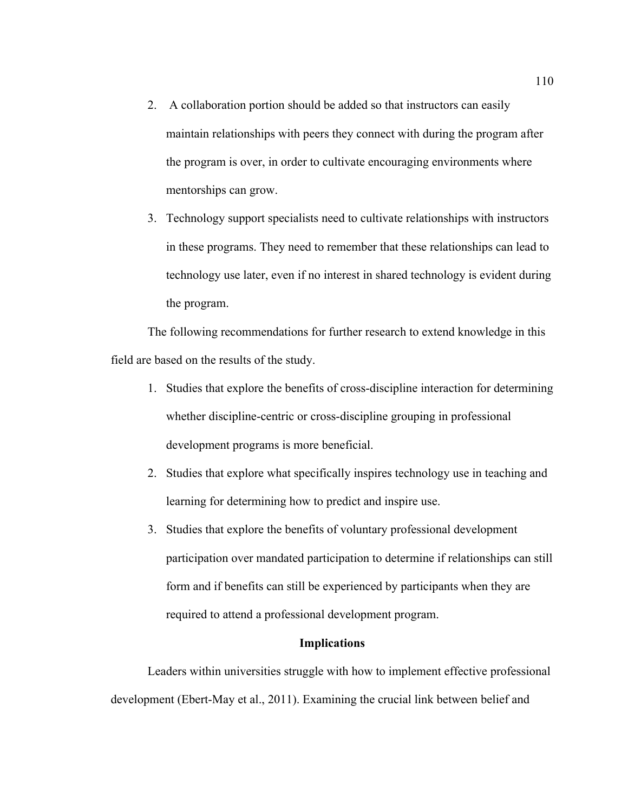- 2. A collaboration portion should be added so that instructors can easily maintain relationships with peers they connect with during the program after the program is over, in order to cultivate encouraging environments where mentorships can grow.
- 3. Technology support specialists need to cultivate relationships with instructors in these programs. They need to remember that these relationships can lead to technology use later, even if no interest in shared technology is evident during the program.

The following recommendations for further research to extend knowledge in this field are based on the results of the study.

- 1. Studies that explore the benefits of cross-discipline interaction for determining whether discipline-centric or cross-discipline grouping in professional development programs is more beneficial.
- 2. Studies that explore what specifically inspires technology use in teaching and learning for determining how to predict and inspire use.
- 3. Studies that explore the benefits of voluntary professional development participation over mandated participation to determine if relationships can still form and if benefits can still be experienced by participants when they are required to attend a professional development program.

# **Implications**

Leaders within universities struggle with how to implement effective professional development (Ebert-May et al., 2011). Examining the crucial link between belief and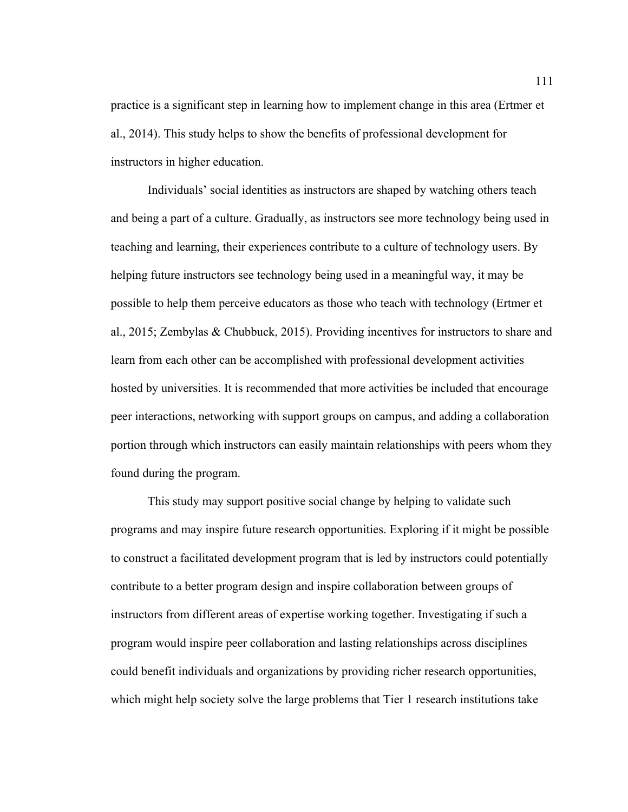practice is a significant step in learning how to implement change in this area (Ertmer et al., 2014). This study helps to show the benefits of professional development for instructors in higher education.

Individuals' social identities as instructors are shaped by watching others teach and being a part of a culture. Gradually, as instructors see more technology being used in teaching and learning, their experiences contribute to a culture of technology users. By helping future instructors see technology being used in a meaningful way, it may be possible to help them perceive educators as those who teach with technology (Ertmer et al., 2015; Zembylas & Chubbuck, 2015). Providing incentives for instructors to share and learn from each other can be accomplished with professional development activities hosted by universities. It is recommended that more activities be included that encourage peer interactions, networking with support groups on campus, and adding a collaboration portion through which instructors can easily maintain relationships with peers whom they found during the program.

This study may support positive social change by helping to validate such programs and may inspire future research opportunities. Exploring if it might be possible to construct a facilitated development program that is led by instructors could potentially contribute to a better program design and inspire collaboration between groups of instructors from different areas of expertise working together. Investigating if such a program would inspire peer collaboration and lasting relationships across disciplines could benefit individuals and organizations by providing richer research opportunities, which might help society solve the large problems that Tier 1 research institutions take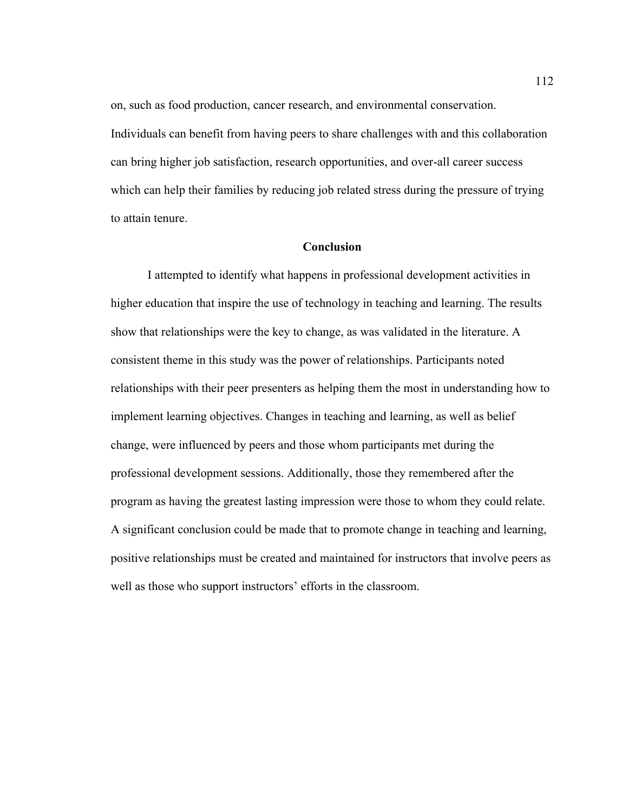on, such as food production, cancer research, and environmental conservation. Individuals can benefit from having peers to share challenges with and this collaboration can bring higher job satisfaction, research opportunities, and over-all career success which can help their families by reducing job related stress during the pressure of trying to attain tenure.

### **Conclusion**

I attempted to identify what happens in professional development activities in higher education that inspire the use of technology in teaching and learning. The results show that relationships were the key to change, as was validated in the literature. A consistent theme in this study was the power of relationships. Participants noted relationships with their peer presenters as helping them the most in understanding how to implement learning objectives. Changes in teaching and learning, as well as belief change, were influenced by peers and those whom participants met during the professional development sessions. Additionally, those they remembered after the program as having the greatest lasting impression were those to whom they could relate. A significant conclusion could be made that to promote change in teaching and learning, positive relationships must be created and maintained for instructors that involve peers as well as those who support instructors' efforts in the classroom.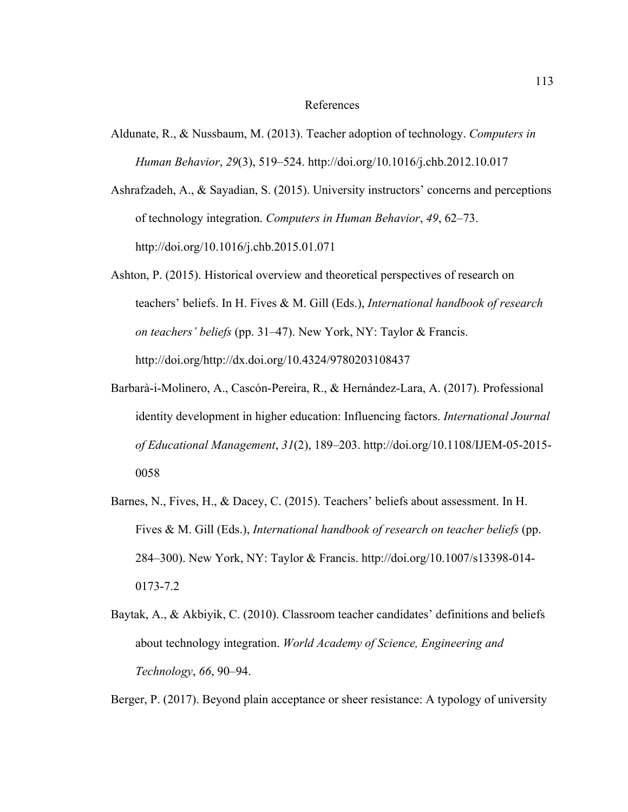#### References

- Aldunate, R., & Nussbaum, M. (2013). Teacher adoption of technology. *Computers in Human Behavior*, *29*(3), 519–524. http://doi.org/10.1016/j.chb.2012.10.017
- Ashrafzadeh, A., & Sayadian, S. (2015). University instructors' concerns and perceptions of technology integration. *Computers in Human Behavior*, *49*, 62–73. http://doi.org/10.1016/j.chb.2015.01.071
- Ashton, P. (2015). Historical overview and theoretical perspectives of research on teachers' beliefs. In H. Fives & M. Gill (Eds.), *International handbook of research on teachers' beliefs* (pp. 31–47). New York, NY: Taylor & Francis. http://doi.org/http://dx.doi.org/10.4324/9780203108437
- Barbarà-i-Molinero, A., Cascón-Pereira, R., & Hernández-Lara, A. (2017). Professional identity development in higher education: Influencing factors. *International Journal of Educational Management*, *31*(2), 189–203. http://doi.org/10.1108/IJEM-05-2015- 0058
- Barnes, N., Fives, H., & Dacey, C. (2015). Teachers' beliefs about assessment. In H. Fives & M. Gill (Eds.), *International handbook of research on teacher beliefs* (pp. 284–300). New York, NY: Taylor & Francis. http://doi.org/10.1007/s13398-014- 0173-7.2
- Baytak, A., & Akbiyik, C. (2010). Classroom teacher candidates' definitions and beliefs about technology integration. *World Academy of Science, Engineering and Technology*, *66*, 90–94.

Berger, P. (2017). Beyond plain acceptance or sheer resistance: A typology of university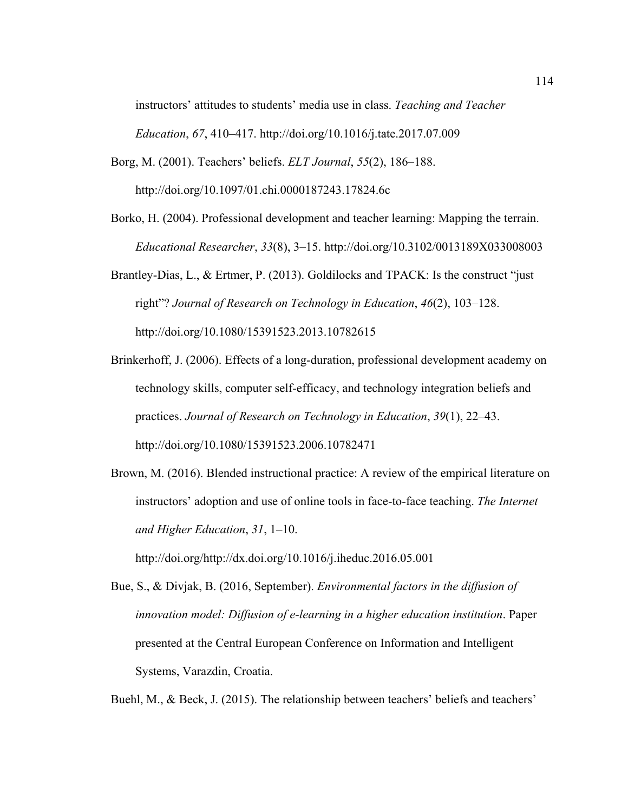instructors' attitudes to students' media use in class. *Teaching and Teacher Education*, *67*, 410–417. http://doi.org/10.1016/j.tate.2017.07.009

- Borg, M. (2001). Teachers' beliefs. *ELT Journal*, *55*(2), 186–188. http://doi.org/10.1097/01.chi.0000187243.17824.6c
- Borko, H. (2004). Professional development and teacher learning: Mapping the terrain. *Educational Researcher*, *33*(8), 3–15. http://doi.org/10.3102/0013189X033008003
- Brantley-Dias, L., & Ertmer, P. (2013). Goldilocks and TPACK: Is the construct "just right"? *Journal of Research on Technology in Education*, *46*(2), 103–128. http://doi.org/10.1080/15391523.2013.10782615
- Brinkerhoff, J. (2006). Effects of a long-duration, professional development academy on technology skills, computer self-efficacy, and technology integration beliefs and practices. *Journal of Research on Technology in Education*, *39*(1), 22–43. http://doi.org/10.1080/15391523.2006.10782471
- Brown, M. (2016). Blended instructional practice: A review of the empirical literature on instructors' adoption and use of online tools in face-to-face teaching. *The Internet and Higher Education*, *31*, 1–10.

http://doi.org/http://dx.doi.org/10.1016/j.iheduc.2016.05.001

Bue, S., & Divjak, B. (2016, September). *Environmental factors in the diffusion of innovation model: Diffusion of e-learning in a higher education institution*. Paper presented at the Central European Conference on Information and Intelligent Systems, Varazdin, Croatia.

Buehl, M., & Beck, J. (2015). The relationship between teachers' beliefs and teachers'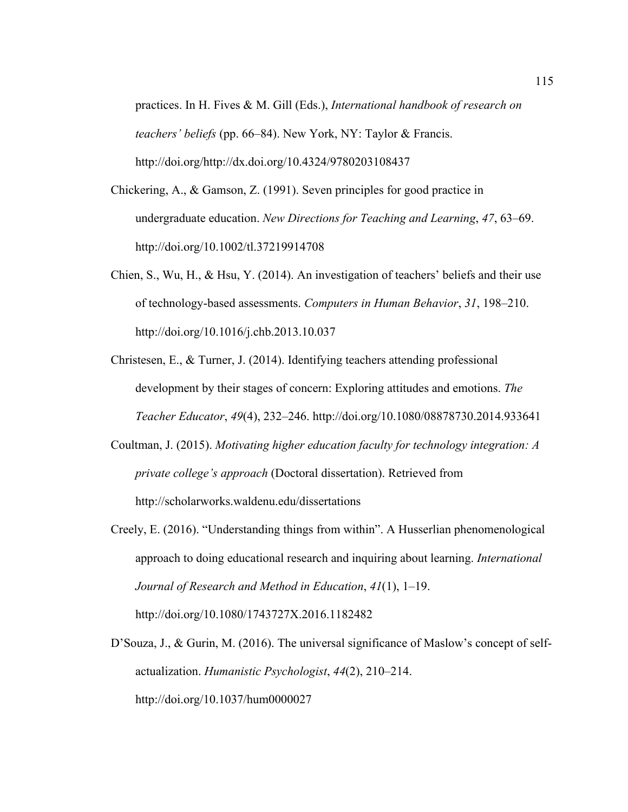practices. In H. Fives & M. Gill (Eds.), *International handbook of research on teachers' beliefs* (pp. 66–84). New York, NY: Taylor & Francis. http://doi.org/http://dx.doi.org/10.4324/9780203108437

- Chickering, A., & Gamson, Z. (1991). Seven principles for good practice in undergraduate education. *New Directions for Teaching and Learning*, *47*, 63–69. http://doi.org/10.1002/tl.37219914708
- Chien, S., Wu, H., & Hsu, Y. (2014). An investigation of teachers' beliefs and their use of technology-based assessments. *Computers in Human Behavior*, *31*, 198–210. http://doi.org/10.1016/j.chb.2013.10.037
- Christesen, E., & Turner, J. (2014). Identifying teachers attending professional development by their stages of concern: Exploring attitudes and emotions. *The Teacher Educator*, *49*(4), 232–246. http://doi.org/10.1080/08878730.2014.933641
- Coultman, J. (2015). *Motivating higher education faculty for technology integration: A private college's approach* (Doctoral dissertation). Retrieved from http://scholarworks.waldenu.edu/dissertations
- Creely, E. (2016). "Understanding things from within". A Husserlian phenomenological approach to doing educational research and inquiring about learning. *International Journal of Research and Method in Education*, *41*(1), 1–19. http://doi.org/10.1080/1743727X.2016.1182482
- D'Souza, J., & Gurin, M. (2016). The universal significance of Maslow's concept of selfactualization. *Humanistic Psychologist*, *44*(2), 210–214. http://doi.org/10.1037/hum0000027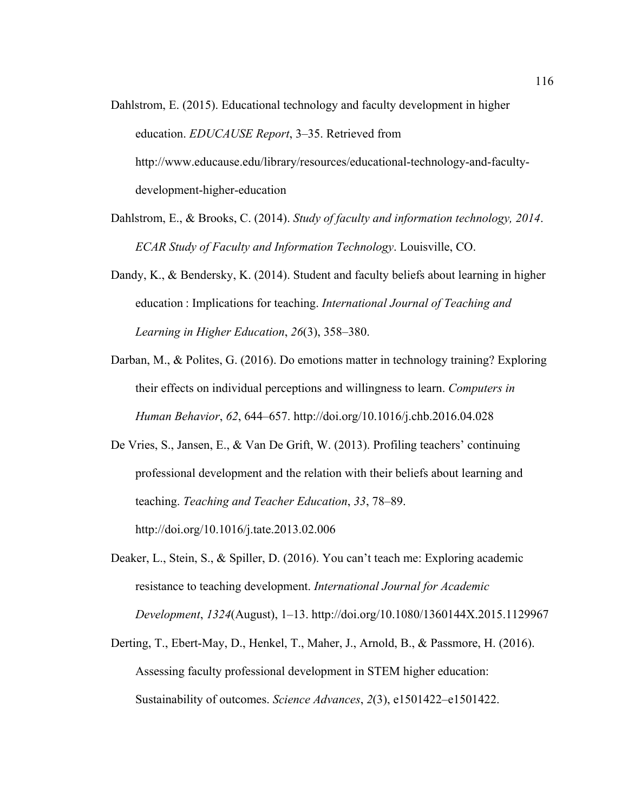- Dahlstrom, E. (2015). Educational technology and faculty development in higher education. *EDUCAUSE Report*, 3–35. Retrieved from http://www.educause.edu/library/resources/educational-technology-and-facultydevelopment-higher-education
- Dahlstrom, E., & Brooks, C. (2014). *Study of faculty and information technology, 2014*. *ECAR Study of Faculty and Information Technology*. Louisville, CO.
- Dandy, K., & Bendersky, K. (2014). Student and faculty beliefs about learning in higher education : Implications for teaching. *International Journal of Teaching and Learning in Higher Education*, *26*(3), 358–380.
- Darban, M., & Polites, G. (2016). Do emotions matter in technology training? Exploring their effects on individual perceptions and willingness to learn. *Computers in Human Behavior*, *62*, 644–657. http://doi.org/10.1016/j.chb.2016.04.028
- De Vries, S., Jansen, E., & Van De Grift, W. (2013). Profiling teachers' continuing professional development and the relation with their beliefs about learning and teaching. *Teaching and Teacher Education*, *33*, 78–89. http://doi.org/10.1016/j.tate.2013.02.006
- Deaker, L., Stein, S., & Spiller, D. (2016). You can't teach me: Exploring academic resistance to teaching development. *International Journal for Academic Development*, *1324*(August), 1–13. http://doi.org/10.1080/1360144X.2015.1129967
- Derting, T., Ebert-May, D., Henkel, T., Maher, J., Arnold, B., & Passmore, H. (2016). Assessing faculty professional development in STEM higher education: Sustainability of outcomes. *Science Advances*, *2*(3), e1501422–e1501422.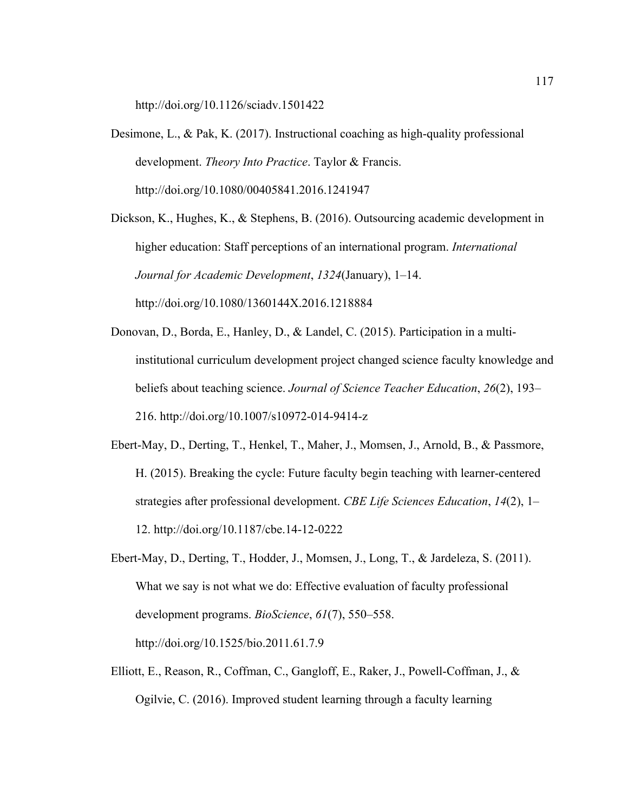http://doi.org/10.1126/sciadv.1501422

Desimone, L., & Pak, K. (2017). Instructional coaching as high-quality professional development. *Theory Into Practice*. Taylor & Francis. http://doi.org/10.1080/00405841.2016.1241947

Dickson, K., Hughes, K., & Stephens, B. (2016). Outsourcing academic development in higher education: Staff perceptions of an international program. *International Journal for Academic Development*, *1324*(January), 1–14. http://doi.org/10.1080/1360144X.2016.1218884

- Donovan, D., Borda, E., Hanley, D., & Landel, C. (2015). Participation in a multiinstitutional curriculum development project changed science faculty knowledge and beliefs about teaching science. *Journal of Science Teacher Education*, *26*(2), 193– 216. http://doi.org/10.1007/s10972-014-9414-z
- Ebert-May, D., Derting, T., Henkel, T., Maher, J., Momsen, J., Arnold, B., & Passmore, H. (2015). Breaking the cycle: Future faculty begin teaching with learner-centered strategies after professional development. *CBE Life Sciences Education*, *14*(2), 1– 12. http://doi.org/10.1187/cbe.14-12-0222
- Ebert-May, D., Derting, T., Hodder, J., Momsen, J., Long, T., & Jardeleza, S. (2011). What we say is not what we do: Effective evaluation of faculty professional development programs. *BioScience*, *61*(7), 550–558. http://doi.org/10.1525/bio.2011.61.7.9

Elliott, E., Reason, R., Coffman, C., Gangloff, E., Raker, J., Powell-Coffman, J., & Ogilvie, C. (2016). Improved student learning through a faculty learning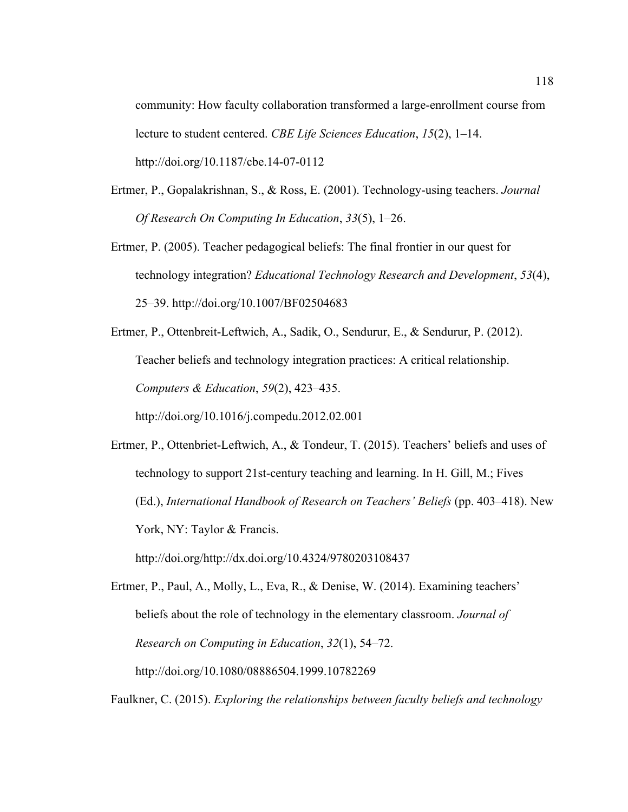community: How faculty collaboration transformed a large-enrollment course from lecture to student centered. *CBE Life Sciences Education*, *15*(2), 1–14. http://doi.org/10.1187/cbe.14-07-0112

- Ertmer, P., Gopalakrishnan, S., & Ross, E. (2001). Technology-using teachers. *Journal Of Research On Computing In Education*, *33*(5), 1–26.
- Ertmer, P. (2005). Teacher pedagogical beliefs: The final frontier in our quest for technology integration? *Educational Technology Research and Development*, *53*(4), 25–39. http://doi.org/10.1007/BF02504683

Ertmer, P., Ottenbreit-Leftwich, A., Sadik, O., Sendurur, E., & Sendurur, P. (2012). Teacher beliefs and technology integration practices: A critical relationship. *Computers & Education*, *59*(2), 423–435. http://doi.org/10.1016/j.compedu.2012.02.001

Ertmer, P., Ottenbriet-Leftwich, A., & Tondeur, T. (2015). Teachers' beliefs and uses of technology to support 21st-century teaching and learning. In H. Gill, M.; Fives (Ed.), *International Handbook of Research on Teachers' Beliefs* (pp. 403–418). New York, NY: Taylor & Francis. http://doi.org/http://dx.doi.org/10.4324/9780203108437

Ertmer, P., Paul, A., Molly, L., Eva, R., & Denise, W. (2014). Examining teachers' beliefs about the role of technology in the elementary classroom. *Journal of Research on Computing in Education*, *32*(1), 54–72. http://doi.org/10.1080/08886504.1999.10782269

Faulkner, C. (2015). *Exploring the relationships between faculty beliefs and technology*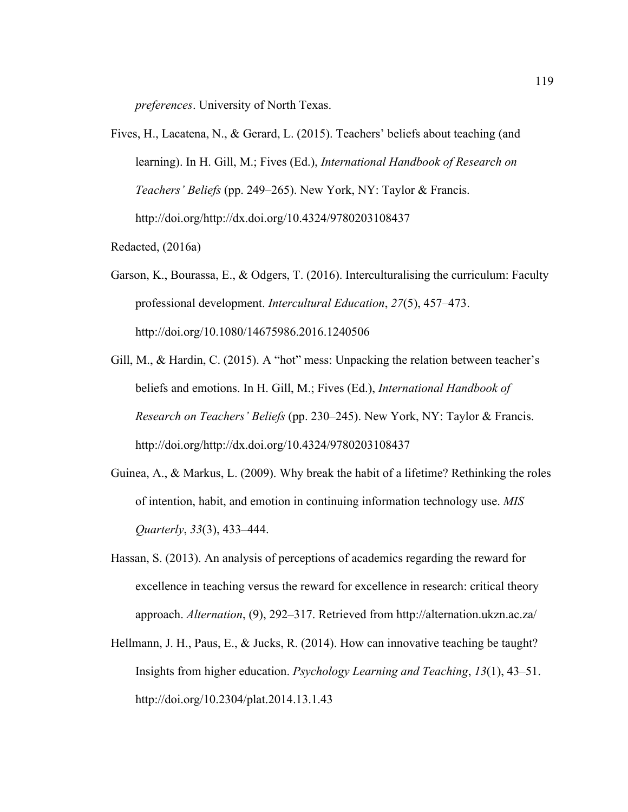*preferences*. University of North Texas.

- Fives, H., Lacatena, N., & Gerard, L. (2015). Teachers' beliefs about teaching (and learning). In H. Gill, M.; Fives (Ed.), *International Handbook of Research on Teachers' Beliefs* (pp. 249–265). New York, NY: Taylor & Francis. http://doi.org/http://dx.doi.org/10.4324/9780203108437
- Redacted, (2016a)
- Garson, K., Bourassa, E., & Odgers, T. (2016). Interculturalising the curriculum: Faculty professional development. *Intercultural Education*, *27*(5), 457–473. http://doi.org/10.1080/14675986.2016.1240506
- Gill, M., & Hardin, C. (2015). A "hot" mess: Unpacking the relation between teacher's beliefs and emotions. In H. Gill, M.; Fives (Ed.), *International Handbook of Research on Teachers' Beliefs* (pp. 230–245). New York, NY: Taylor & Francis. http://doi.org/http://dx.doi.org/10.4324/9780203108437
- Guinea, A., & Markus, L. (2009). Why break the habit of a lifetime? Rethinking the roles of intention, habit, and emotion in continuing information technology use. *MIS Quarterly*, *33*(3), 433–444.
- Hassan, S. (2013). An analysis of perceptions of academics regarding the reward for excellence in teaching versus the reward for excellence in research: critical theory approach. *Alternation*, (9), 292–317. Retrieved from http://alternation.ukzn.ac.za/
- Hellmann, J. H., Paus, E., & Jucks, R. (2014). How can innovative teaching be taught? Insights from higher education. *Psychology Learning and Teaching*, *13*(1), 43–51. http://doi.org/10.2304/plat.2014.13.1.43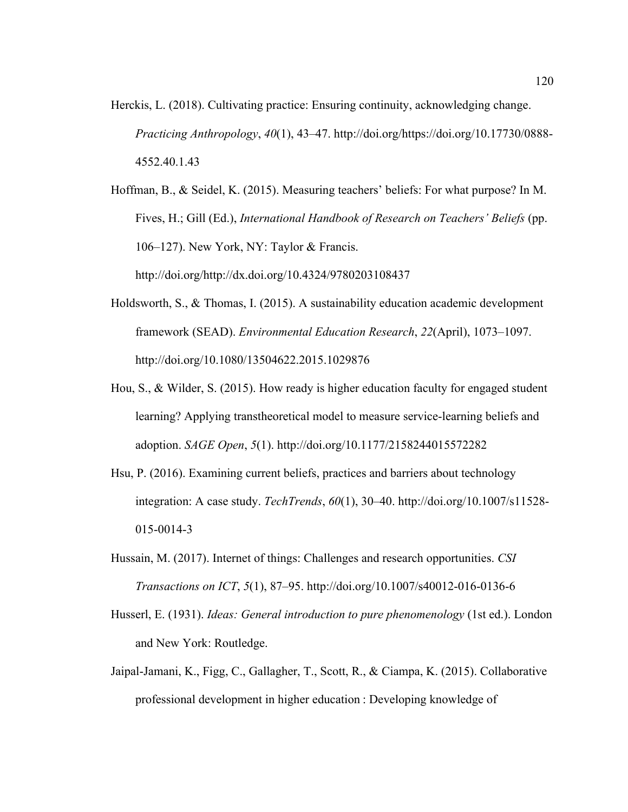Herckis, L. (2018). Cultivating practice: Ensuring continuity, acknowledging change. *Practicing Anthropology*, *40*(1), 43–47. http://doi.org/https://doi.org/10.17730/0888- 4552.40.1.43

Hoffman, B., & Seidel, K. (2015). Measuring teachers' beliefs: For what purpose? In M. Fives, H.; Gill (Ed.), *International Handbook of Research on Teachers' Beliefs* (pp. 106–127). New York, NY: Taylor & Francis. http://doi.org/http://dx.doi.org/10.4324/9780203108437

- Holdsworth, S., & Thomas, I. (2015). A sustainability education academic development framework (SEAD). *Environmental Education Research*, *22*(April), 1073–1097. http://doi.org/10.1080/13504622.2015.1029876
- Hou, S., & Wilder, S. (2015). How ready is higher education faculty for engaged student learning? Applying transtheoretical model to measure service-learning beliefs and adoption. *SAGE Open*, *5*(1). http://doi.org/10.1177/2158244015572282
- Hsu, P. (2016). Examining current beliefs, practices and barriers about technology integration: A case study. *TechTrends*, *60*(1), 30–40. http://doi.org/10.1007/s11528- 015-0014-3
- Hussain, M. (2017). Internet of things: Challenges and research opportunities. *CSI Transactions on ICT*, *5*(1), 87–95. http://doi.org/10.1007/s40012-016-0136-6
- Husserl, E. (1931). *Ideas: General introduction to pure phenomenology* (1st ed.). London and New York: Routledge.
- Jaipal-Jamani, K., Figg, C., Gallagher, T., Scott, R., & Ciampa, K. (2015). Collaborative professional development in higher education : Developing knowledge of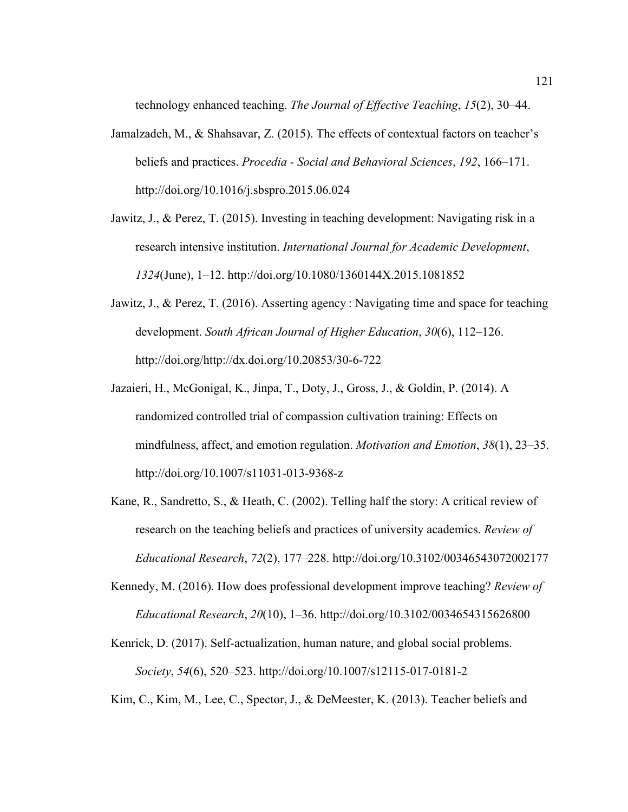technology enhanced teaching. *The Journal of Effective Teaching*, *15*(2), 30–44.

- Jamalzadeh, M., & Shahsavar, Z. (2015). The effects of contextual factors on teacher's beliefs and practices. *Procedia - Social and Behavioral Sciences*, *192*, 166–171. http://doi.org/10.1016/j.sbspro.2015.06.024
- Jawitz, J., & Perez, T. (2015). Investing in teaching development: Navigating risk in a research intensive institution. *International Journal for Academic Development*, *1324*(June), 1–12. http://doi.org/10.1080/1360144X.2015.1081852
- Jawitz, J., & Perez, T. (2016). Asserting agency : Navigating time and space for teaching development. *South African Journal of Higher Education*, *30*(6), 112–126. http://doi.org/http://dx.doi.org/10.20853/30-6-722
- Jazaieri, H., McGonigal, K., Jinpa, T., Doty, J., Gross, J., & Goldin, P. (2014). A randomized controlled trial of compassion cultivation training: Effects on mindfulness, affect, and emotion regulation. *Motivation and Emotion*, *38*(1), 23–35. http://doi.org/10.1007/s11031-013-9368-z
- Kane, R., Sandretto, S., & Heath, C. (2002). Telling half the story: A critical review of research on the teaching beliefs and practices of university academics. *Review of Educational Research*, *72*(2), 177–228. http://doi.org/10.3102/00346543072002177
- Kennedy, M. (2016). How does professional development improve teaching? *Review of Educational Research*, *20*(10), 1–36. http://doi.org/10.3102/0034654315626800
- Kenrick, D. (2017). Self-actualization, human nature, and global social problems. *Society*, *54*(6), 520–523. http://doi.org/10.1007/s12115-017-0181-2
- Kim, C., Kim, M., Lee, C., Spector, J., & DeMeester, K. (2013). Teacher beliefs and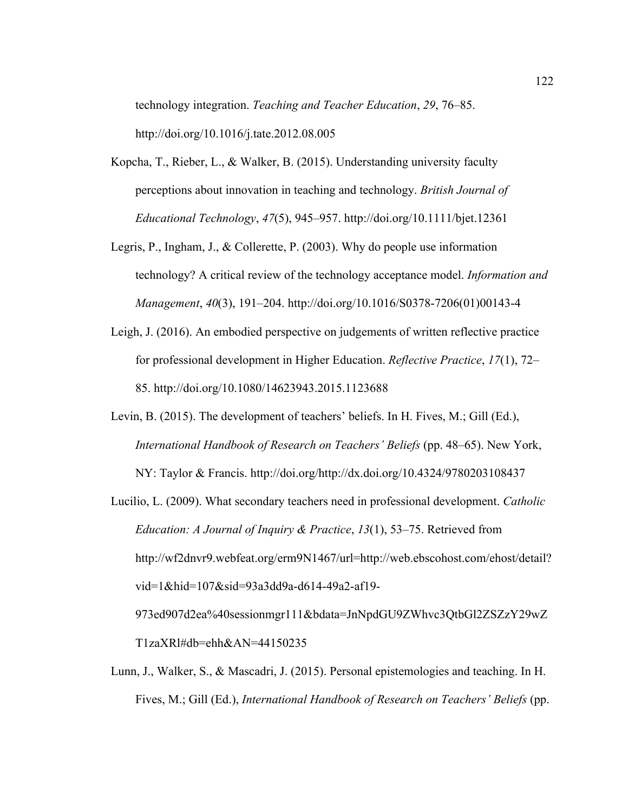technology integration. *Teaching and Teacher Education*, *29*, 76–85. http://doi.org/10.1016/j.tate.2012.08.005

- Kopcha, T., Rieber, L., & Walker, B. (2015). Understanding university faculty perceptions about innovation in teaching and technology. *British Journal of Educational Technology*, *47*(5), 945–957. http://doi.org/10.1111/bjet.12361
- Legris, P., Ingham, J., & Collerette, P. (2003). Why do people use information technology? A critical review of the technology acceptance model. *Information and Management*, *40*(3), 191–204. http://doi.org/10.1016/S0378-7206(01)00143-4
- Leigh, J. (2016). An embodied perspective on judgements of written reflective practice for professional development in Higher Education. *Reflective Practice*, *17*(1), 72– 85. http://doi.org/10.1080/14623943.2015.1123688
- Levin, B. (2015). The development of teachers' beliefs. In H. Fives, M.; Gill (Ed.), *International Handbook of Research on Teachers' Beliefs* (pp. 48–65). New York, NY: Taylor & Francis. http://doi.org/http://dx.doi.org/10.4324/9780203108437
- Lucilio, L. (2009). What secondary teachers need in professional development. *Catholic Education: A Journal of Inquiry & Practice*, *13*(1), 53–75. Retrieved from http://wf2dnvr9.webfeat.org/erm9N1467/url=http://web.ebscohost.com/ehost/detail? vid=1&hid=107&sid=93a3dd9a-d614-49a2-af19- 973ed907d2ea%40sessionmgr111&bdata=JnNpdGU9ZWhvc3QtbGl2ZSZzY29wZ

T1zaXRl#db=ehh&AN=44150235

Lunn, J., Walker, S., & Mascadri, J. (2015). Personal epistemologies and teaching. In H. Fives, M.; Gill (Ed.), *International Handbook of Research on Teachers' Beliefs* (pp.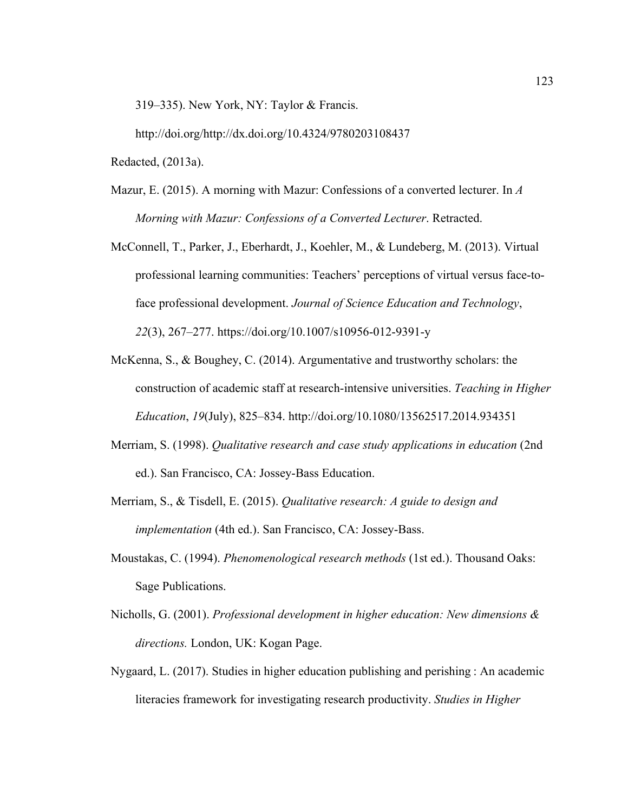319–335). New York, NY: Taylor & Francis.

http://doi.org/http://dx.doi.org/10.4324/9780203108437

Redacted, (2013a).

- Mazur, E. (2015). A morning with Mazur: Confessions of a converted lecturer. In *A Morning with Mazur: Confessions of a Converted Lecturer*. Retracted.
- McConnell, T., Parker, J., Eberhardt, J., Koehler, M., & Lundeberg, M. (2013). Virtual professional learning communities: Teachers' perceptions of virtual versus face-toface professional development. *Journal of Science Education and Technology*, *22*(3), 267–277. https://doi.org/10.1007/s10956-012-9391-y
- McKenna, S., & Boughey, C. (2014). Argumentative and trustworthy scholars: the construction of academic staff at research-intensive universities. *Teaching in Higher Education*, *19*(July), 825–834. http://doi.org/10.1080/13562517.2014.934351
- Merriam, S. (1998). *Qualitative research and case study applications in education* (2nd ed.). San Francisco, CA: Jossey-Bass Education.
- Merriam, S., & Tisdell, E. (2015). *Qualitative research: A guide to design and implementation* (4th ed.). San Francisco, CA: Jossey-Bass.
- Moustakas, C. (1994). *Phenomenological research methods* (1st ed.). Thousand Oaks: Sage Publications.
- Nicholls, G. (2001). *Professional development in higher education: New dimensions & directions.* London, UK: Kogan Page.
- Nygaard, L. (2017). Studies in higher education publishing and perishing : An academic literacies framework for investigating research productivity. *Studies in Higher*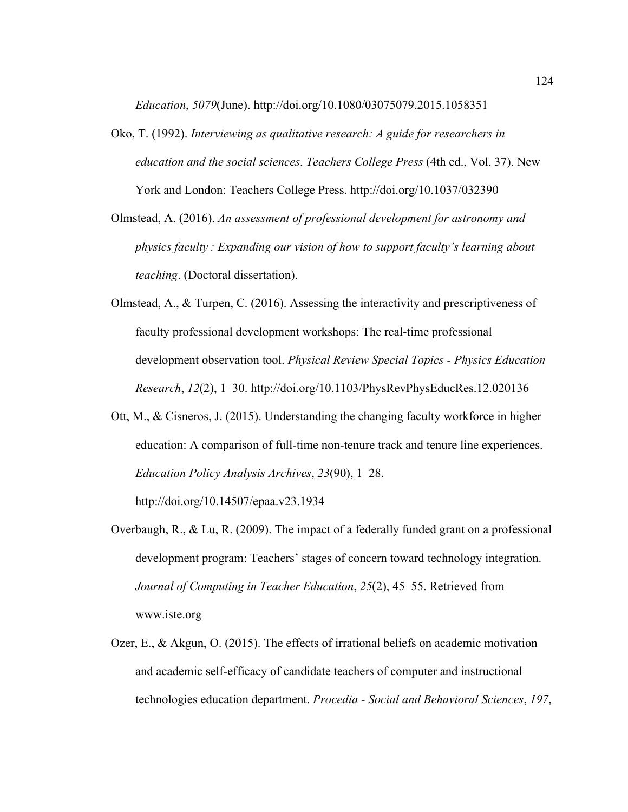*Education*, *5079*(June). http://doi.org/10.1080/03075079.2015.1058351

- Oko, T. (1992). *Interviewing as qualitative research: A guide for researchers in education and the social sciences*. *Teachers College Press* (4th ed., Vol. 37). New York and London: Teachers College Press. http://doi.org/10.1037/032390
- Olmstead, A. (2016). *An assessment of professional development for astronomy and physics faculty : Expanding our vision of how to support faculty's learning about teaching*. (Doctoral dissertation).
- Olmstead, A., & Turpen, C. (2016). Assessing the interactivity and prescriptiveness of faculty professional development workshops: The real-time professional development observation tool. *Physical Review Special Topics - Physics Education Research*, *12*(2), 1–30. http://doi.org/10.1103/PhysRevPhysEducRes.12.020136
- Ott, M., & Cisneros, J. (2015). Understanding the changing faculty workforce in higher education: A comparison of full-time non-tenure track and tenure line experiences. *Education Policy Analysis Archives*, *23*(90), 1–28.

http://doi.org/10.14507/epaa.v23.1934

- Overbaugh, R., & Lu, R. (2009). The impact of a federally funded grant on a professional development program: Teachers' stages of concern toward technology integration. *Journal of Computing in Teacher Education*, *25*(2), 45–55. Retrieved from www.iste.org
- Ozer, E., & Akgun, O. (2015). The effects of irrational beliefs on academic motivation and academic self-efficacy of candidate teachers of computer and instructional technologies education department. *Procedia - Social and Behavioral Sciences*, *197*,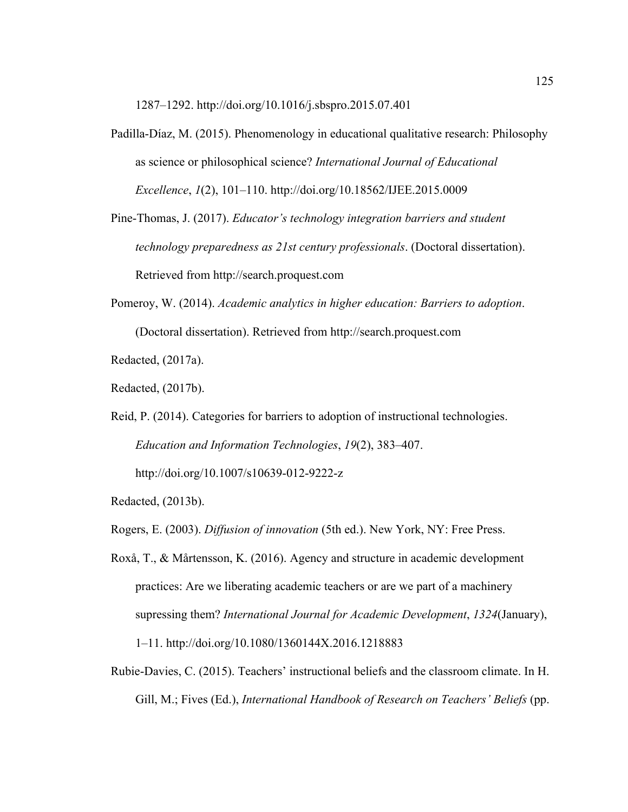1287–1292. http://doi.org/10.1016/j.sbspro.2015.07.401

- Padilla-Díaz, M. (2015). Phenomenology in educational qualitative research: Philosophy as science or philosophical science? *International Journal of Educational Excellence*, *1*(2), 101–110. http://doi.org/10.18562/IJEE.2015.0009
- Pine-Thomas, J. (2017). *Educator's technology integration barriers and student technology preparedness as 21st century professionals*. (Doctoral dissertation). Retrieved from http://search.proquest.com
- Pomeroy, W. (2014). *Academic analytics in higher education: Barriers to adoption*. (Doctoral dissertation). Retrieved from http://search.proquest.com

Redacted, (2017a).

Redacted, (2017b).

Reid, P. (2014). Categories for barriers to adoption of instructional technologies. *Education and Information Technologies*, *19*(2), 383–407. http://doi.org/10.1007/s10639-012-9222-z

Redacted, (2013b).

Rogers, E. (2003). *Diffusion of innovation* (5th ed.). New York, NY: Free Press.

- Roxå, T., & Mårtensson, K. (2016). Agency and structure in academic development practices: Are we liberating academic teachers or are we part of a machinery supressing them? *International Journal for Academic Development*, *1324*(January), 1–11. http://doi.org/10.1080/1360144X.2016.1218883
- Rubie-Davies, C. (2015). Teachers' instructional beliefs and the classroom climate. In H. Gill, M.; Fives (Ed.), *International Handbook of Research on Teachers' Beliefs* (pp.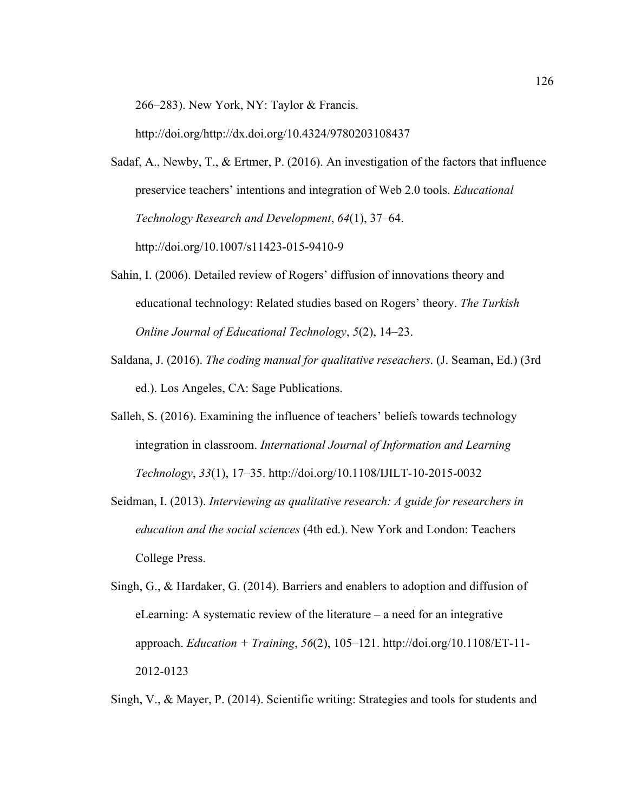266–283). New York, NY: Taylor & Francis.

http://doi.org/http://dx.doi.org/10.4324/9780203108437

- Sadaf, A., Newby, T., & Ertmer, P. (2016). An investigation of the factors that influence preservice teachers' intentions and integration of Web 2.0 tools. *Educational Technology Research and Development*, *64*(1), 37–64. http://doi.org/10.1007/s11423-015-9410-9
- Sahin, I. (2006). Detailed review of Rogers' diffusion of innovations theory and educational technology: Related studies based on Rogers' theory. *The Turkish Online Journal of Educational Technology*, *5*(2), 14–23.
- Saldana, J. (2016). *The coding manual for qualitative reseachers*. (J. Seaman, Ed.) (3rd ed.). Los Angeles, CA: Sage Publications.
- Salleh, S. (2016). Examining the influence of teachers' beliefs towards technology integration in classroom. *International Journal of Information and Learning Technology*, *33*(1), 17–35. http://doi.org/10.1108/IJILT-10-2015-0032
- Seidman, I. (2013). *Interviewing as qualitative research: A guide for researchers in education and the social sciences* (4th ed.). New York and London: Teachers College Press.
- Singh, G., & Hardaker, G. (2014). Barriers and enablers to adoption and diffusion of eLearning: A systematic review of the literature – a need for an integrative approach. *Education + Training*, *56*(2), 105–121. http://doi.org/10.1108/ET-11- 2012-0123

Singh, V., & Mayer, P. (2014). Scientific writing: Strategies and tools for students and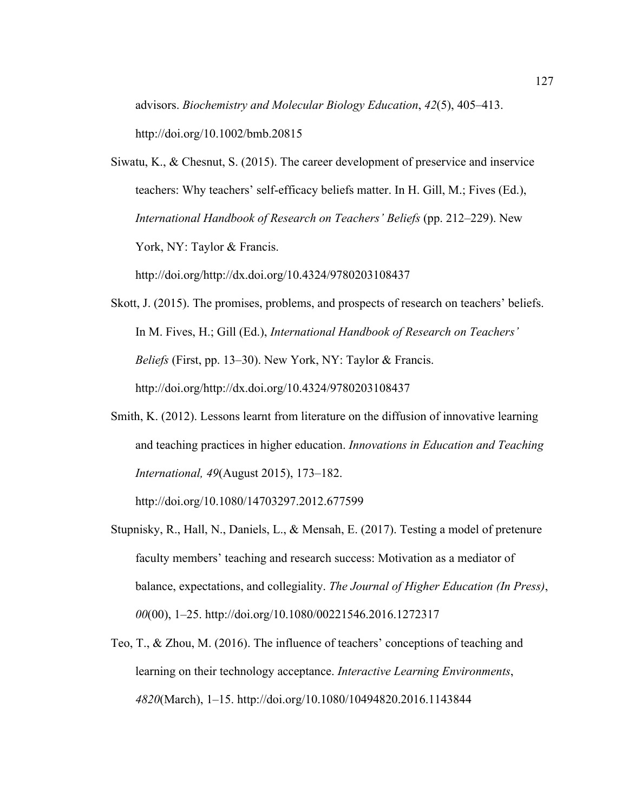advisors. *Biochemistry and Molecular Biology Education*, *42*(5), 405–413.

http://doi.org/10.1002/bmb.20815

Siwatu, K., & Chesnut, S. (2015). The career development of preservice and inservice teachers: Why teachers' self-efficacy beliefs matter. In H. Gill, M.; Fives (Ed.), *International Handbook of Research on Teachers' Beliefs* (pp. 212–229). New York, NY: Taylor & Francis.

http://doi.org/http://dx.doi.org/10.4324/9780203108437

- Skott, J. (2015). The promises, problems, and prospects of research on teachers' beliefs. In M. Fives, H.; Gill (Ed.), *International Handbook of Research on Teachers' Beliefs* (First, pp. 13–30). New York, NY: Taylor & Francis. http://doi.org/http://dx.doi.org/10.4324/9780203108437
- Smith, K. (2012). Lessons learnt from literature on the diffusion of innovative learning and teaching practices in higher education. *Innovations in Education and Teaching International, 49*(August 2015), 173–182.

http://doi.org/10.1080/14703297.2012.677599

- Stupnisky, R., Hall, N., Daniels, L., & Mensah, E. (2017). Testing a model of pretenure faculty members' teaching and research success: Motivation as a mediator of balance, expectations, and collegiality. *The Journal of Higher Education (In Press)*, *00*(00), 1–25. http://doi.org/10.1080/00221546.2016.1272317
- Teo, T., & Zhou, M. (2016). The influence of teachers' conceptions of teaching and learning on their technology acceptance. *Interactive Learning Environments*, *4820*(March), 1–15. http://doi.org/10.1080/10494820.2016.1143844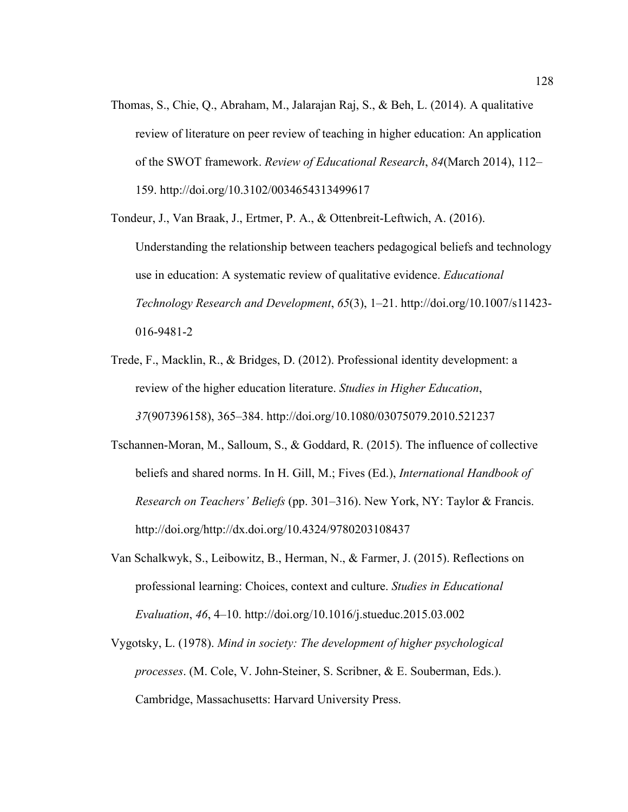Thomas, S., Chie, Q., Abraham, M., Jalarajan Raj, S., & Beh, L. (2014). A qualitative review of literature on peer review of teaching in higher education: An application of the SWOT framework. *Review of Educational Research*, *84*(March 2014), 112– 159. http://doi.org/10.3102/0034654313499617

Tondeur, J., Van Braak, J., Ertmer, P. A., & Ottenbreit-Leftwich, A. (2016). Understanding the relationship between teachers pedagogical beliefs and technology use in education: A systematic review of qualitative evidence. *Educational Technology Research and Development*, *65*(3), 1–21. http://doi.org/10.1007/s11423- 016-9481-2

- Trede, F., Macklin, R., & Bridges, D. (2012). Professional identity development: a review of the higher education literature. *Studies in Higher Education*, *37*(907396158), 365–384. http://doi.org/10.1080/03075079.2010.521237
- Tschannen-Moran, M., Salloum, S., & Goddard, R. (2015). The influence of collective beliefs and shared norms. In H. Gill, M.; Fives (Ed.), *International Handbook of Research on Teachers' Beliefs* (pp. 301–316). New York, NY: Taylor & Francis. http://doi.org/http://dx.doi.org/10.4324/9780203108437
- Van Schalkwyk, S., Leibowitz, B., Herman, N., & Farmer, J. (2015). Reflections on professional learning: Choices, context and culture. *Studies in Educational Evaluation*, *46*, 4–10. http://doi.org/10.1016/j.stueduc.2015.03.002
- Vygotsky, L. (1978). *Mind in society: The development of higher psychological processes*. (M. Cole, V. John-Steiner, S. Scribner, & E. Souberman, Eds.). Cambridge, Massachusetts: Harvard University Press.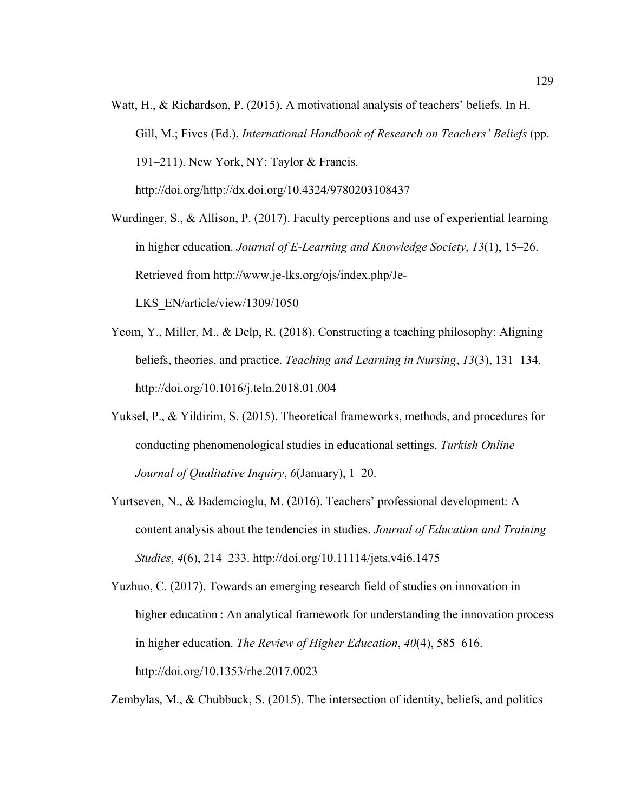Watt, H., & Richardson, P. (2015). A motivational analysis of teachers' beliefs. In H. Gill, M.; Fives (Ed.), *International Handbook of Research on Teachers' Beliefs* (pp. 191–211). New York, NY: Taylor & Francis. http://doi.org/http://dx.doi.org/10.4324/9780203108437

Wurdinger, S., & Allison, P. (2017). Faculty perceptions and use of experiential learning in higher education. *Journal of E-Learning and Knowledge Society*, *13*(1), 15–26. Retrieved from http://www.je-lks.org/ojs/index.php/Je-LKS\_EN/article/view/1309/1050

- Yeom, Y., Miller, M., & Delp, R. (2018). Constructing a teaching philosophy: Aligning beliefs, theories, and practice. *Teaching and Learning in Nursing*, *13*(3), 131–134. http://doi.org/10.1016/j.teln.2018.01.004
- Yuksel, P., & Yildirim, S. (2015). Theoretical frameworks, methods, and procedures for conducting phenomenological studies in educational settings. *Turkish Online Journal of Qualitative Inquiry*, *6*(January), 1–20.
- Yurtseven, N., & Bademcioglu, M. (2016). Teachers' professional development: A content analysis about the tendencies in studies. *Journal of Education and Training Studies*, *4*(6), 214–233. http://doi.org/10.11114/jets.v4i6.1475
- Yuzhuo, C. (2017). Towards an emerging research field of studies on innovation in higher education : An analytical framework for understanding the innovation process in higher education. *The Review of Higher Education*, *40*(4), 585–616. http://doi.org/10.1353/rhe.2017.0023

Zembylas, M., & Chubbuck, S. (2015). The intersection of identity, beliefs, and politics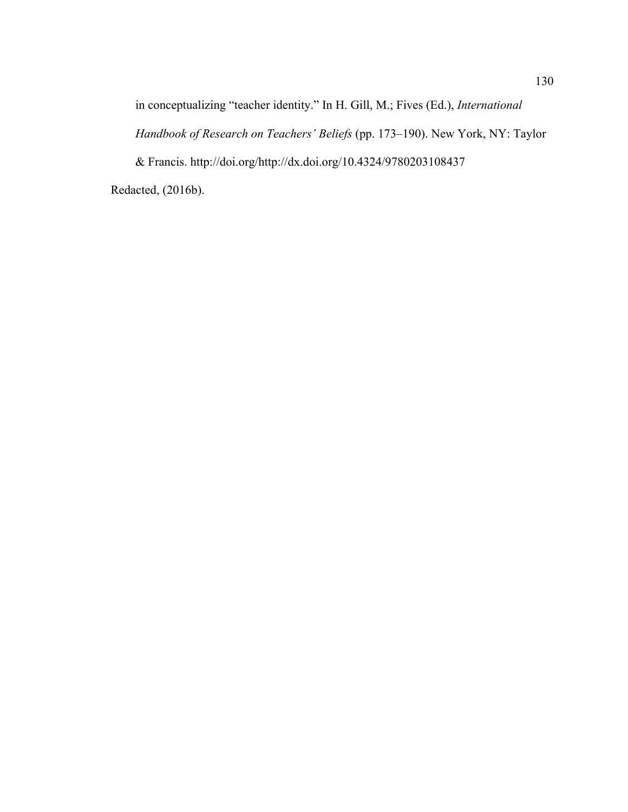in conceptualizing "teacher identity." In H. Gill, M.; Fives (Ed.), *International* 

*Handbook of Research on Teachers' Beliefs* (pp. 173–190). New York, NY: Taylor

& Francis. http://doi.org/http://dx.doi.org/10.4324/9780203108437

Redacted, (2016b).